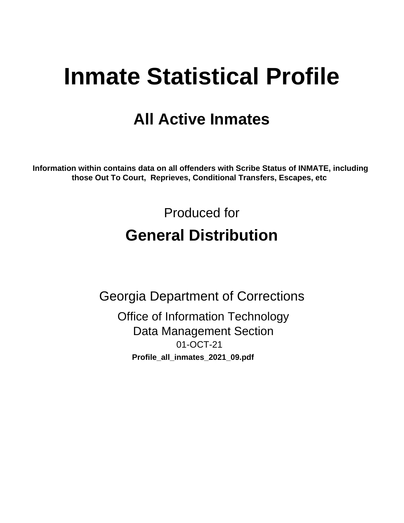# **Inmate Statistical Profile**

## **All Active Inmates**

Information within contains data on all offenders with Scribe Status of INMATE, including those Out To Court, Reprieves, Conditional Transfers, Escapes, etc

> Produced for **General Distribution**

**Georgia Department of Corrections Office of Information Technology Data Management Section** 01-OCT-21 Profile\_all\_inmates\_2021\_09.pdf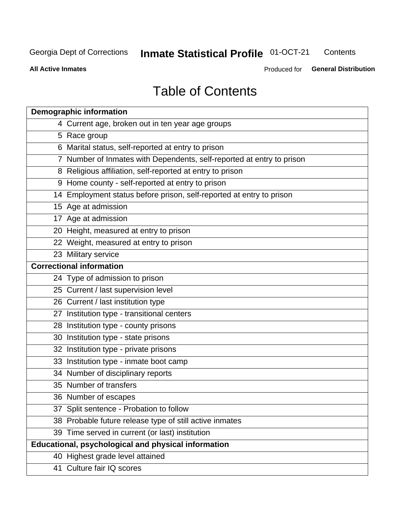### **Inmate Statistical Profile 01-OCT-21** Contents

**All Active Inmates** 

Produced for General Distribution

## **Table of Contents**

| <b>Demographic information</b>                                        |
|-----------------------------------------------------------------------|
| 4 Current age, broken out in ten year age groups                      |
| 5 Race group                                                          |
| 6 Marital status, self-reported at entry to prison                    |
| 7 Number of Inmates with Dependents, self-reported at entry to prison |
| 8 Religious affiliation, self-reported at entry to prison             |
| 9 Home county - self-reported at entry to prison                      |
| 14 Employment status before prison, self-reported at entry to prison  |
| 15 Age at admission                                                   |
| 17 Age at admission                                                   |
| 20 Height, measured at entry to prison                                |
| 22 Weight, measured at entry to prison                                |
| 23 Military service                                                   |
| <b>Correctional information</b>                                       |
| 24 Type of admission to prison                                        |
| 25 Current / last supervision level                                   |
| 26 Current / last institution type                                    |
| 27 Institution type - transitional centers                            |
| 28 Institution type - county prisons                                  |
| 30 Institution type - state prisons                                   |
| 32 Institution type - private prisons                                 |
| 33 Institution type - inmate boot camp                                |
| 34 Number of disciplinary reports                                     |
| 35 Number of transfers                                                |
| 36 Number of escapes                                                  |
| 37 Split sentence - Probation to follow                               |
| 38 Probable future release type of still active inmates               |
| 39 Time served in current (or last) institution                       |
| Educational, psychological and physical information                   |
| 40 Highest grade level attained                                       |
| 41 Culture fair IQ scores                                             |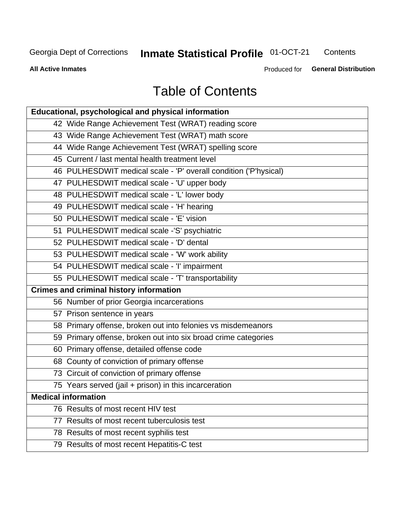## **Inmate Statistical Profile 01-OCT-21**

Contents

**All Active Inmates** 

Produced for General Distribution

## **Table of Contents**

| Educational, psychological and physical information              |
|------------------------------------------------------------------|
| 42 Wide Range Achievement Test (WRAT) reading score              |
| 43 Wide Range Achievement Test (WRAT) math score                 |
| 44 Wide Range Achievement Test (WRAT) spelling score             |
| 45 Current / last mental health treatment level                  |
| 46 PULHESDWIT medical scale - 'P' overall condition ('P'hysical) |
| 47 PULHESDWIT medical scale - 'U' upper body                     |
| 48 PULHESDWIT medical scale - 'L' lower body                     |
| 49 PULHESDWIT medical scale - 'H' hearing                        |
| 50 PULHESDWIT medical scale - 'E' vision                         |
| 51 PULHESDWIT medical scale -'S' psychiatric                     |
| 52 PULHESDWIT medical scale - 'D' dental                         |
| 53 PULHESDWIT medical scale - 'W' work ability                   |
| 54 PULHESDWIT medical scale - 'I' impairment                     |
| 55 PULHESDWIT medical scale - 'T' transportability               |
| <b>Crimes and criminal history information</b>                   |
| 56 Number of prior Georgia incarcerations                        |
| 57 Prison sentence in years                                      |
| 58 Primary offense, broken out into felonies vs misdemeanors     |
| 59 Primary offense, broken out into six broad crime categories   |
| 60 Primary offense, detailed offense code                        |
| 68 County of conviction of primary offense                       |
| 73 Circuit of conviction of primary offense                      |
| 75 Years served (jail + prison) in this incarceration            |
| <b>Medical information</b>                                       |
| 76 Results of most recent HIV test                               |
| 77 Results of most recent tuberculosis test                      |
| 78 Results of most recent syphilis test                          |
| 79 Results of most recent Hepatitis-C test                       |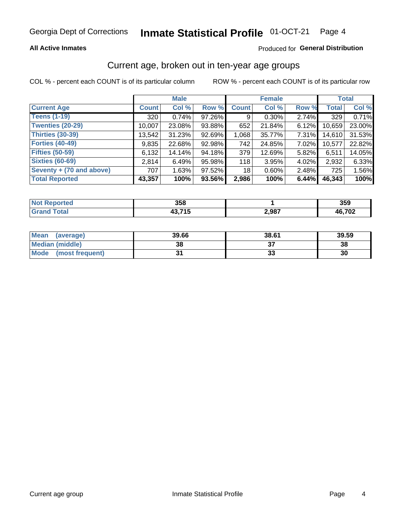#### Inmate Statistical Profile 01-OCT-21 Page 4

### **All Active Inmates**

### Produced for General Distribution

## Current age, broken out in ten-year age groups

COL % - percent each COUNT is of its particular column

|                          | <b>Male</b>  |        |        | <b>Female</b> |          |          | <b>Total</b> |        |
|--------------------------|--------------|--------|--------|---------------|----------|----------|--------------|--------|
| <b>Current Age</b>       | <b>Count</b> | Col %  | Row %  | <b>Count</b>  | Col %    | Row %    | <b>Total</b> | Col %  |
| <b>Teens (1-19)</b>      | 320          | 0.74%  | 97.26% | 9             | $0.30\%$ | 2.74%    | 329          | 0.71%  |
| <b>Twenties (20-29)</b>  | 10,007       | 23.08% | 93.88% | 652           | 21.84%   | 6.12%    | 10,659       | 23.00% |
| Thirties (30-39)         | 13,542       | 31.23% | 92.69% | 1,068         | 35.77%   | $7.31\%$ | 14,610       | 31.53% |
| <b>Forties (40-49)</b>   | 9,835        | 22.68% | 92.98% | 742           | 24.85%   | 7.02%    | 10,577       | 22.82% |
| <b>Fifties (50-59)</b>   | 6,132        | 14.14% | 94.18% | 379           | 12.69%   | 5.82%    | 6,511        | 14.05% |
| <b>Sixties (60-69)</b>   | 2.814        | 6.49%  | 95.98% | 118           | 3.95%    | 4.02%    | 2,932        | 6.33%  |
| Seventy + (70 and above) | 707          | 1.63%  | 97.52% | 18            | $0.60\%$ | 2.48%    | 725          | 1.56%  |
| <b>Total Reported</b>    | 43,357       | 100%   | 93.56% | 2,986         | 100%     | 6.44%    | 46,343       | 100%   |

| τeα<br><b>NOT</b> | ったの<br>סככ |       | 359                        |
|-------------------|------------|-------|----------------------------|
|                   | $-1$       | 2,987 | $AB$ 70 $^{\circ}$<br>⊾ט ז |

| <b>Mean</b><br>(average) | 39.66 | 38.61 | 39.59 |
|--------------------------|-------|-------|-------|
| Median (middle)          | 38    |       | 38    |
| Mode<br>(most frequent)  |       | vu    | 30    |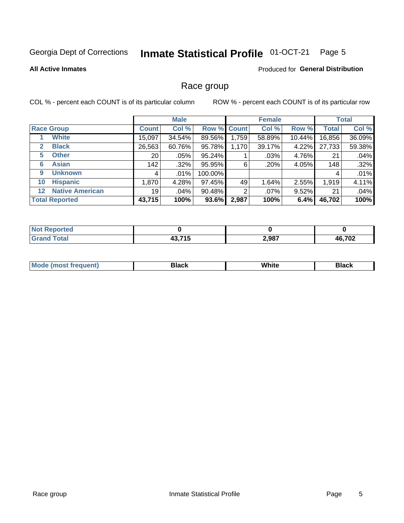### Inmate Statistical Profile 01-OCT-21 Page 5

### **All Active Inmates**

### Produced for General Distribution

### Race group

COL % - percent each COUNT is of its particular column

|                                   |              | <b>Male</b> |             |       | <b>Female</b> |          |              | <b>Total</b> |  |
|-----------------------------------|--------------|-------------|-------------|-------|---------------|----------|--------------|--------------|--|
| <b>Race Group</b>                 | <b>Count</b> | Col %       | Row % Count |       | Col %         | Row %    | <b>Total</b> | Col %        |  |
| <b>White</b>                      | 15,097       | 34.54%      | 89.56%      | 1,759 | 58.89%        | 10.44%   | 16,856       | 36.09%       |  |
| <b>Black</b><br>2                 | 26,563       | 60.76%      | 95.78%      | 1,170 | 39.17%        | 4.22%    | 27,733       | 59.38%       |  |
| <b>Other</b><br>5.                | 20           | $.05\%$     | 95.24%      |       | .03%          | 4.76%    | 21           | .04%         |  |
| <b>Asian</b><br>6                 | 142          | $.32\%$     | 95.95%      | 6     | .20%          | 4.05%    | 148          | .32%         |  |
| <b>Unknown</b><br>9               | 4            | $.01\%$     | 100.00%     |       |               |          | 4            | .01%         |  |
| <b>Hispanic</b><br>10             | 1,870        | 4.28%       | 97.45%      | 49    | 1.64%         | 2.55%    | 1,919        | 4.11%        |  |
| <b>Native American</b><br>$12 \,$ | 19           | .04%        | 90.48%      | 2     | $.07\%$       | $9.52\%$ | 21           | .04%         |  |
| <b>Total Reported</b>             | 43,715       | 100%        | 93.6%       | 2,987 | 100%          | 6.4%     | 46,702       | 100%         |  |

| orted<br>N6           |                      |       |        |
|-----------------------|----------------------|-------|--------|
| <b>otal</b><br>'Grano | 19 74 E<br>40. I I J | 2,987 | 46,702 |

| m | <br>w |  |
|---|-------|--|
|   |       |  |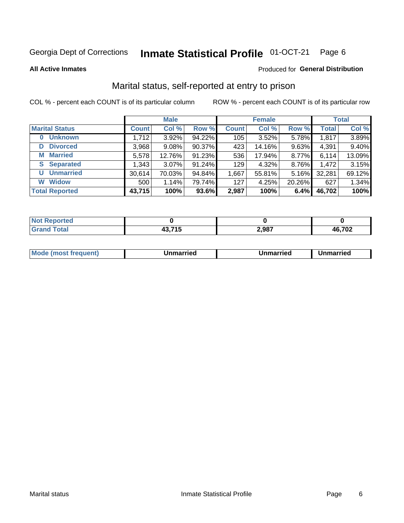#### Inmate Statistical Profile 01-OCT-21 Page 6

**All Active Inmates** 

### Produced for General Distribution

## Marital status, self-reported at entry to prison

COL % - percent each COUNT is of its particular column

|                            | <b>Male</b>  |        |        |              | <b>Female</b> | <b>Total</b> |              |        |
|----------------------------|--------------|--------|--------|--------------|---------------|--------------|--------------|--------|
| <b>Marital Status</b>      | <b>Count</b> | Col %  | Row %  | <b>Count</b> | Col %         | Row %        | <b>Total</b> | Col %  |
| <b>Unknown</b><br>$\bf{0}$ | 1,712        | 3.92%  | 94.22% | 105          | 3.52%         | 5.78%        | 1,817        | 3.89%  |
| <b>Divorced</b><br>D       | 3,968        | 9.08%  | 90.37% | 423          | 14.16%        | 9.63%        | 4,391        | 9.40%  |
| <b>Married</b><br>М        | 5,578        | 12.76% | 91.23% | 536          | 17.94%        | $8.77\%$     | 6,114        | 13.09% |
| <b>Separated</b><br>S.     | 1,343        | 3.07%  | 91.24% | 129          | 4.32%         | 8.76%        | 1,472        | 3.15%  |
| <b>Unmarried</b><br>U      | 30,614       | 70.03% | 94.84% | 1,667        | 55.81%        | 5.16%        | 32,281       | 69.12% |
| <b>Widow</b><br>W          | 500          | 1.14%  | 79.74% | 127          | 4.25%         | 20.26%       | 627          | 1.34%  |
| <b>Total Reported</b>      | 43,715       | 100%   | 93.6%  | 2,987        | 100%          | 6.4%         | 46,702       | 100%   |

| A (÷IO)<br><b>NO</b> |       |       |                          |
|----------------------|-------|-------|--------------------------|
| $int^{\bullet}$      | - - - | 2,987 | <b>702</b><br>л£.<br>ั∪∡ |

|--|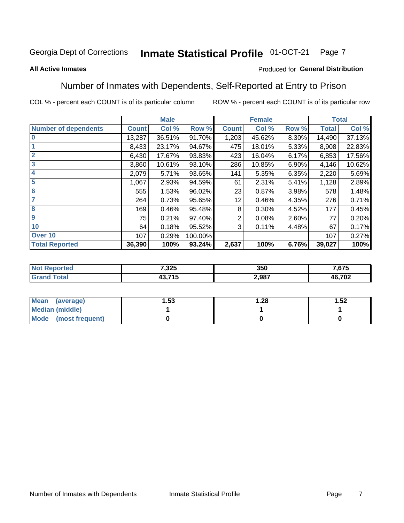### **Inmate Statistical Profile 01-OCT-21** Page 7

### **All Active Inmates**

### Produced for General Distribution

## Number of Inmates with Dependents, Self-Reported at Entry to Prison

COL % - percent each COUNT is of its particular column

|                             |              | <b>Male</b> |         | <b>Female</b> |        | <b>Total</b> |              |        |
|-----------------------------|--------------|-------------|---------|---------------|--------|--------------|--------------|--------|
| <b>Number of dependents</b> | <b>Count</b> | Col %       | Row %   | <b>Count</b>  | Col %  | Row %        | <b>Total</b> | Col %  |
| l 0                         | 13,287       | 36.51%      | 91.70%  | 1,203         | 45.62% | 8.30%        | 14,490       | 37.13% |
|                             | 8,433        | 23.17%      | 94.67%  | 475           | 18.01% | 5.33%        | 8,908        | 22.83% |
| $\overline{2}$              | 6,430        | 17.67%      | 93.83%  | 423           | 16.04% | 6.17%        | 6,853        | 17.56% |
| $\overline{\mathbf{3}}$     | 3,860        | 10.61%      | 93.10%  | 286           | 10.85% | 6.90%        | 4,146        | 10.62% |
| 4                           | 2,079        | 5.71%       | 93.65%  | 141           | 5.35%  | 6.35%        | 2,220        | 5.69%  |
| 5                           | 1,067        | 2.93%       | 94.59%  | 61            | 2.31%  | 5.41%        | 1,128        | 2.89%  |
| 6                           | 555          | 1.53%       | 96.02%  | 23            | 0.87%  | 3.98%        | 578          | 1.48%  |
| 7                           | 264          | 0.73%       | 95.65%  | 12            | 0.46%  | 4.35%        | 276          | 0.71%  |
| 8                           | 169          | 0.46%       | 95.48%  | 8             | 0.30%  | 4.52%        | 177          | 0.45%  |
| 9                           | 75           | 0.21%       | 97.40%  | 2             | 0.08%  | 2.60%        | 77           | 0.20%  |
| 10                          | 64           | 0.18%       | 95.52%  | 3             | 0.11%  | 4.48%        | 67           | 0.17%  |
| Over 10                     | 107          | 0.29%       | 100.00% |               |        |              | 107          | 0.27%  |
| <b>Total Reported</b>       | 36,390       | 100%        | 93.24%  | 2,637         | 100%   | 6.76%        | 39,027       | 100%   |

| 7,325          | 350   | 7,675  |
|----------------|-------|--------|
| 19 74 E<br>1 J | 2,987 | 46,702 |

| Mean (average)          | . 53 | .28، | 1.52 |
|-------------------------|------|------|------|
| <b>Median (middle)</b>  |      |      |      |
| Mode<br>(most frequent) |      |      |      |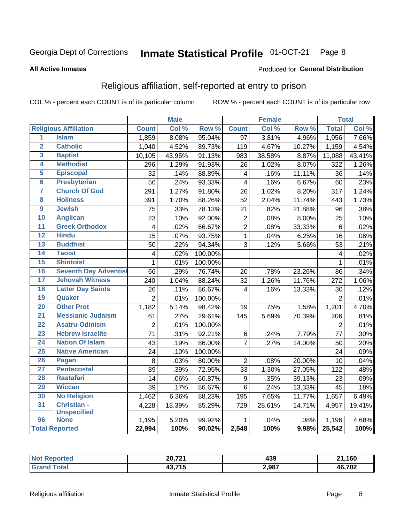#### Inmate Statistical Profile 01-OCT-21 Page 8

### **All Active Inmates**

### Produced for General Distribution

## Religious affiliation, self-reported at entry to prison

COL % - percent each COUNT is of its particular column

|                         |                              |                         | <b>Male</b> |         |                         | <b>Female</b> |                  |                 | <b>Total</b> |
|-------------------------|------------------------------|-------------------------|-------------|---------|-------------------------|---------------|------------------|-----------------|--------------|
|                         | <b>Religious Affiliation</b> | <b>Count</b>            | Col %       | Row %   | <b>Count</b>            | Col %         | Row <sup>%</sup> | <b>Total</b>    | Col %        |
| 1                       | <b>Islam</b>                 | 1,859                   | 8.08%       | 95.04%  | $\overline{97}$         | 3.81%         | 4.96%            | 1,956           | 7.66%        |
| $\overline{\mathbf{2}}$ | <b>Catholic</b>              | 1,040                   | 4.52%       | 89.73%  | 119                     | 4.67%         | 10.27%           | 1,159           | 4.54%        |
| 3                       | <b>Baptist</b>               | 10,105                  | 43.95%      | 91.13%  | 983                     | 38.58%        | 8.87%            | 11,088          | 43.41%       |
| 4                       | <b>Methodist</b>             | 296                     | 1.29%       | 91.93%  | 26                      | 1.02%         | 8.07%            | 322             | 1.26%        |
| 5                       | <b>Episcopal</b>             | 32                      | .14%        | 88.89%  | $\overline{\mathbf{4}}$ | .16%          | 11.11%           | 36              | .14%         |
| $\overline{6}$          | <b>Presbyterian</b>          | 56                      | .24%        | 93.33%  | $\overline{4}$          | .16%          | 6.67%            | 60              | .23%         |
| 7                       | <b>Church Of God</b>         | 291                     | 1.27%       | 91.80%  | 26                      | 1.02%         | 8.20%            | 317             | 1.24%        |
| 8                       | <b>Holiness</b>              | 391                     | 1.70%       | 88.26%  | 52                      | 2.04%         | 11.74%           | 443             | 1.73%        |
| $\overline{9}$          | <b>Jewish</b>                | 75                      | .33%        | 78.13%  | 21                      | .82%          | 21.88%           | 96              | .38%         |
| 10                      | <b>Anglican</b>              | 23                      | .10%        | 92.00%  | $\overline{c}$          | .08%          | 8.00%            | 25              | .10%         |
| 11                      | <b>Greek Orthodox</b>        | $\overline{4}$          | .02%        | 66.67%  | $\overline{2}$          | .08%          | 33.33%           | 6               | .02%         |
| 12                      | <b>Hindu</b>                 | 15                      | .07%        | 93.75%  | $\mathbf{1}$            | .04%          | 6.25%            | 16              | .06%         |
| 13                      | <b>Buddhist</b>              | 50                      | .22%        | 94.34%  | 3                       | .12%          | 5.66%            | 53              | .21%         |
| 14                      | <b>Taoist</b>                | $\overline{\mathbf{4}}$ | .02%        | 100.00% |                         |               |                  | 4               | .02%         |
| 15                      | <b>Shintoist</b>             | $\mathbf{1}$            | .01%        | 100.00% |                         |               |                  | 1               | .01%         |
| 16                      | <b>Seventh Day Adventist</b> | 66                      | .29%        | 76.74%  | 20                      | .78%          | 23.26%           | 86              | .34%         |
| 17                      | <b>Jehovah Witness</b>       | 240                     | 1.04%       | 88.24%  | 32                      | 1.26%         | 11.76%           | 272             | 1.06%        |
| 18                      | <b>Latter Day Saints</b>     | 26                      | .11%        | 86.67%  | $\overline{4}$          | .16%          | 13.33%           | 30              | .12%         |
| 19                      | Quaker                       | $\overline{2}$          | .01%        | 100.00% |                         |               |                  | $\overline{2}$  | .01%         |
| 20                      | <b>Other Prot</b>            | 1,182                   | 5.14%       | 98.42%  | 19                      | .75%          | 1.58%            | 1,201           | 4.70%        |
| $\overline{21}$         | <b>Messianic Judaism</b>     | 61                      | .27%        | 29.61%  | 145                     | 5.69%         | 70.39%           | 206             | .81%         |
| 22                      | <b>Asatru-Odinism</b>        | $\overline{2}$          | .01%        | 100.00% |                         |               |                  | $\overline{2}$  | .01%         |
| 23                      | <b>Hebrew Israelite</b>      | $\overline{71}$         | .31%        | 92.21%  | $\,6$                   | .24%          | 7.79%            | $\overline{77}$ | .30%         |
| 24                      | <b>Nation Of Islam</b>       | 43                      | .19%        | 86.00%  | 7                       | .27%          | 14.00%           | 50              | .20%         |
| 25                      | <b>Native American</b>       | 24                      | .10%        | 100.00% |                         |               |                  | 24              | .09%         |
| 26                      | Pagan                        | 8                       | .03%        | 80.00%  | $\overline{2}$          | .08%          | 20.00%           | 10              | .04%         |
| $\overline{27}$         | <b>Pentecostal</b>           | 89                      | .39%        | 72.95%  | 33                      | 1.30%         | 27.05%           | 122             | .48%         |
| 28                      | <b>Rastafari</b>             | 14                      | .06%        | 60.87%  | $9\,$                   | .35%          | 39.13%           | 23              | .09%         |
| 29                      | <b>Wiccan</b>                | 39                      | .17%        | 86.67%  | $6\phantom{1}$          | .24%          | 13.33%           | 45              | .18%         |
| 30                      | <b>No Religion</b>           | 1,462                   | 6.36%       | 88.23%  | 195                     | 7.65%         | 11.77%           | 1,657           | 6.49%        |
| 31                      | Christian -                  | 4,228                   | 18.39%      | 85.29%  | 729                     | 28.61%        | 14.71%           | 4,957           | 19.41%       |
|                         | <b>Unspecified</b>           |                         |             |         |                         |               |                  |                 |              |
| 96                      | <b>None</b>                  | 1,195                   | 5.20%       | 99.92%  | $\mathbf 1$             | .04%          | .08%             | 1,196           | 4.68%        |
|                         | <b>Total Reported</b>        | 22,994                  | 100%        | 90.02%  | 2,548                   | 100%          | 9.98%            | 25,542          | 100%         |

| тес. | 20,721               | 100   | .160   |
|------|----------------------|-------|--------|
|      | . <i>.</i>           | 439   | O4.    |
|      | 10.71E<br>ŦJ.<br>. . | 2,987 | 46,702 |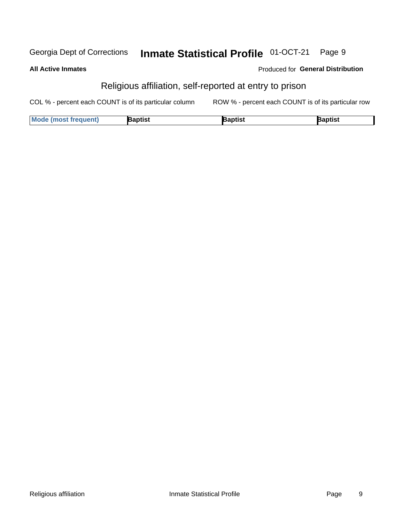#### Inmate Statistical Profile 01-OCT-21 Georgia Dept of Corrections Page 9

### **All Active Inmates**

### Produced for General Distribution

## Religious affiliation, self-reported at entry to prison

COL % - percent each COUNT is of its particular column ROW % - percent each COUNT is of its particular row

| <b>Mode (most frequent)</b> | Baptist | 3aptist | Baptist |
|-----------------------------|---------|---------|---------|
|-----------------------------|---------|---------|---------|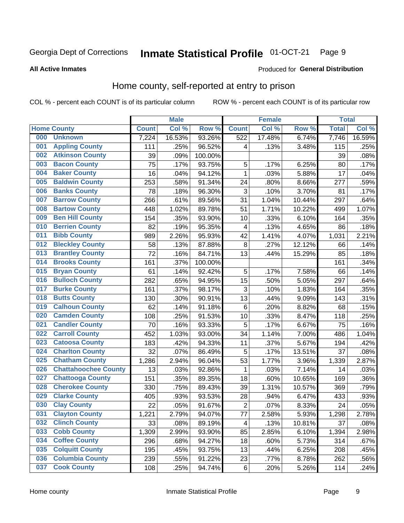#### Inmate Statistical Profile 01-OCT-21 Page 9

### **All Active Inmates**

### Produced for General Distribution

## Home county, self-reported at entry to prison

COL % - percent each COUNT is of its particular column

|     |                             |              | <b>Male</b> |                  |                | <b>Female</b> |        | <b>Total</b> |        |
|-----|-----------------------------|--------------|-------------|------------------|----------------|---------------|--------|--------------|--------|
|     | <b>Home County</b>          | <b>Count</b> | Col %       | Row <sup>%</sup> | <b>Count</b>   | Col %         | Row %  | <b>Total</b> | Col %  |
| 000 | <b>Unknown</b>              | 7,224        | 16.53%      | 93.26%           | 522            | 17.48%        | 6.74%  | 7,746        | 16.59% |
| 001 | <b>Appling County</b>       | 111          | .25%        | 96.52%           | 4              | .13%          | 3.48%  | 115          | .25%   |
| 002 | <b>Atkinson County</b>      | 39           | .09%        | 100.00%          |                |               |        | 39           | .08%   |
| 003 | <b>Bacon County</b>         | 75           | .17%        | 93.75%           | 5              | .17%          | 6.25%  | 80           | .17%   |
| 004 | <b>Baker County</b>         | 16           | .04%        | 94.12%           | $\mathbf{1}$   | .03%          | 5.88%  | 17           | .04%   |
| 005 | <b>Baldwin County</b>       | 253          | .58%        | 91.34%           | 24             | .80%          | 8.66%  | 277          | .59%   |
| 006 | <b>Banks County</b>         | 78           | .18%        | 96.30%           | $\mathbf{3}$   | .10%          | 3.70%  | 81           | .17%   |
| 007 | <b>Barrow County</b>        | 266          | .61%        | 89.56%           | 31             | 1.04%         | 10.44% | 297          | .64%   |
| 008 | <b>Bartow County</b>        | 448          | 1.02%       | 89.78%           | 51             | 1.71%         | 10.22% | 499          | 1.07%  |
| 009 | <b>Ben Hill County</b>      | 154          | .35%        | 93.90%           | 10             | .33%          | 6.10%  | 164          | .35%   |
| 010 | <b>Berrien County</b>       | 82           | .19%        | 95.35%           | 4              | .13%          | 4.65%  | 86           | .18%   |
| 011 | <b>Bibb County</b>          | 989          | 2.26%       | 95.93%           | 42             | 1.41%         | 4.07%  | 1,031        | 2.21%  |
| 012 | <b>Bleckley County</b>      | 58           | .13%        | 87.88%           | 8              | .27%          | 12.12% | 66           | .14%   |
| 013 | <b>Brantley County</b>      | 72           | .16%        | 84.71%           | 13             | .44%          | 15.29% | 85           | .18%   |
| 014 | <b>Brooks County</b>        | 161          | .37%        | 100.00%          |                |               |        | 161          | .34%   |
| 015 | <b>Bryan County</b>         | 61           | .14%        | 92.42%           | 5              | .17%          | 7.58%  | 66           | .14%   |
| 016 | <b>Bulloch County</b>       | 282          | .65%        | 94.95%           | 15             | .50%          | 5.05%  | 297          | .64%   |
| 017 | <b>Burke County</b>         | 161          | .37%        | 98.17%           | $\mathbf{3}$   | .10%          | 1.83%  | 164          | .35%   |
| 018 | <b>Butts County</b>         | 130          | .30%        | 90.91%           | 13             | .44%          | 9.09%  | 143          | .31%   |
| 019 | <b>Calhoun County</b>       | 62           | .14%        | 91.18%           | 6              | .20%          | 8.82%  | 68           | .15%   |
| 020 | <b>Camden County</b>        | 108          | .25%        | 91.53%           | 10             | .33%          | 8.47%  | 118          | .25%   |
| 021 | <b>Candler County</b>       | 70           | .16%        | 93.33%           | 5              | .17%          | 6.67%  | 75           | .16%   |
| 022 | <b>Carroll County</b>       | 452          | 1.03%       | 93.00%           | 34             | 1.14%         | 7.00%  | 486          | 1.04%  |
| 023 | <b>Catoosa County</b>       | 183          | .42%        | 94.33%           | 11             | .37%          | 5.67%  | 194          | .42%   |
| 024 | <b>Charlton County</b>      | 32           | .07%        | 86.49%           | 5              | .17%          | 13.51% | 37           | .08%   |
| 025 | <b>Chatham County</b>       | 1,286        | 2.94%       | 96.04%           | 53             | 1.77%         | 3.96%  | 1,339        | 2.87%  |
| 026 | <b>Chattahoochee County</b> | 13           | .03%        | 92.86%           | 1              | .03%          | 7.14%  | 14           | .03%   |
| 027 | <b>Chattooga County</b>     | 151          | .35%        | 89.35%           | 18             | .60%          | 10.65% | 169          | .36%   |
| 028 | <b>Cherokee County</b>      | 330          | .75%        | 89.43%           | 39             | 1.31%         | 10.57% | 369          | .79%   |
| 029 | <b>Clarke County</b>        | 405          | .93%        | 93.53%           | 28             | .94%          | 6.47%  | 433          | .93%   |
| 030 | <b>Clay County</b>          | 22           | .05%        | 91.67%           | $\overline{2}$ | .07%          | 8.33%  | 24           | .05%   |
| 031 | <b>Clayton County</b>       | 1,221        | 2.79%       | 94.07%           | 77             | 2.58%         | 5.93%  | 1,298        | 2.78%  |
| 032 | <b>Clinch County</b>        | 33           | .08%        | 89.19%           | 4              | .13%          | 10.81% | 37           | .08%   |
| 033 | <b>Cobb County</b>          | 1,309        | 2.99%       | 93.90%           | 85             | 2.85%         | 6.10%  | 1,394        | 2.98%  |
| 034 | <b>Coffee County</b>        | 296          | .68%        | 94.27%           | 18             | .60%          | 5.73%  | 314          | .67%   |
| 035 | <b>Colquitt County</b>      | 195          | .45%        | 93.75%           | 13             | .44%          | 6.25%  | 208          | .45%   |
| 036 | <b>Columbia County</b>      | 239          | .55%        | 91.22%           | 23             | .77%          | 8.78%  | 262          | .56%   |
| 037 | <b>Cook County</b>          | 108          | .25%        | 94.74%           | $\,6$          | .20%          | 5.26%  | 114          | .24%   |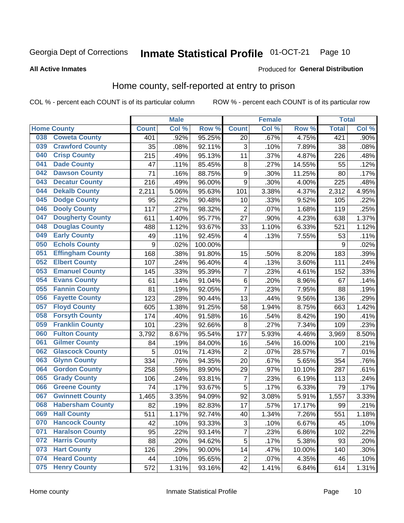#### **Inmate Statistical Profile 01-OCT-21** Page 10

### **All Active Inmates**

### Produced for General Distribution

## Home county, self-reported at entry to prison

COL % - percent each COUNT is of its particular column

|     |                         |                  | <b>Male</b> |         |                         | <b>Female</b> |        | <b>Total</b>   |       |
|-----|-------------------------|------------------|-------------|---------|-------------------------|---------------|--------|----------------|-------|
|     | <b>Home County</b>      | <b>Count</b>     | Col %       | Row %   | <b>Count</b>            | Col %         | Row %  | <b>Total</b>   | Col % |
| 038 | <b>Coweta County</b>    | 401              | .92%        | 95.25%  | 20                      | .67%          | 4.75%  | 421            | .90%  |
| 039 | <b>Crawford County</b>  | 35               | .08%        | 92.11%  | 3                       | .10%          | 7.89%  | 38             | .08%  |
| 040 | <b>Crisp County</b>     | 215              | .49%        | 95.13%  | 11                      | .37%          | 4.87%  | 226            | .48%  |
| 041 | <b>Dade County</b>      | 47               | .11%        | 85.45%  | 8                       | .27%          | 14.55% | 55             | .12%  |
| 042 | <b>Dawson County</b>    | 71               | .16%        | 88.75%  | $\boldsymbol{9}$        | .30%          | 11.25% | 80             | .17%  |
| 043 | <b>Decatur County</b>   | 216              | .49%        | 96.00%  | 9                       | .30%          | 4.00%  | 225            | .48%  |
| 044 | <b>Dekalb County</b>    | 2,211            | 5.06%       | 95.63%  | 101                     | 3.38%         | 4.37%  | 2,312          | 4.95% |
| 045 | <b>Dodge County</b>     | 95               | .22%        | 90.48%  | 10                      | .33%          | 9.52%  | 105            | .22%  |
| 046 | <b>Dooly County</b>     | 117              | .27%        | 98.32%  | $\overline{2}$          | .07%          | 1.68%  | 119            | .25%  |
| 047 | <b>Dougherty County</b> | 611              | 1.40%       | 95.77%  | 27                      | .90%          | 4.23%  | 638            | 1.37% |
| 048 | <b>Douglas County</b>   | 488              | 1.12%       | 93.67%  | 33                      | 1.10%         | 6.33%  | 521            | 1.12% |
| 049 | <b>Early County</b>     | 49               | .11%        | 92.45%  | 4                       | .13%          | 7.55%  | 53             | .11%  |
| 050 | <b>Echols County</b>    | $\boldsymbol{9}$ | .02%        | 100.00% |                         |               |        | 9              | .02%  |
| 051 | <b>Effingham County</b> | 168              | .38%        | 91.80%  | 15                      | .50%          | 8.20%  | 183            | .39%  |
| 052 | <b>Elbert County</b>    | 107              | .24%        | 96.40%  | $\overline{\mathbf{4}}$ | .13%          | 3.60%  | 111            | .24%  |
| 053 | <b>Emanuel County</b>   | 145              | .33%        | 95.39%  | $\overline{7}$          | .23%          | 4.61%  | 152            | .33%  |
| 054 | <b>Evans County</b>     | 61               | .14%        | 91.04%  | $\,6$                   | .20%          | 8.96%  | 67             | .14%  |
| 055 | <b>Fannin County</b>    | 81               | .19%        | 92.05%  | $\overline{7}$          | .23%          | 7.95%  | 88             | .19%  |
| 056 | <b>Fayette County</b>   | 123              | .28%        | 90.44%  | 13                      | .44%          | 9.56%  | 136            | .29%  |
| 057 | <b>Floyd County</b>     | 605              | 1.38%       | 91.25%  | 58                      | 1.94%         | 8.75%  | 663            | 1.42% |
| 058 | <b>Forsyth County</b>   | 174              | .40%        | 91.58%  | 16                      | .54%          | 8.42%  | 190            | .41%  |
| 059 | <b>Franklin County</b>  | 101              | .23%        | 92.66%  | 8                       | .27%          | 7.34%  | 109            | .23%  |
| 060 | <b>Fulton County</b>    | 3,792            | 8.67%       | 95.54%  | 177                     | 5.93%         | 4.46%  | 3,969          | 8.50% |
| 061 | <b>Gilmer County</b>    | 84               | .19%        | 84.00%  | 16                      | .54%          | 16.00% | 100            | .21%  |
| 062 | <b>Glascock County</b>  | 5                | .01%        | 71.43%  | $\overline{2}$          | .07%          | 28.57% | $\overline{7}$ | .01%  |
| 063 | <b>Glynn County</b>     | 334              | .76%        | 94.35%  | 20                      | .67%          | 5.65%  | 354            | .76%  |
| 064 | <b>Gordon County</b>    | 258              | .59%        | 89.90%  | 29                      | .97%          | 10.10% | 287            | .61%  |
| 065 | <b>Grady County</b>     | 106              | .24%        | 93.81%  | $\overline{7}$          | .23%          | 6.19%  | 113            | .24%  |
| 066 | <b>Greene County</b>    | 74               | .17%        | 93.67%  | 5                       | .17%          | 6.33%  | 79             | .17%  |
| 067 | <b>Gwinnett County</b>  | 1,465            | 3.35%       | 94.09%  | 92                      | 3.08%         | 5.91%  | 1,557          | 3.33% |
| 068 | <b>Habersham County</b> | 82               | .19%        | 82.83%  | 17                      | .57%          | 17.17% | 99             | .21%  |
| 069 | <b>Hall County</b>      | 511              | 1.17%       | 92.74%  | 40                      | 1.34%         | 7.26%  | 551            | 1.18% |
| 070 | <b>Hancock County</b>   | 42               | .10%        | 93.33%  | 3                       | .10%          | 6.67%  | 45             | .10%  |
| 071 | <b>Haralson County</b>  | 95               | .22%        | 93.14%  | $\overline{\mathbf{7}}$ | .23%          | 6.86%  | 102            | .22%  |
| 072 | <b>Harris County</b>    | 88               | .20%        | 94.62%  | 5                       | .17%          | 5.38%  | 93             | .20%  |
| 073 | <b>Hart County</b>      | 126              | .29%        | 90.00%  | 14                      | .47%          | 10.00% | 140            | .30%  |
| 074 | <b>Heard County</b>     | 44               | .10%        | 95.65%  | $\overline{c}$          | .07%          | 4.35%  | 46             | .10%  |
| 075 | <b>Henry County</b>     | 572              | 1.31%       | 93.16%  | 42                      | 1.41%         | 6.84%  | 614            | 1.31% |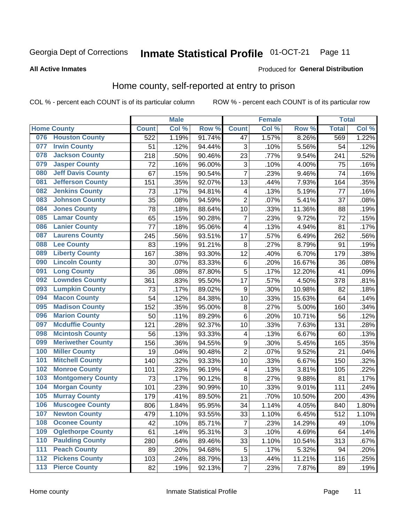#### **Inmate Statistical Profile 01-OCT-21** Page 11

### **All Active Inmates**

### Produced for General Distribution

## Home county, self-reported at entry to prison

COL % - percent each COUNT is of its particular column

|                  |                          |              | <b>Male</b> |        |                         | <b>Female</b>     |        | <b>Total</b> |       |
|------------------|--------------------------|--------------|-------------|--------|-------------------------|-------------------|--------|--------------|-------|
|                  | <b>Home County</b>       | <b>Count</b> | Col %       | Row %  | <b>Count</b>            | Col %             | Row %  | <b>Total</b> | Col % |
| 076              | <b>Houston County</b>    | 522          | 1.19%       | 91.74% | 47                      | 1.57%             | 8.26%  | 569          | 1.22% |
| 077              | <b>Irwin County</b>      | 51           | .12%        | 94.44% | 3                       | .10%              | 5.56%  | 54           | .12%  |
| 078              | <b>Jackson County</b>    | 218          | .50%        | 90.46% | 23                      | .77%              | 9.54%  | 241          | .52%  |
| 079              | <b>Jasper County</b>     | 72           | .16%        | 96.00% | 3                       | .10%              | 4.00%  | 75           | .16%  |
| 080              | <b>Jeff Davis County</b> | 67           | .15%        | 90.54% | $\overline{7}$          | $\overline{.}23%$ | 9.46%  | 74           | .16%  |
| 081              | <b>Jefferson County</b>  | 151          | .35%        | 92.07% | 13                      | .44%              | 7.93%  | 164          | .35%  |
| 082              | <b>Jenkins County</b>    | 73           | .17%        | 94.81% | 4                       | .13%              | 5.19%  | 77           | .16%  |
| 083              | <b>Johnson County</b>    | 35           | .08%        | 94.59% | $\overline{2}$          | .07%              | 5.41%  | 37           | .08%  |
| 084              | <b>Jones County</b>      | 78           | .18%        | 88.64% | 10                      | .33%              | 11.36% | 88           | .19%  |
| 085              | <b>Lamar County</b>      | 65           | .15%        | 90.28% | $\overline{7}$          | .23%              | 9.72%  | 72           | .15%  |
| 086              | <b>Lanier County</b>     | 77           | .18%        | 95.06% | $\overline{\mathbf{4}}$ | .13%              | 4.94%  | 81           | .17%  |
| 087              | <b>Laurens County</b>    | 245          | .56%        | 93.51% | 17                      | .57%              | 6.49%  | 262          | .56%  |
| 088              | <b>Lee County</b>        | 83           | .19%        | 91.21% | 8                       | .27%              | 8.79%  | 91           | .19%  |
| 089              | <b>Liberty County</b>    | 167          | .38%        | 93.30% | 12                      | .40%              | 6.70%  | 179          | .38%  |
| 090              | <b>Lincoln County</b>    | 30           | .07%        | 83.33% | $\,6$                   | .20%              | 16.67% | 36           | .08%  |
| 091              | <b>Long County</b>       | 36           | .08%        | 87.80% | 5                       | .17%              | 12.20% | 41           | .09%  |
| 092              | <b>Lowndes County</b>    | 361          | .83%        | 95.50% | 17                      | .57%              | 4.50%  | 378          | .81%  |
| 093              | <b>Lumpkin County</b>    | 73           | .17%        | 89.02% | $\boldsymbol{9}$        | .30%              | 10.98% | 82           | .18%  |
| 094              | <b>Macon County</b>      | 54           | .12%        | 84.38% | 10                      | .33%              | 15.63% | 64           | .14%  |
| 095              | <b>Madison County</b>    | 152          | .35%        | 95.00% | 8                       | .27%              | 5.00%  | 160          | .34%  |
| 096              | <b>Marion County</b>     | 50           | .11%        | 89.29% | 6                       | .20%              | 10.71% | 56           | .12%  |
| 097              | <b>Mcduffie County</b>   | 121          | .28%        | 92.37% | 10                      | .33%              | 7.63%  | 131          | .28%  |
| 098              | <b>Mcintosh County</b>   | 56           | .13%        | 93.33% | 4                       | .13%              | 6.67%  | 60           | .13%  |
| 099              | <b>Meriwether County</b> | 156          | .36%        | 94.55% | 9                       | .30%              | 5.45%  | 165          | .35%  |
| 100              | <b>Miller County</b>     | 19           | .04%        | 90.48% | $\overline{2}$          | .07%              | 9.52%  | 21           | .04%  |
| 101              | <b>Mitchell County</b>   | 140          | .32%        | 93.33% | 10                      | .33%              | 6.67%  | 150          | .32%  |
| 102              | <b>Monroe County</b>     | 101          | .23%        | 96.19% | 4                       | .13%              | 3.81%  | 105          | .22%  |
| 103              | <b>Montgomery County</b> | 73           | .17%        | 90.12% | 8                       | .27%              | 9.88%  | 81           | .17%  |
| 104              | <b>Morgan County</b>     | 101          | .23%        | 90.99% | 10                      | .33%              | 9.01%  | 111          | .24%  |
| 105              | <b>Murray County</b>     | 179          | .41%        | 89.50% | 21                      | .70%              | 10.50% | 200          | .43%  |
| 106              | <b>Muscogee County</b>   | 806          | 1.84%       | 95.95% | 34                      | 1.14%             | 4.05%  | 840          | 1.80% |
| 107              | <b>Newton County</b>     | 479          | 1.10%       | 93.55% | 33                      | 1.10%             | 6.45%  | 512          | 1.10% |
| 108              | <b>Oconee County</b>     | 42           | .10%        | 85.71% | 7                       | .23%              | 14.29% | 49           | .10%  |
| 109              | <b>Oglethorpe County</b> | 61           | .14%        | 95.31% | 3                       | .10%              | 4.69%  | 64           | .14%  |
| 110              | <b>Paulding County</b>   | 280          | .64%        | 89.46% | 33                      | 1.10%             | 10.54% | 313          | .67%  |
| 111              | <b>Peach County</b>      | 89           | .20%        | 94.68% | 5                       | .17%              | 5.32%  | 94           | .20%  |
| $\overline{112}$ | <b>Pickens County</b>    | 103          | .24%        | 88.79% | 13                      | .44%              | 11.21% | 116          | .25%  |
| 113              | <b>Pierce County</b>     | 82           | .19%        | 92.13% | $\overline{\mathbf{7}}$ | .23%              | 7.87%  | 89           | .19%  |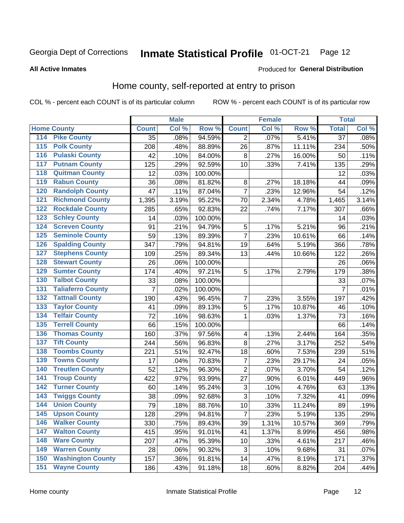#### Inmate Statistical Profile 01-OCT-21 Page 12

### **All Active Inmates**

### Produced for General Distribution

### Home county, self-reported at entry to prison

COL % - percent each COUNT is of its particular column

|                    |                          |              | <b>Male</b> |                  |                         | <b>Female</b> |        | <b>Total</b>    |       |
|--------------------|--------------------------|--------------|-------------|------------------|-------------------------|---------------|--------|-----------------|-------|
| <b>Home County</b> |                          | <b>Count</b> | Col %       | Row <sup>%</sup> | <b>Count</b>            | Col %         | Row %  | <b>Total</b>    | Col % |
| 114                | <b>Pike County</b>       | 35           | .08%        | 94.59%           | 2                       | .07%          | 5.41%  | $\overline{37}$ | .08%  |
| 115                | <b>Polk County</b>       | 208          | .48%        | 88.89%           | 26                      | .87%          | 11.11% | 234             | .50%  |
| 116                | <b>Pulaski County</b>    | 42           | .10%        | 84.00%           | 8                       | .27%          | 16.00% | 50              | .11%  |
| 117                | <b>Putnam County</b>     | 125          | .29%        | 92.59%           | 10                      | .33%          | 7.41%  | 135             | .29%  |
| 118                | <b>Quitman County</b>    | 12           | .03%        | 100.00%          |                         |               |        | 12              | .03%  |
| 119                | <b>Rabun County</b>      | 36           | .08%        | 81.82%           | 8                       | .27%          | 18.18% | 44              | .09%  |
| 120                | <b>Randolph County</b>   | 47           | .11%        | 87.04%           | $\overline{7}$          | .23%          | 12.96% | 54              | .12%  |
| 121                | <b>Richmond County</b>   | 1,395        | 3.19%       | 95.22%           | 70                      | 2.34%         | 4.78%  | 1,465           | 3.14% |
| 122                | <b>Rockdale County</b>   | 285          | .65%        | 92.83%           | 22                      | .74%          | 7.17%  | 307             | .66%  |
| 123                | <b>Schley County</b>     | 14           | .03%        | 100.00%          |                         |               |        | 14              | .03%  |
| 124                | <b>Screven County</b>    | 91           | .21%        | 94.79%           | 5                       | .17%          | 5.21%  | 96              | .21%  |
| 125                | <b>Seminole County</b>   | 59           | .13%        | 89.39%           | $\overline{7}$          | .23%          | 10.61% | 66              | .14%  |
| 126                | <b>Spalding County</b>   | 347          | .79%        | 94.81%           | 19                      | .64%          | 5.19%  | 366             | .78%  |
| 127                | <b>Stephens County</b>   | 109          | .25%        | 89.34%           | 13                      | .44%          | 10.66% | 122             | .26%  |
| 128                | <b>Stewart County</b>    | 26           | .06%        | 100.00%          |                         |               |        | 26              | .06%  |
| 129                | <b>Sumter County</b>     | 174          | .40%        | 97.21%           | 5                       | .17%          | 2.79%  | 179             | .38%  |
| 130                | <b>Talbot County</b>     | 33           | .08%        | 100.00%          |                         |               |        | 33              | .07%  |
| 131                | <b>Taliaferro County</b> | 7            | .02%        | 100.00%          |                         |               |        | $\overline{7}$  | .01%  |
| 132                | <b>Tattnall County</b>   | 190          | .43%        | 96.45%           | 7                       | .23%          | 3.55%  | 197             | .42%  |
| 133                | <b>Taylor County</b>     | 41           | .09%        | 89.13%           | 5                       | .17%          | 10.87% | 46              | .10%  |
| 134                | <b>Telfair County</b>    | 72           | .16%        | 98.63%           | 1                       | .03%          | 1.37%  | 73              | .16%  |
| 135                | <b>Terrell County</b>    | 66           | .15%        | 100.00%          |                         |               |        | 66              | .14%  |
| 136                | <b>Thomas County</b>     | 160          | .37%        | 97.56%           | $\overline{\mathbf{4}}$ | .13%          | 2.44%  | 164             | .35%  |
| 137                | <b>Tift County</b>       | 244          | .56%        | 96.83%           | 8                       | .27%          | 3.17%  | 252             | .54%  |
| 138                | <b>Toombs County</b>     | 221          | .51%        | 92.47%           | 18                      | .60%          | 7.53%  | 239             | .51%  |
| 139                | <b>Towns County</b>      | 17           | .04%        | 70.83%           | $\overline{7}$          | .23%          | 29.17% | 24              | .05%  |
| 140                | <b>Treutlen County</b>   | 52           | .12%        | 96.30%           | $\overline{2}$          | .07%          | 3.70%  | 54              | .12%  |
| 141                | <b>Troup County</b>      | 422          | .97%        | 93.99%           | 27                      | .90%          | 6.01%  | 449             | .96%  |
| 142                | <b>Turner County</b>     | 60           | .14%        | 95.24%           | $\mathbf{3}$            | .10%          | 4.76%  | 63              | .13%  |
| 143                | <b>Twiggs County</b>     | 38           | .09%        | 92.68%           | 3                       | .10%          | 7.32%  | 41              | .09%  |
| 144                | <b>Union County</b>      | 79           | .18%        | 88.76%           | 10                      | .33%          | 11.24% | 89              | .19%  |
| 145                | <b>Upson County</b>      | 128          | .29%        | 94.81%           | $\overline{7}$          | .23%          | 5.19%  | 135             | .29%  |
| 146                | <b>Walker County</b>     | 330          | .75%        | 89.43%           | 39                      | 1.31%         | 10.57% | 369             | .79%  |
| 147                | <b>Walton County</b>     | 415          | .95%        | 91.01%           | 41                      | 1.37%         | 8.99%  | 456             | .98%  |
| 148                | <b>Ware County</b>       | 207          | .47%        | 95.39%           | 10                      | .33%          | 4.61%  | 217             | .46%  |
| 149                | <b>Warren County</b>     | 28           | .06%        | 90.32%           | 3                       | .10%          | 9.68%  | 31              | .07%  |
| 150                | <b>Washington County</b> | 157          | .36%        | 91.81%           | 14                      | .47%          | 8.19%  | 171             | .37%  |
| 151                | <b>Wayne County</b>      | 186          | .43%        | 91.18%           | 18                      | .60%          | 8.82%  | 204             | .44%  |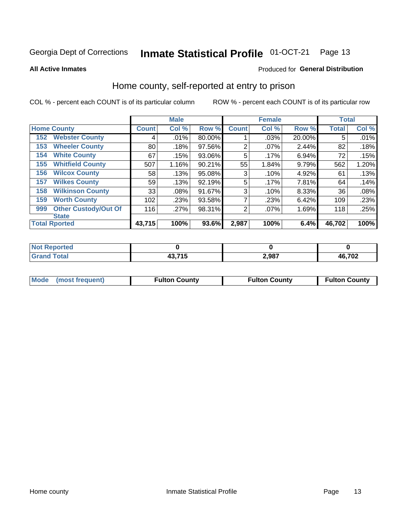### Inmate Statistical Profile 01-OCT-21 Page 13

**All Active Inmates** 

### Produced for General Distribution

### Home county, self-reported at entry to prison

COL % - percent each COUNT is of its particular column

|     |                             |              | <b>Male</b> |        |              | <b>Female</b> |        | <b>Total</b> |       |
|-----|-----------------------------|--------------|-------------|--------|--------------|---------------|--------|--------------|-------|
|     | <b>Home County</b>          | <b>Count</b> | Col %       | Row %  | <b>Count</b> | Col %         | Row %  | <b>Total</b> | Col % |
| 152 | <b>Webster County</b>       | 4            | .01%        | 80.00% |              | .03%          | 20.00% | 5            | .01%  |
| 153 | <b>Wheeler County</b>       | 80           | .18%        | 97.56% | 2            | .07%          | 2.44%  | 82           | .18%  |
| 154 | <b>White County</b>         | 67           | .15%        | 93.06% | 5            | .17%          | 6.94%  | 72           | .15%  |
| 155 | <b>Whitfield County</b>     | 507          | 1.16%       | 90.21% | 55           | 1.84%         | 9.79%  | 562          | 1.20% |
| 156 | <b>Wilcox County</b>        | 58           | .13%        | 95.08% | 3            | .10%          | 4.92%  | 61           | .13%  |
| 157 | <b>Wilkes County</b>        | 59           | .13%        | 92.19% | 5            | .17%          | 7.81%  | 64           | .14%  |
| 158 | <b>Wilkinson County</b>     | 33           | $.08\%$     | 91.67% | 3            | .10%          | 8.33%  | 36           | .08%  |
| 159 | <b>Worth County</b>         | 102          | .23%        | 93.58% | 7            | .23%          | 6.42%  | 109          | .23%  |
| 999 | <b>Other Custody/Out Of</b> | 116          | .27%        | 98.31% | 2            | .07%          | 1.69%  | 118          | .25%  |
|     | <b>State</b>                |              |             |        |              |               |        |              |       |
|     | <b>Total Rported</b>        | 43,715       | 100%        | 93.6%  | 2,987        | 100%          | 6.4%   | 46,702       | 100%  |

| Reported<br>NO        |                       |       |        |
|-----------------------|-----------------------|-------|--------|
| <b>Total</b><br>_____ | 10 74 F<br>ויי<br>тυ, | 2,987 | 46,702 |

|  | Mode (most frequent) | <b>Fulton County</b> | <b>Fulton County</b> | <b>Fulton County</b> |
|--|----------------------|----------------------|----------------------|----------------------|
|--|----------------------|----------------------|----------------------|----------------------|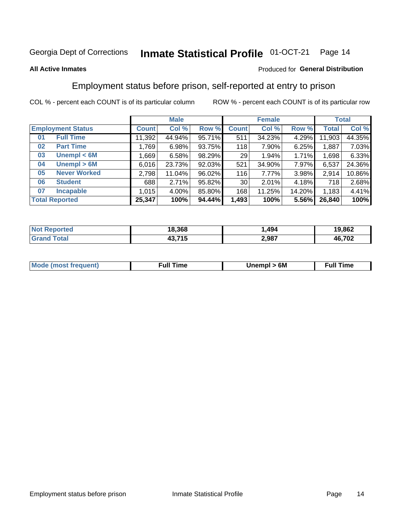#### Inmate Statistical Profile 01-OCT-21 Page 14

### **All Active Inmates**

### Produced for General Distribution

## Employment status before prison, self-reported at entry to prison

COL % - percent each COUNT is of its particular column

|                           |              | <b>Male</b> |        |              | <b>Female</b> |          |              | <b>Total</b> |  |
|---------------------------|--------------|-------------|--------|--------------|---------------|----------|--------------|--------------|--|
| <b>Employment Status</b>  | <b>Count</b> | Col %       | Row %  | <b>Count</b> | Col %         | Row %    | <b>Total</b> | Col %        |  |
| <b>Full Time</b><br>01    | 11,392       | 44.94%      | 95.71% | 511          | 34.23%        | $4.29\%$ | 11,903       | 44.35%       |  |
| <b>Part Time</b><br>02    | 1,769        | 6.98%       | 93.75% | 118          | 7.90%         | 6.25%    | 1,887        | 7.03%        |  |
| Unempl $<$ 6M<br>03       | .669         | 6.58%       | 98.29% | 29           | $1.94\%$      | 1.71%    | 1,698        | 6.33%        |  |
| Unempl > 6M<br>04         | 6,016        | 23.73%      | 92.03% | 521          | 34.90%        | $7.97\%$ | 6,537        | 24.36%       |  |
| <b>Never Worked</b><br>05 | 2,798        | 11.04%      | 96.02% | 116          | 7.77%         | 3.98%    | 2,914        | 10.86%       |  |
| <b>Student</b><br>06      | 688          | 2.71%       | 95.82% | 30           | 2.01%         | 4.18%    | 718          | 2.68%        |  |
| <b>Incapable</b><br>07    | 1,015        | $4.00\%$    | 85.80% | 168          | 11.25%        | 14.20%   | 1,183        | 4.41%        |  |
| <b>Total Reported</b>     | 25,347       | 100%        | 94.44% | 1,493        | 100%          | 5.56%    | 26,840       | 100%         |  |

| าorteo<br>NO | 18.368 | ,494  | 19,862 |
|--------------|--------|-------|--------|
| $\sim$ 10    | 43.715 | 2,987 | 46,702 |

| <b>Mode (most frequent)</b> | rull 1<br>the contract of the contract of the contract of the contract of the contract of the contract of the contract of | 6M | ïme<br>ιuι<br>the contract of the contract of the contract of the contract of the contract of the contract of the contract of |
|-----------------------------|---------------------------------------------------------------------------------------------------------------------------|----|-------------------------------------------------------------------------------------------------------------------------------|
|                             |                                                                                                                           |    |                                                                                                                               |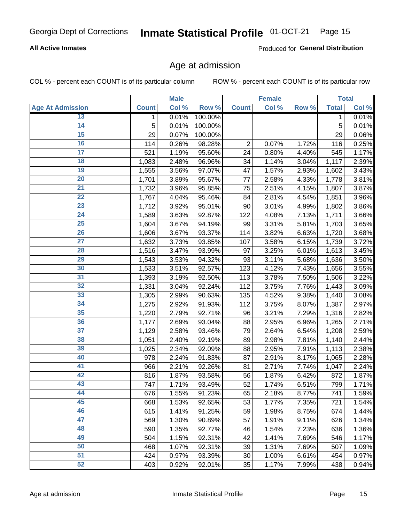## Inmate Statistical Profile 01-OCT-21 Page 15

### **All Active Inmates**

Produced for General Distribution

### Age at admission

COL % - percent each COUNT is of its particular column

|                         | <b>Male</b>  |       | <b>Female</b> |                |       | <b>Total</b> |              |       |
|-------------------------|--------------|-------|---------------|----------------|-------|--------------|--------------|-------|
| <b>Age At Admission</b> | <b>Count</b> | Col % | Row %         | <b>Count</b>   | Col % | Row %        | <b>Total</b> | Col % |
| 13                      | 1.           | 0.01% | 100.00%       |                |       |              | 1            | 0.01% |
| 14                      | 5            | 0.01% | 100.00%       |                |       |              | 5            | 0.01% |
| 15                      | 29           | 0.07% | 100.00%       |                |       |              | 29           | 0.06% |
| 16                      | 114          | 0.26% | 98.28%        | $\overline{2}$ | 0.07% | 1.72%        | 116          | 0.25% |
| $\overline{17}$         | 521          | 1.19% | 95.60%        | 24             | 0.80% | 4.40%        | 545          | 1.17% |
| 18                      | 1,083        | 2.48% | 96.96%        | 34             | 1.14% | 3.04%        | 1,117        | 2.39% |
| 19                      | 1,555        | 3.56% | 97.07%        | 47             | 1.57% | 2.93%        | 1,602        | 3.43% |
| 20                      | 1,701        | 3.89% | 95.67%        | 77             | 2.58% | 4.33%        | 1,778        | 3.81% |
| $\overline{21}$         | 1,732        | 3.96% | 95.85%        | 75             | 2.51% | 4.15%        | 1,807        | 3.87% |
| $\overline{22}$         | 1,767        | 4.04% | 95.46%        | 84             | 2.81% | 4.54%        | 1,851        | 3.96% |
| 23                      | 1,712        | 3.92% | 95.01%        | 90             | 3.01% | 4.99%        | 1,802        | 3.86% |
| $\overline{24}$         | 1,589        | 3.63% | 92.87%        | 122            | 4.08% | 7.13%        | 1,711        | 3.66% |
| $\overline{25}$         | 1,604        | 3.67% | 94.19%        | 99             | 3.31% | 5.81%        | 1,703        | 3.65% |
| 26                      | 1,606        | 3.67% | 93.37%        | 114            | 3.82% | 6.63%        | 1,720        | 3.68% |
| $\overline{27}$         | 1,632        | 3.73% | 93.85%        | 107            | 3.58% | 6.15%        | 1,739        | 3.72% |
| 28                      | 1,516        | 3.47% | 93.99%        | 97             | 3.25% | 6.01%        | 1,613        | 3.45% |
| 29                      | 1,543        | 3.53% | 94.32%        | 93             | 3.11% | 5.68%        | 1,636        | 3.50% |
| 30                      | 1,533        | 3.51% | 92.57%        | 123            | 4.12% | 7.43%        | 1,656        | 3.55% |
| 31                      | 1,393        | 3.19% | 92.50%        | 113            | 3.78% | 7.50%        | 1,506        | 3.22% |
| 32                      | 1,331        | 3.04% | 92.24%        | 112            | 3.75% | 7.76%        | 1,443        | 3.09% |
| 33                      | 1,305        | 2.99% | 90.63%        | 135            | 4.52% | 9.38%        | 1,440        | 3.08% |
| 34                      | 1,275        | 2.92% | 91.93%        | 112            | 3.75% | 8.07%        | 1,387        | 2.97% |
| 35                      | 1,220        | 2.79% | 92.71%        | 96             | 3.21% | 7.29%        | 1,316        | 2.82% |
| 36                      | 1,177        | 2.69% | 93.04%        | 88             | 2.95% | 6.96%        | 1,265        | 2.71% |
| $\overline{37}$         | 1,129        | 2.58% | 93.46%        | 79             | 2.64% | 6.54%        | 1,208        | 2.59% |
| 38                      | 1,051        | 2.40% | 92.19%        | 89             | 2.98% | 7.81%        | 1,140        | 2.44% |
| 39                      | 1,025        | 2.34% | 92.09%        | 88             | 2.95% | 7.91%        | 1,113        | 2.38% |
| 40                      | 978          | 2.24% | 91.83%        | 87             | 2.91% | 8.17%        | 1,065        | 2.28% |
| 41                      | 966          | 2.21% | 92.26%        | 81             | 2.71% | 7.74%        | 1,047        | 2.24% |
| 42                      | 816          | 1.87% | 93.58%        | 56             | 1.87% | 6.42%        | 872          | 1.87% |
| 43                      | 747          | 1.71% | 93.49%        | 52             | 1.74% | 6.51%        | 799          | 1.71% |
| 44                      | 676          | 1.55% | 91.23%        | 65             | 2.18% | 8.77%        | 741          | 1.59% |
| 45                      | 668          | 1.53% | 92.65%        | 53             | 1.77% | 7.35%        | 721          | 1.54% |
| 46                      | 615          | 1.41% | 91.25%        | 59             | 1.98% | 8.75%        | 674          | 1.44% |
| 47                      | 569          | 1.30% | 90.89%        | 57             | 1.91% | 9.11%        | 626          | 1.34% |
| 48                      | 590          | 1.35% | 92.77%        | 46             | 1.54% | 7.23%        | 636          | 1.36% |
| 49                      | 504          | 1.15% | 92.31%        | 42             | 1.41% | 7.69%        | 546          | 1.17% |
| 50                      | 468          | 1.07% | 92.31%        | 39             | 1.31% | 7.69%        | 507          | 1.09% |
| 51                      | 424          | 0.97% | 93.39%        | 30             | 1.00% | 6.61%        | 454          | 0.97% |
| 52                      | 403          | 0.92% | 92.01%        | 35             | 1.17% | 7.99%        | 438          | 0.94% |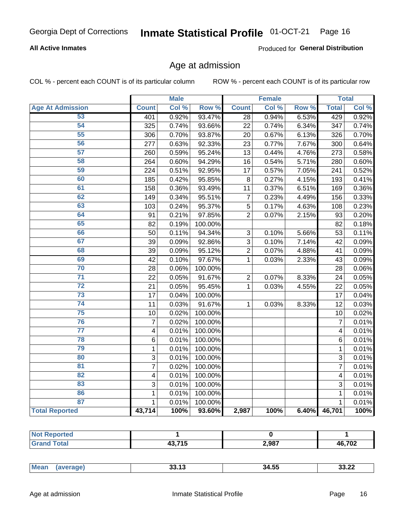## Inmate Statistical Profile 01-OCT-21 Page 16

### **All Active Inmates**

Produced for General Distribution

### Age at admission

COL % - percent each COUNT is of its particular column

|                         |                         | <b>Male</b> |                  |                 | <b>Female</b> |       |                 | <b>Total</b> |
|-------------------------|-------------------------|-------------|------------------|-----------------|---------------|-------|-----------------|--------------|
| <b>Age At Admission</b> | <b>Count</b>            | Col %       | Row <sup>%</sup> | <b>Count</b>    | Col %         | Row % | <b>Total</b>    | Col %        |
| 53                      | 401                     | 0.92%       | 93.47%           | $\overline{28}$ | 0.94%         | 6.53% | 429             | 0.92%        |
| 54                      | 325                     | 0.74%       | 93.66%           | 22              | 0.74%         | 6.34% | 347             | 0.74%        |
| $\overline{55}$         | 306                     | 0.70%       | 93.87%           | 20              | 0.67%         | 6.13% | 326             | 0.70%        |
| 56                      | 277                     | 0.63%       | 92.33%           | 23              | 0.77%         | 7.67% | 300             | 0.64%        |
| 57                      | 260                     | 0.59%       | 95.24%           | 13              | 0.44%         | 4.76% | 273             | 0.58%        |
| 58                      | 264                     | 0.60%       | 94.29%           | $\overline{16}$ | 0.54%         | 5.71% | 280             | 0.60%        |
| 59                      | 224                     | 0.51%       | 92.95%           | $\overline{17}$ | 0.57%         | 7.05% | 241             | 0.52%        |
| 60                      | 185                     | 0.42%       | 95.85%           | 8               | 0.27%         | 4.15% | 193             | 0.41%        |
| 61                      | 158                     | 0.36%       | 93.49%           | 11              | 0.37%         | 6.51% | 169             | 0.36%        |
| 62                      | 149                     | 0.34%       | 95.51%           | $\overline{7}$  | 0.23%         | 4.49% | 156             | 0.33%        |
| 63                      | 103                     | 0.24%       | 95.37%           | 5               | 0.17%         | 4.63% | 108             | 0.23%        |
| 64                      | 91                      | 0.21%       | 97.85%           | $\overline{2}$  | 0.07%         | 2.15% | 93              | 0.20%        |
| 65                      | 82                      | 0.19%       | 100.00%          |                 |               |       | 82              | 0.18%        |
| 66                      | 50                      | 0.11%       | 94.34%           | 3               | 0.10%         | 5.66% | 53              | 0.11%        |
| 67                      | 39                      | 0.09%       | 92.86%           | 3               | 0.10%         | 7.14% | 42              | 0.09%        |
| 68                      | 39                      | 0.09%       | 95.12%           | $\overline{2}$  | 0.07%         | 4.88% | 41              | 0.09%        |
| 69                      | 42                      | 0.10%       | 97.67%           | $\mathbf{1}$    | 0.03%         | 2.33% | 43              | 0.09%        |
| 70                      | 28                      | 0.06%       | 100.00%          |                 |               |       | 28              | 0.06%        |
| $\overline{71}$         | 22                      | 0.05%       | 91.67%           | $\overline{2}$  | 0.07%         | 8.33% | 24              | 0.05%        |
| $\overline{72}$         | 21                      | 0.05%       | 95.45%           | 1               | 0.03%         | 4.55% | 22              | 0.05%        |
| 73                      | 17                      | 0.04%       | 100.00%          |                 |               |       | $\overline{17}$ | 0.04%        |
| 74                      | 11                      | 0.03%       | 91.67%           | 1               | 0.03%         | 8.33% | $\overline{12}$ | 0.03%        |
| 75                      | 10                      | 0.02%       | 100.00%          |                 |               |       | 10              | 0.02%        |
| 76                      | $\overline{7}$          | 0.02%       | 100.00%          |                 |               |       | $\overline{7}$  | 0.01%        |
| $\overline{77}$         | $\overline{\mathbf{4}}$ | 0.01%       | 100.00%          |                 |               |       | 4               | 0.01%        |
| 78                      | $\,6$                   | 0.01%       | 100.00%          |                 |               |       | 6               | 0.01%        |
| 79                      | $\mathbf{1}$            | 0.01%       | 100.00%          |                 |               |       | $\mathbf{1}$    | 0.01%        |
| 80                      | 3                       | 0.01%       | 100.00%          |                 |               |       | 3               | 0.01%        |
| $\overline{81}$         | $\overline{7}$          | 0.02%       | 100.00%          |                 |               |       | 7               | 0.01%        |
| $\overline{82}$         | 4                       | 0.01%       | 100.00%          |                 |               |       | 4               | 0.01%        |
| 83                      | 3                       | 0.01%       | 100.00%          |                 |               |       | 3               | 0.01%        |
| 86                      | 1                       | 0.01%       | 100.00%          |                 |               |       | 1               | 0.01%        |
| 87                      | $\mathbf{1}$            | 0.01%       | 100.00%          |                 |               |       | $\mathbf{1}$    | 0.01%        |
| <b>Total Reported</b>   | 43,714                  | 100%        | 93.60%           | 2,987           | 100%          | 6.40% | 46,701          | 100%         |

| ueo<br>--<br>. |        |       |                      |
|----------------|--------|-------|----------------------|
|                | 12.71E | 2,987 | <b>AG 702</b><br>'∪∡ |

| Mear<br>. | <b>39.49</b><br><b>JJ.IJ</b> | .<br>34.55 | $\sim$<br>. .<br>ـ∠.دد |
|-----------|------------------------------|------------|------------------------|
|           |                              |            |                        |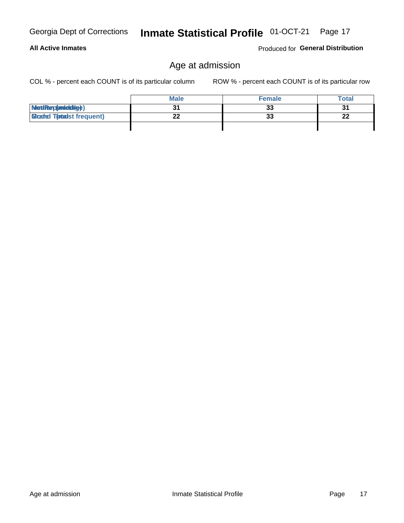| <b>Georgia Dept of Corrections</b> |
|------------------------------------|
|                                    |

### **All Active Inmates**

Produced for General Distribution

## Age at admission

Inmate Statistical Profile 01-OCT-21 Page 17

COL % - percent each COUNT is of its particular column

|                                  | <b>Male</b> | <b>Female</b> | Total |
|----------------------------------|-------------|---------------|-------|
| MetiRap(aniektig)                |             | 33            | 31    |
| <b>Cloaded Tomadst frequent)</b> | --          | 33            | 22    |
|                                  |             |               |       |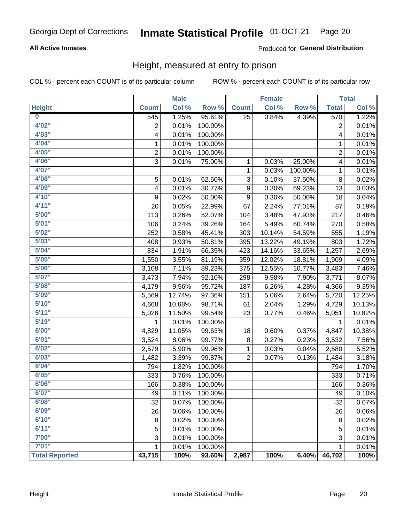### Inmate Statistical Profile 01-OCT-21 Page 20

### **All Active Inmates**

### Produced for General Distribution

### Height, measured at entry to prison

COL % - percent each COUNT is of its particular column

|                         |                | <b>Male</b> |         |                | <b>Female</b> |         |                | <b>Total</b> |
|-------------------------|----------------|-------------|---------|----------------|---------------|---------|----------------|--------------|
| <b>Height</b>           | <b>Count</b>   | Col %       | Row %   | <b>Count</b>   | Col %         | Row %   | <b>Total</b>   | Col %        |
| $\overline{\mathbf{0}}$ | 545            | 1.25%       | 95.61%  | 25             | 0.84%         | 4.39%   | 570            | 1.22%        |
| 4'02''                  | $\overline{2}$ | 0.01%       | 100.00% |                |               |         | 2              | 0.01%        |
| 4'03''                  | 4              | 0.01%       | 100.00% |                |               |         | 4              | 0.01%        |
| 4'04"                   | 1              | 0.01%       | 100.00% |                |               |         | 1              | 0.01%        |
| 4'05"                   | $\overline{2}$ | 0.01%       | 100.00% |                |               |         | $\overline{c}$ | 0.01%        |
| 4'06"                   | $\overline{3}$ | 0.01%       | 75.00%  | $\mathbf{1}$   | 0.03%         | 25.00%  | 4              | 0.01%        |
| 4'07"                   |                |             |         | 1              | 0.03%         | 100.00% | 1              | 0.01%        |
| 4'08"                   | 5              | 0.01%       | 62.50%  | 3              | 0.10%         | 37.50%  | $\bf 8$        | 0.02%        |
| 4'09"                   | 4              | 0.01%       | 30.77%  | 9              | 0.30%         | 69.23%  | 13             | 0.03%        |
| 4'10"                   | 9              | 0.02%       | 50.00%  | 9              | 0.30%         | 50.00%  | 18             | 0.04%        |
| 4'11''                  | 20             | 0.05%       | 22.99%  | 67             | 2.24%         | 77.01%  | 87             | 0.19%        |
| 5'00''                  | 113            | 0.26%       | 52.07%  | 104            | 3.48%         | 47.93%  | 217            | 0.46%        |
| 5'01"                   | 106            | 0.24%       | 39.26%  | 164            | 5.49%         | 60.74%  | 270            | 0.58%        |
| 5'02"                   | 252            | 0.58%       | 45.41%  | 303            | 10.14%        | 54.59%  | 555            | 1.19%        |
| 5'03"                   | 408            | 0.93%       | 50.81%  | 395            | 13.22%        | 49.19%  | 803            | 1.72%        |
| 5'04"                   | 834            | 1.91%       | 66.35%  | 423            | 14.16%        | 33.65%  | 1,257          | 2.69%        |
| 5'05"                   | 1,550          | 3.55%       | 81.19%  | 359            | 12.02%        | 18.81%  | 1,909          | 4.09%        |
| 5'06''                  | 3,108          | 7.11%       | 89.23%  | 375            | 12.55%        | 10.77%  | 3,483          | 7.46%        |
| 5'07"                   | 3,473          | 7.94%       | 92.10%  | 298            | 9.98%         | 7.90%   | 3,771          | 8.07%        |
| 5'08''                  | 4,179          | 9.56%       | 95.72%  | 187            | 6.26%         | 4.28%   | 4,366          | 9.35%        |
| 5'09''                  | 5,569          | 12.74%      | 97.36%  | 151            | 5.06%         | 2.64%   | 5,720          | 12.25%       |
| 5'10''                  | 4,668          | 10.68%      | 98.71%  | 61             | 2.04%         | 1.29%   | 4,729          | 10.13%       |
| 5'11''                  | 5,028          | 11.50%      | 99.54%  | 23             | 0.77%         | 0.46%   | 5,051          | 10.82%       |
| 5'19''                  | 1              | 0.01%       | 100.00% |                |               |         | 1              | 0.01%        |
| 6'00''                  | 4,829          | 11.05%      | 99.63%  | 18             | 0.60%         | 0.37%   | 4,847          | 10.38%       |
| 6'01''                  | 3,524          | 8.06%       | 99.77%  | 8              | 0.27%         | 0.23%   | 3,532          | 7.56%        |
| 6'02"                   | 2,579          | 5.90%       | 99.96%  | 1              | 0.03%         | 0.04%   | 2,580          | 5.52%        |
| 6'03''                  | 1,482          | 3.39%       | 99.87%  | $\overline{2}$ | 0.07%         | 0.13%   | 1,484          | 3.18%        |
| 6'04"                   | 794            | 1.82%       | 100.00% |                |               |         | 794            | 1.70%        |
| 6'05"                   | 333            | 0.76%       | 100.00% |                |               |         | 333            | 0.71%        |
| 6'06''                  | 166            | 0.38%       | 100.00% |                |               |         | 166            | 0.36%        |
| 6'07"                   | 49             | 0.11%       | 100.00% |                |               |         | 49             | 0.10%        |
| 6'08''                  | 32             | 0.07%       | 100.00% |                |               |         | 32             | 0.07%        |
| 6'09''                  | 26             | 0.06%       | 100.00% |                |               |         | 26             | 0.06%        |
| 6'10''                  | 8              | 0.02%       | 100.00% |                |               |         | 8              | 0.02%        |
| 6'11''                  | 5              | 0.01%       | 100.00% |                |               |         | 5              | 0.01%        |
| 7'00"                   | 3              | 0.01%       | 100.00% |                |               |         | 3              | 0.01%        |
| 7'01''                  | 1              | 0.01%       | 100.00% |                |               |         | 1              | 0.01%        |
| <b>Total Reported</b>   | 43,715         | 100%        | 93.60%  | 2,987          | 100%          | 6.40%   | 46,702         | 100%         |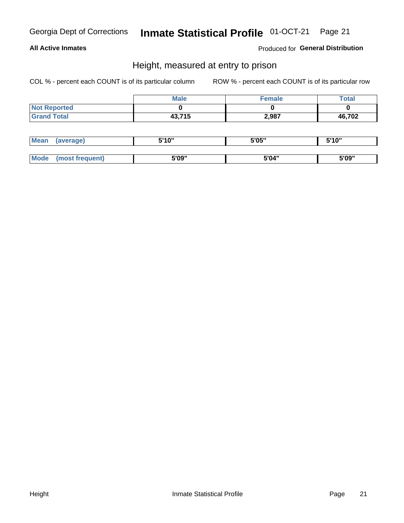## Inmate Statistical Profile 01-OCT-21 Page 21

### **All Active Inmates**

Produced for General Distribution

### Height, measured at entry to prison

COL % - percent each COUNT is of its particular column

|                     | <b>Male</b> | Female | <b>Total</b> |
|---------------------|-------------|--------|--------------|
| <b>Not Reported</b> |             |        |              |
| <b>Grand Total</b>  | 43,715      | 2,987  | 46,702       |

| <b>Mean</b> | 'average) | <b>5'10"</b><br>1 V | 5'05" | <b>CIA AIL</b><br>1 U |
|-------------|-----------|---------------------|-------|-----------------------|
|             |           |                     |       |                       |
| $M_{\odot}$ | auent)    | 5'09"               | 5'04" | 5'09"                 |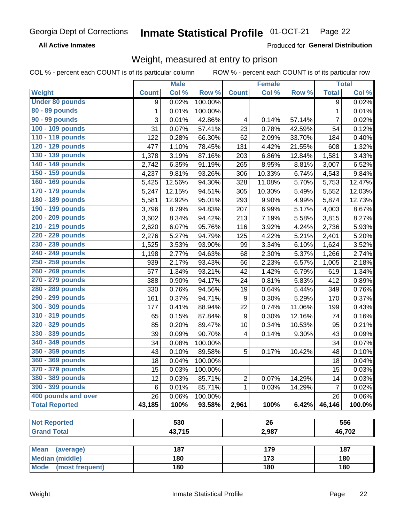#### Inmate Statistical Profile 01-OCT-21 Page 22

**All Active Inmates** 

Produced for General Distribution

## Weight, measured at entry to prison

COL % - percent each COUNT is of its particular column

|                          |              | <b>Male</b> |         |                  | <b>Female</b>    |        |                | <b>Total</b>         |
|--------------------------|--------------|-------------|---------|------------------|------------------|--------|----------------|----------------------|
| <b>Weight</b>            | <b>Count</b> | Col %       | Row %   | <b>Count</b>     | Col %            | Row %  | <b>Total</b>   | Col %                |
| <b>Under 80 pounds</b>   | 9            | 0.02%       | 100.00% |                  |                  |        | 9              | 0.02%                |
| 80 - 89 pounds           | $\mathbf{1}$ | 0.01%       | 100.00% |                  |                  |        | $\mathbf{1}$   | 0.01%                |
| 90 - 99 pounds           | 3            | 0.01%       | 42.86%  | 4                | 0.14%            | 57.14% | $\overline{7}$ | 0.02%                |
| 100 - 109 pounds         | 31           | 0.07%       | 57.41%  | 23               | 0.78%            | 42.59% | 54             | 0.12%                |
| 110 - 119 pounds         | 122          | 0.28%       | 66.30%  | 62               | 2.09%            | 33.70% | 184            | 0.40%                |
| 120 - 129 pounds         | 477          | 1.10%       | 78.45%  | 131              | 4.42%            | 21.55% | 608            | 1.32%                |
| 130 - 139 pounds         | 1,378        | 3.19%       | 87.16%  | 203              | 6.86%            | 12.84% | 1,581          | 3.43%                |
| 140 - 149 pounds         | 2,742        | 6.35%       | 91.19%  | 265              | 8.95%            | 8.81%  | 3,007          | 6.52%                |
| 150 - 159 pounds         | 4,237        | 9.81%       | 93.26%  | 306              | 10.33%           | 6.74%  | 4,543          | 9.84%                |
| 160 - 169 pounds         | 5,425        | 12.56%      | 94.30%  | 328              | 11.08%           | 5.70%  | 5,753          | 12.47%               |
| 170 - 179 pounds         | 5,247        | 12.15%      | 94.51%  | 305              | 10.30%           | 5.49%  | 5,552          | 12.03%               |
| 180 - 189 pounds         | 5,581        | 12.92%      | 95.01%  | 293              | 9.90%            | 4.99%  | 5,874          | 12.73%               |
| 190 - 199 pounds         | 3,796        | 8.79%       | 94.83%  | 207              | 6.99%            | 5.17%  | 4,003          | 8.67%                |
| 200 - 209 pounds         | 3,602        | 8.34%       | 94.42%  | 213              | 7.19%            | 5.58%  | 3,815          | 8.27%                |
| 210 - 219 pounds         | 2,620        | 6.07%       | 95.76%  | 116              | 3.92%            | 4.24%  | 2,736          | 5.93%                |
| 220 - 229 pounds         | 2,276        | 5.27%       | 94.79%  | 125              | 4.22%            | 5.21%  | 2,401          | 5.20%                |
| 230 - 239 pounds         | 1,525        | 3.53%       | 93.90%  | 99               | 3.34%            | 6.10%  | 1,624          | 3.52%                |
| 240 - 249 pounds         | 1,198        | 2.77%       | 94.63%  | 68               | 2.30%            | 5.37%  | 1,266          | 2.74%                |
| 250 - 259 pounds         | 939          | 2.17%       | 93.43%  | 66               | 2.23%            | 6.57%  | 1,005          | 2.18%                |
| 260 - 269 pounds         | 577          | 1.34%       | 93.21%  | 42               | 1.42%            | 6.79%  | 619            | 1.34%                |
| 270 - 279 pounds         | 388          | 0.90%       | 94.17%  | 24               | 0.81%            | 5.83%  | 412            | 0.89%                |
| 280 - 289 pounds         | 330          | 0.76%       | 94.56%  | 19               | 0.64%            | 5.44%  | 349            | 0.76%                |
| 290 - 299 pounds         | 161          | 0.37%       | 94.71%  | 9                | 0.30%            | 5.29%  | 170            | 0.37%                |
| 300 - 309 pounds         | 177          | 0.41%       | 88.94%  | 22               | 0.74%            | 11.06% | 199            | 0.43%                |
| 310 - 319 pounds         | 65           | 0.15%       | 87.84%  | $\boldsymbol{9}$ | 0.30%            | 12.16% | 74             | 0.16%                |
| 320 - 329 pounds         | 85           | 0.20%       | 89.47%  | 10               | 0.34%            | 10.53% | 95             | 0.21%                |
| 330 - 339 pounds         | 39           | 0.09%       | 90.70%  | 4                | 0.14%            | 9.30%  | 43             | 0.09%                |
| 340 - 349 pounds         | 34           | 0.08%       | 100.00% |                  |                  |        | 34             | 0.07%                |
| 350 - 359 pounds         | 43           | 0.10%       | 89.58%  | 5                | 0.17%            | 10.42% | 48             | 0.10%                |
| 360 - 369 pounds         | 18           | 0.04%       | 100.00% |                  |                  |        | 18             | 0.04%                |
| 370 - 379 pounds         | 15           | 0.03%       | 100.00% |                  |                  |        | 15             | 0.03%                |
| 380 - 389 pounds         | 12           | 0.03%       | 85.71%  | $\overline{2}$   | 0.07%            | 14.29% | 14             | 0.03%                |
| 390 - 399 pounds         | 6            | 0.01%       | 85.71%  | 1                | 0.03%            | 14.29% | $\overline{7}$ | 0.02%                |
| 400 pounds and over      | 26           | $0.06\%$    | 100.00% |                  |                  |        | 26             | 0.06%                |
| <b>Total Reported</b>    | 43,185       | 100%        | 93.58%  | 2,961            | 100%             | 6.42%  | 46,146         | $\overline{100.0\%}$ |
|                          |              |             |         |                  |                  |        |                |                      |
| <b>Not Reported</b>      |              | 530         |         |                  | 26               |        |                | 556                  |
| <b>Grand Total</b>       |              | 43,715      |         |                  | 2,987            |        |                | 46,702               |
|                          |              |             |         |                  |                  |        |                |                      |
| <b>Mean</b><br>(average) |              | 187         |         |                  | 179              |        |                | 187                  |
| <b>Median (middle)</b>   |              | 180         |         |                  | $\overline{173}$ |        |                | 180                  |
| Mode (most frequent)     |              | 180         |         | 180              |                  |        |                | 180                  |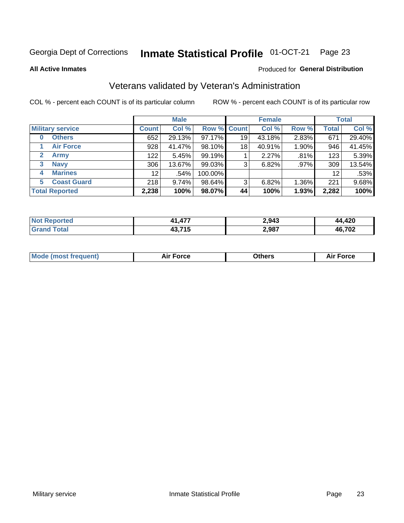#### Inmate Statistical Profile 01-OCT-21 Page 23

**All Active Inmates** 

### Produced for General Distribution

## Veterans validated by Veteran's Administration

COL % - percent each COUNT is of its particular column

|                             |                 | <b>Male</b> |         |                    | <b>Female</b> |       |              | <b>Total</b> |
|-----------------------------|-----------------|-------------|---------|--------------------|---------------|-------|--------------|--------------|
| <b>Military service</b>     | <b>Count</b>    | Col %       |         | <b>Row % Count</b> | Col %         | Row % | <b>Total</b> | Col %        |
| <b>Others</b><br>0          | 652             | 29.13%      | 97.17%  | 19                 | 43.18%        | 2.83% | 671          | 29.40%       |
| <b>Air Force</b>            | 928             | 41.47%      | 98.10%  | 18                 | 40.91%        | 1.90% | 946          | 41.45%       |
| <b>Army</b><br>$\mathbf{2}$ | 122             | 5.45%       | 99.19%  |                    | 2.27%         | .81%  | 123          | 5.39%        |
| <b>Navy</b><br>3            | 306             | 13.67%      | 99.03%  | 3                  | 6.82%         | .97%  | 309          | 13.54%       |
| <b>Marines</b><br>4         | 12 <sup>2</sup> | .54%        | 100.00% |                    |               |       | 12           | .53%         |
| <b>Coast Guard</b><br>5.    | 218             | 9.74%       | 98.64%  | 3                  | 6.82%         | 1.36% | 221          | 9.68%        |
| <b>Total Reported</b>       | 2,238           | 100%        | 98.07%  | 44                 | 100%          | 1.93% | 2,282        | 100%         |

| <b>Not</b><br>Reported | A77<br>л 1 | 2,943 | ,420          |
|------------------------|------------|-------|---------------|
| <b>Fotal</b>           | 43,715     | 2,987 | 16,702<br>46. |

|  |  | <b>Mode (most frequent)</b> | <b>Force</b><br>Aır | วthers | orce |
|--|--|-----------------------------|---------------------|--------|------|
|--|--|-----------------------------|---------------------|--------|------|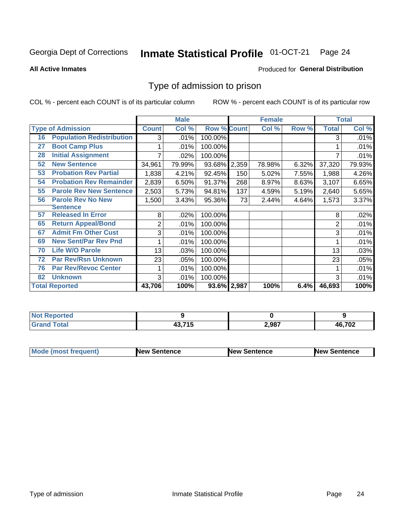### Inmate Statistical Profile 01-OCT-21 Page 24

**All Active Inmates** 

### Produced for General Distribution

### Type of admission to prison

COL % - percent each COUNT is of its particular column

|    |                                  |              | <b>Male</b> |                    |       | <b>Female</b> |       |              | <b>Total</b> |
|----|----------------------------------|--------------|-------------|--------------------|-------|---------------|-------|--------------|--------------|
|    | <b>Type of Admission</b>         | <b>Count</b> | Col %       | <b>Row % Count</b> |       | Col %         | Row % | <b>Total</b> | Col %        |
| 16 | <b>Population Redistribution</b> | 3            | .01%        | 100.00%            |       |               |       | 3            | .01%         |
| 27 | <b>Boot Camp Plus</b>            |              | .01%        | 100.00%            |       |               |       |              | .01%         |
| 28 | <b>Initial Assignment</b>        |              | .02%        | 100.00%            |       |               |       |              | .01%         |
| 52 | <b>New Sentence</b>              | 34,961       | 79.99%      | 93.68%             | 2,359 | 78.98%        | 6.32% | 37,320       | 79.93%       |
| 53 | <b>Probation Rev Partial</b>     | 1,838        | 4.21%       | 92.45%             | 150   | 5.02%         | 7.55% | 1,988        | 4.26%        |
| 54 | <b>Probation Rev Remainder</b>   | 2,839        | 6.50%       | 91.37%             | 268   | 8.97%         | 8.63% | 3,107        | 6.65%        |
| 55 | <b>Parole Rev New Sentence</b>   | 2,503        | 5.73%       | 94.81%             | 137   | 4.59%         | 5.19% | 2,640        | 5.65%        |
| 56 | <b>Parole Rev No New</b>         | 1,500        | 3.43%       | 95.36%             | 73    | 2.44%         | 4.64% | 1,573        | 3.37%        |
|    | <b>Sentence</b>                  |              |             |                    |       |               |       |              |              |
| 57 | <b>Released In Error</b>         | 8            | .02%        | 100.00%            |       |               |       | 8            | .02%         |
| 65 | <b>Return Appeal/Bond</b>        | 2            | .01%        | 100.00%            |       |               |       | 2            | .01%         |
| 67 | <b>Admit Fm Other Cust</b>       | 3            | .01%        | 100.00%            |       |               |       | 3            | .01%         |
| 69 | <b>New Sent/Par Rev Pnd</b>      |              | .01%        | 100.00%            |       |               |       |              | .01%         |
| 70 | <b>Life W/O Parole</b>           | 13           | .03%        | 100.00%            |       |               |       | 13           | .03%         |
| 72 | <b>Par Rev/Rsn Unknown</b>       | 23           | .05%        | 100.00%            |       |               |       | 23           | .05%         |
| 76 | <b>Par Rev/Revoc Center</b>      |              | .01%        | 100.00%            |       |               |       |              | .01%         |
| 82 | <b>Unknown</b>                   | 3            | .01%        | 100.00%            |       |               |       | 3            | .01%         |
|    | <b>Total Reported</b>            | 43,706       | 100%        | 93.6% 2,987        |       | 100%          | 6.4%  | 46,693       | 100%         |

| eported<br>N |         |       |                |
|--------------|---------|-------|----------------|
| <b>Total</b> | 49 74 E | 2,987 | AG 702<br>I VZ |

| <b>Mode (most frequent)</b> | <b>New Sentence</b> | <b>New Sentence</b> | <b>New Sentence</b> |
|-----------------------------|---------------------|---------------------|---------------------|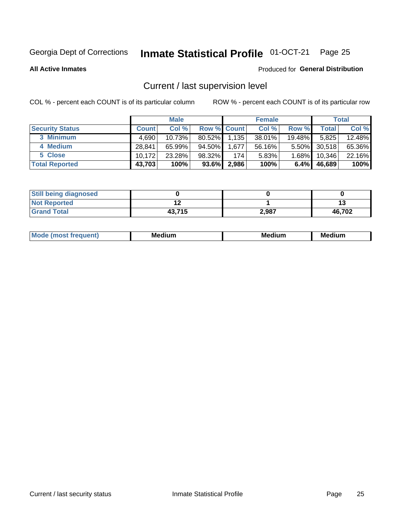## Inmate Statistical Profile 01-OCT-21 Page 25

**All Active Inmates** 

### Produced for General Distribution

## Current / last supervision level

COL % - percent each COUNT is of its particular column

|                        |              | <b>Male</b> |                    |       | <b>Female</b> |           |        | <b>Total</b> |
|------------------------|--------------|-------------|--------------------|-------|---------------|-----------|--------|--------------|
| <b>Security Status</b> | <b>Count</b> | Col %       | <b>Row % Count</b> |       | Col %         | Row %     | Total  | Col %        |
| 3 Minimum              | 4.690        | $10.73\%$   | $80.52\%$          | 1,135 | 38.01%        | $19.48\%$ | 5,825  | 12.48%       |
| 4 Medium               | 28.841       | 65.99%      | 94.50%             | 1,677 | 56.16%        | $5.50\%$  | 30,518 | 65.36%       |
| 5 Close                | 10.172       | 23.28%      | 98.32%             | 174   | 5.83%         | $1.68\%$  | 10,346 | 22.16%       |
| <b>Total Reported</b>  | 43,703       | 100%        | $93.6\%$           | 2,986 | 100%          | $6.4\%$   | 46,689 | 100%         |

| <b>Still being diagnosed</b> |        |       |        |
|------------------------------|--------|-------|--------|
| <b>Not Reported</b>          |        |       |        |
| <b>Grand Total</b>           | 43,715 | 2,987 | 46,702 |

| M | . | -- |
|---|---|----|
|   |   |    |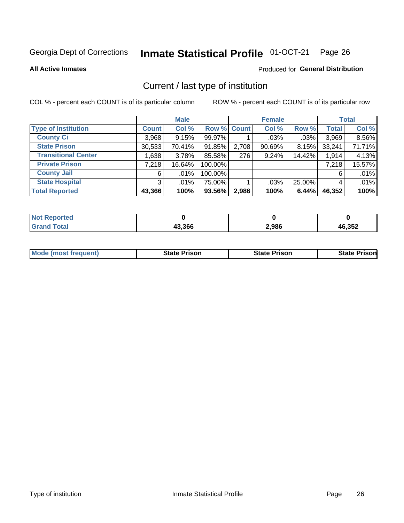### Inmate Statistical Profile 01-OCT-21 Page 26

**All Active Inmates** 

### Produced for General Distribution

## Current / last type of institution

COL % - percent each COUNT is of its particular column

|                            |              | <b>Male</b> |             |       | <b>Female</b> |          |              | <b>Total</b> |
|----------------------------|--------------|-------------|-------------|-------|---------------|----------|--------------|--------------|
| <b>Type of Institution</b> | <b>Count</b> | Col %       | Row % Count |       | Col %         | Row %    | <b>Total</b> | Col %        |
| <b>County Ci</b>           | 3,968        | 9.15%       | 99.97%      |       | $.03\%$       | .03%     | 3,969        | 8.56%        |
| <b>State Prison</b>        | 30,533       | 70.41%      | 91.85%      | 2,708 | $90.69\%$     | $8.15\%$ | 33,241       | 71.71%       |
| <b>Transitional Center</b> | 1,638        | 3.78%       | 85.58%      | 276   | 9.24%         | 14.42%   | 1,914        | 4.13%        |
| <b>Private Prison</b>      | 7,218        | 16.64%      | 100.00%     |       |               |          | 7,218        | 15.57%       |
| <b>County Jail</b>         | 6            | $.01\%$     | 100.00%     |       |               |          | 6            | .01%         |
| <b>State Hospital</b>      | 3            | $.01\%$     | 75.00%      |       | .03%          | 25.00%   | 4            | .01%         |
| <b>Total Reported</b>      | 43,366       | 100%        | 93.56%      | 2,986 | 100%          | 6.44%    | 46,352       | 100%         |

| τeα |        |       |                 |
|-----|--------|-------|-----------------|
|     | 43.366 | 2,986 | $\overline{10}$ |

| Mode (most frequent)<br><b>State Prison</b> | <b>State Prison</b> | <b>State Prisonl</b> |
|---------------------------------------------|---------------------|----------------------|
|---------------------------------------------|---------------------|----------------------|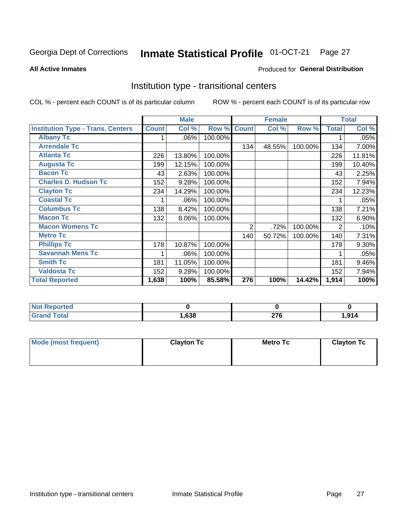### Inmate Statistical Profile 01-OCT-21 Page 27

### **All Active Inmates**

### Produced for General Distribution

### Institution type - transitional centers

COL % - percent each COUNT is of its particular column

|                                          |              | <b>Male</b> |         |                | <b>Female</b> |         |              | <b>Total</b> |
|------------------------------------------|--------------|-------------|---------|----------------|---------------|---------|--------------|--------------|
| <b>Institution Type - Trans. Centers</b> | <b>Count</b> | Col %       | Row %   | <b>Count</b>   | Col %         | Row %   | <b>Total</b> | Col %        |
| <b>Albany Tc</b>                         |              | .06%        | 100.00% |                |               |         |              | .05%         |
| <b>Arrendale Tc</b>                      |              |             |         | 134            | 48.55%        | 100.00% | 134          | 7.00%        |
| <b>Atlanta Tc</b>                        | 226          | 13.80%      | 100.00% |                |               |         | 226          | 11.81%       |
| <b>Augusta Tc</b>                        | 199          | 12.15%      | 100.00% |                |               |         | 199          | 10.40%       |
| <b>Bacon Tc</b>                          | 43           | 2.63%       | 100.00% |                |               |         | 43           | 2.25%        |
| <b>Charles D. Hudson Tc</b>              | 152          | 9.28%       | 100.00% |                |               |         | 152          | 7.94%        |
| <b>Clayton Tc</b>                        | 234          | 14.29%      | 100.00% |                |               |         | 234          | 12.23%       |
| <b>Coastal Tc</b>                        |              | .06%        | 100.00% |                |               |         |              | .05%         |
| <b>Columbus Tc</b>                       | 138          | 8.42%       | 100.00% |                |               |         | 138          | 7.21%        |
| <b>Macon Tc</b>                          | 132          | 8.06%       | 100.00% |                |               |         | 132          | $6.90\%$     |
| <b>Macon Womens Tc</b>                   |              |             |         | $\overline{2}$ | .72%          | 100.00% | 2            | .10%         |
| <b>Metro Tc</b>                          |              |             |         | 140            | 50.72%        | 100.00% | 140          | 7.31%        |
| <b>Phillips Tc</b>                       | 178          | 10.87%      | 100.00% |                |               |         | 178          | 9.30%        |
| <b>Savannah Mens Tc</b>                  |              | .06%        | 100.00% |                |               |         |              | .05%         |
| <b>Smith Tc</b>                          | 181          | 11.05%      | 100.00% |                |               |         | 181          | 9.46%        |
| <b>Valdosta Tc</b>                       | 152          | 9.28%       | 100.00% |                |               |         | 152          | 7.94%        |
| <b>Total Reported</b>                    | 1,638        | 100%        | 85.58%  | 276            | 100%          | 14.42%  | 1,914        | 100%         |

| <b>Reported</b><br>∴NO). |      |                |                            |
|--------------------------|------|----------------|----------------------------|
| <b>Total</b>             | ,638 | $\sim$<br>41 V | 01 <sub>4</sub><br>1, J 14 |

| Mode (most frequent) | <b>Clayton Tc</b> | Metro Tc | <b>Clayton Tc</b> |
|----------------------|-------------------|----------|-------------------|
|                      |                   |          |                   |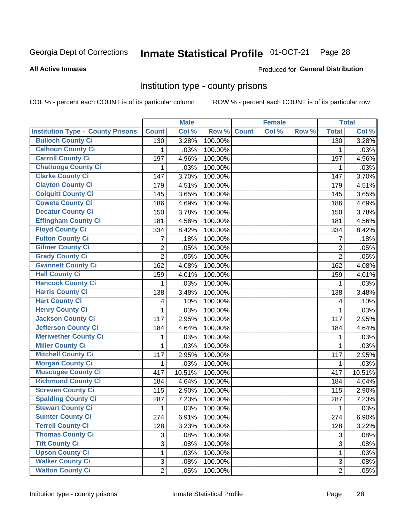## Inmate Statistical Profile 01-OCT-21 Page 28

### **All Active Inmates**

### Produced for General Distribution

### Institution type - county prisons

COL % - percent each COUNT is of its particular column

|                                          |                | <b>Male</b> |         |              | <b>Female</b> |       |                | <b>Total</b> |
|------------------------------------------|----------------|-------------|---------|--------------|---------------|-------|----------------|--------------|
| <b>Institution Type - County Prisons</b> | <b>Count</b>   | Col %       | Row %   | <b>Count</b> | Col %         | Row % | <b>Total</b>   | Col %        |
| <b>Bulloch County Ci</b>                 | 130            | 3.28%       | 100.00% |              |               |       | 130            | 3.28%        |
| <b>Calhoun County Ci</b>                 | 1              | .03%        | 100.00% |              |               |       | 1              | .03%         |
| <b>Carroll County Ci</b>                 | 197            | 4.96%       | 100.00% |              |               |       | 197            | 4.96%        |
| <b>Chattooga County Ci</b>               | 1              | .03%        | 100.00% |              |               |       | 1              | .03%         |
| <b>Clarke County Ci</b>                  | 147            | 3.70%       | 100.00% |              |               |       | 147            | 3.70%        |
| <b>Clayton County Ci</b>                 | 179            | 4.51%       | 100.00% |              |               |       | 179            | 4.51%        |
| <b>Colquitt County Ci</b>                | 145            | 3.65%       | 100.00% |              |               |       | 145            | 3.65%        |
| <b>Coweta County Ci</b>                  | 186            | 4.69%       | 100.00% |              |               |       | 186            | 4.69%        |
| <b>Decatur County Ci</b>                 | 150            | 3.78%       | 100.00% |              |               |       | 150            | 3.78%        |
| <b>Effingham County Ci</b>               | 181            | 4.56%       | 100.00% |              |               |       | 181            | 4.56%        |
| <b>Floyd County Ci</b>                   | 334            | 8.42%       | 100.00% |              |               |       | 334            | 8.42%        |
| <b>Fulton County Ci</b>                  | 7              | .18%        | 100.00% |              |               |       | $\overline{7}$ | .18%         |
| <b>Gilmer County Ci</b>                  | $\overline{2}$ | .05%        | 100.00% |              |               |       | $\overline{2}$ | .05%         |
| <b>Grady County Ci</b>                   | $\overline{2}$ | .05%        | 100.00% |              |               |       | $\overline{2}$ | .05%         |
| <b>Gwinnett County Ci</b>                | 162            | 4.08%       | 100.00% |              |               |       | 162            | 4.08%        |
| <b>Hall County Ci</b>                    | 159            | 4.01%       | 100.00% |              |               |       | 159            | 4.01%        |
| <b>Hancock County Ci</b>                 | 1              | .03%        | 100.00% |              |               |       | $\mathbf{1}$   | .03%         |
| <b>Harris County Ci</b>                  | 138            | 3.48%       | 100.00% |              |               |       | 138            | 3.48%        |
| <b>Hart County Ci</b>                    | 4              | .10%        | 100.00% |              |               |       | 4              | .10%         |
| <b>Henry County Ci</b>                   | 1              | .03%        | 100.00% |              |               |       | 1              | .03%         |
| <b>Jackson County Ci</b>                 | 117            | 2.95%       | 100.00% |              |               |       | 117            | 2.95%        |
| Jefferson County Ci                      | 184            | 4.64%       | 100.00% |              |               |       | 184            | 4.64%        |
| <b>Meriwether County Ci</b>              | 1              | .03%        | 100.00% |              |               |       | 1              | .03%         |
| <b>Miller County Ci</b>                  | 1              | .03%        | 100.00% |              |               |       | $\mathbf{1}$   | .03%         |
| <b>Mitchell County Ci</b>                | 117            | 2.95%       | 100.00% |              |               |       | 117            | 2.95%        |
| <b>Morgan County Ci</b>                  | 1              | .03%        | 100.00% |              |               |       | 1              | .03%         |
| <b>Muscogee County Ci</b>                | 417            | 10.51%      | 100.00% |              |               |       | 417            | 10.51%       |
| <b>Richmond County Ci</b>                | 184            | 4.64%       | 100.00% |              |               |       | 184            | 4.64%        |
| <b>Screven County Ci</b>                 | 115            | 2.90%       | 100.00% |              |               |       | 115            | 2.90%        |
| <b>Spalding County Ci</b>                | 287            | 7.23%       | 100.00% |              |               |       | 287            | 7.23%        |
| <b>Stewart County Ci</b>                 | 1              | .03%        | 100.00% |              |               |       | 1              | .03%         |
| <b>Sumter County Ci</b>                  | 274            | 6.91%       | 100.00% |              |               |       | 274            | 6.90%        |
| <b>Terrell County Ci</b>                 | 128            | 3.23%       | 100.00% |              |               |       | 128            | 3.22%        |
| <b>Thomas County Ci</b>                  | 3              | .08%        | 100.00% |              |               |       | 3              | .08%         |
| <b>Tift County Ci</b>                    | $\overline{3}$ | .08%        | 100.00% |              |               |       | 3              | .08%         |
| <b>Upson County Ci</b>                   | 1              | .03%        | 100.00% |              |               |       | 1              | .03%         |
| <b>Walker County Ci</b>                  | $\mathbf{3}$   | .08%        | 100.00% |              |               |       | 3              | .08%         |
| <b>Walton County Ci</b>                  | $\overline{2}$ | .05%        | 100.00% |              |               |       | $\overline{2}$ | .05%         |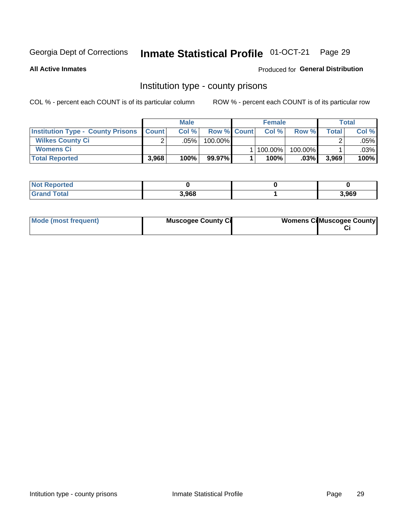## Inmate Statistical Profile 01-OCT-21 Page 29

**All Active Inmates** 

### Produced for General Distribution

### Institution type - county prisons

COL % - percent each COUNT is of its particular column

|                                                    | <b>Male</b> |         |                    | <b>Female</b> |         |         | <b>Total</b> |        |
|----------------------------------------------------|-------------|---------|--------------------|---------------|---------|---------|--------------|--------|
| <b>Institution Type - County Prisons   Count  </b> |             | Col%    | <b>Row % Count</b> |               | Col%    | Row %   | Total        | Col %  |
| <b>Wilkes County Ci</b>                            | $\sim$      | $.05\%$ | 100.00%            |               |         |         |              | .05% l |
| <b>Womens Ci</b>                                   |             |         |                    |               | 100.00% | 100.00% |              | .03%   |
| <b>Total Reported</b>                              | 3,968       | 100%    | 99.97%             |               | 100%    | $.03\%$ | 3,969        | 100%   |

| <b>Not Reported</b> |       |       |
|---------------------|-------|-------|
| <b>Grand Total</b>  | 3.968 | 3,969 |

| Mode (most frequent) | <b>Muscogee County Ci</b> | <b>Womens Ci</b> Muscogee County |
|----------------------|---------------------------|----------------------------------|
|----------------------|---------------------------|----------------------------------|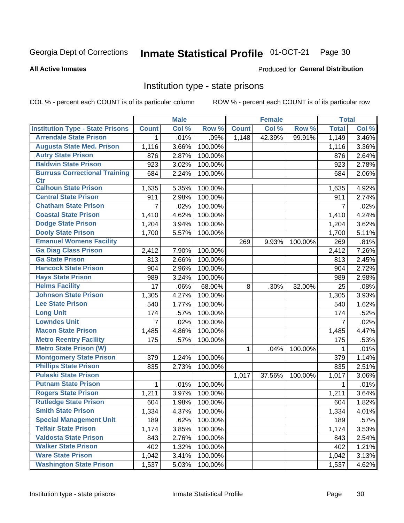### Inmate Statistical Profile 01-OCT-21 Page 30

### **All Active Inmates**

### Produced for General Distribution

### Institution type - state prisons

COL % - percent each COUNT is of its particular column

|                                         |                | <b>Male</b> |         |              | <b>Female</b> |         | <b>Total</b> |       |
|-----------------------------------------|----------------|-------------|---------|--------------|---------------|---------|--------------|-------|
| <b>Institution Type - State Prisons</b> | <b>Count</b>   | Col %       | Row %   | <b>Count</b> | Col %         | Row %   | <b>Total</b> | Col % |
| <b>Arrendale State Prison</b>           | 1              | .01%        | .09%    | 1,148        | 42.39%        | 99.91%  | 1,149        | 3.46% |
| <b>Augusta State Med. Prison</b>        | 1,116          | 3.66%       | 100.00% |              |               |         | 1,116        | 3.36% |
| <b>Autry State Prison</b>               | 876            | 2.87%       | 100.00% |              |               |         | 876          | 2.64% |
| <b>Baldwin State Prison</b>             | 923            | 3.02%       | 100.00% |              |               |         | 923          | 2.78% |
| <b>Burruss Correctional Training</b>    | 684            | 2.24%       | 100.00% |              |               |         | 684          | 2.06% |
| <b>Ctr</b>                              |                |             |         |              |               |         |              |       |
| <b>Calhoun State Prison</b>             | 1,635          | 5.35%       | 100.00% |              |               |         | 1,635        | 4.92% |
| <b>Central State Prison</b>             | 911            | 2.98%       | 100.00% |              |               |         | 911          | 2.74% |
| <b>Chatham State Prison</b>             | $\overline{7}$ | .02%        | 100.00% |              |               |         | 7            | .02%  |
| <b>Coastal State Prison</b>             | 1,410          | 4.62%       | 100.00% |              |               |         | 1,410        | 4.24% |
| <b>Dodge State Prison</b>               | 1,204          | 3.94%       | 100.00% |              |               |         | 1,204        | 3.62% |
| <b>Dooly State Prison</b>               | 1,700          | 5.57%       | 100.00% |              |               |         | 1,700        | 5.11% |
| <b>Emanuel Womens Facility</b>          |                |             |         | 269          | 9.93%         | 100.00% | 269          | .81%  |
| <b>Ga Diag Class Prison</b>             | 2,412          | 7.90%       | 100.00% |              |               |         | 2,412        | 7.26% |
| <b>Ga State Prison</b>                  | 813            | 2.66%       | 100.00% |              |               |         | 813          | 2.45% |
| <b>Hancock State Prison</b>             | 904            | 2.96%       | 100.00% |              |               |         | 904          | 2.72% |
| <b>Hays State Prison</b>                | 989            | 3.24%       | 100.00% |              |               |         | 989          | 2.98% |
| <b>Helms Facility</b>                   | 17             | .06%        | 68.00%  | 8            | .30%          | 32.00%  | 25           | .08%  |
| <b>Johnson State Prison</b>             | 1,305          | 4.27%       | 100.00% |              |               |         | 1,305        | 3.93% |
| <b>Lee State Prison</b>                 | 540            | 1.77%       | 100.00% |              |               |         | 540          | 1.62% |
| <b>Long Unit</b>                        | 174            | .57%        | 100.00% |              |               |         | 174          | .52%  |
| <b>Lowndes Unit</b>                     | $\overline{7}$ | .02%        | 100.00% |              |               |         | 7            | .02%  |
| <b>Macon State Prison</b>               | 1,485          | 4.86%       | 100.00% |              |               |         | 1,485        | 4.47% |
| <b>Metro Reentry Facility</b>           | 175            | .57%        | 100.00% |              |               |         | 175          | .53%  |
| <b>Metro State Prison (W)</b>           |                |             |         | $\mathbf 1$  | .04%          | 100.00% | 1            | .01%  |
| <b>Montgomery State Prison</b>          | 379            | 1.24%       | 100.00% |              |               |         | 379          | 1.14% |
| <b>Phillips State Prison</b>            | 835            | 2.73%       | 100.00% |              |               |         | 835          | 2.51% |
| <b>Pulaski State Prison</b>             |                |             |         | 1,017        | 37.56%        | 100.00% | 1,017        | 3.06% |
| <b>Putnam State Prison</b>              | $\mathbf{1}$   | .01%        | 100.00% |              |               |         | 1            | .01%  |
| <b>Rogers State Prison</b>              | 1,211          | 3.97%       | 100.00% |              |               |         | 1,211        | 3.64% |
| <b>Rutledge State Prison</b>            | 604            | 1.98%       | 100.00% |              |               |         | 604          | 1.82% |
| <b>Smith State Prison</b>               | 1,334          | 4.37%       | 100.00% |              |               |         | 1,334        | 4.01% |
| <b>Special Management Unit</b>          | 189            | .62%        | 100.00% |              |               |         | 189          | .57%  |
| <b>Telfair State Prison</b>             | 1,174          | 3.85%       | 100.00% |              |               |         | 1,174        | 3.53% |
| <b>Valdosta State Prison</b>            | 843            | 2.76%       | 100.00% |              |               |         | 843          | 2.54% |
| <b>Walker State Prison</b>              | 402            | 1.32%       | 100.00% |              |               |         | 402          | 1.21% |
| <b>Ware State Prison</b>                | 1,042          | 3.41%       | 100.00% |              |               |         | 1,042        | 3.13% |
| <b>Washington State Prison</b>          | 1,537          | 5.03%       | 100.00% |              |               |         | 1,537        | 4.62% |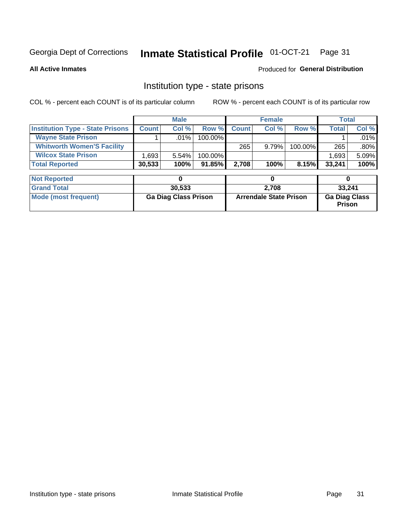### Inmate Statistical Profile 01-OCT-21 Page 31

**All Active Inmates** 

### Produced for General Distribution

## Institution type - state prisons

COL % - percent each COUNT is of its particular column

|                                         |              | <b>Male</b> |            |              | <b>Female</b> |         |              | Total   |
|-----------------------------------------|--------------|-------------|------------|--------------|---------------|---------|--------------|---------|
| <b>Institution Type - State Prisons</b> | <b>Count</b> | Col %       | Row %I     | <b>Count</b> | Col %         | Row %   | <b>Total</b> | Col %   |
| <b>Wayne State Prison</b>               |              | $.01\%$     | $100.00\%$ |              |               |         |              | $.01\%$ |
| <b>Whitworth Women'S Facility</b>       |              |             |            | 265          | 9.79%         | 100.00% | 265          | $.80\%$ |
| <b>Wilcox State Prison</b>              | .693         | $5.54\%$    | $100.00\%$ |              |               |         | 1,693        | 5.09%   |
| <b>Total Reported</b>                   | 30,533       | 100%        | $91.85\%$  | 2.708        | 100%          | 8.15%   | 33,241       | 100%    |

| <b>Not Reported</b>  |                             |                               |                                       |
|----------------------|-----------------------------|-------------------------------|---------------------------------------|
| <b>Grand Total</b>   | 30.533                      | 2.708                         | 33,241                                |
| Mode (most frequent) | <b>Ga Diag Class Prison</b> | <b>Arrendale State Prison</b> | <b>Ga Diag Class</b><br><b>Prison</b> |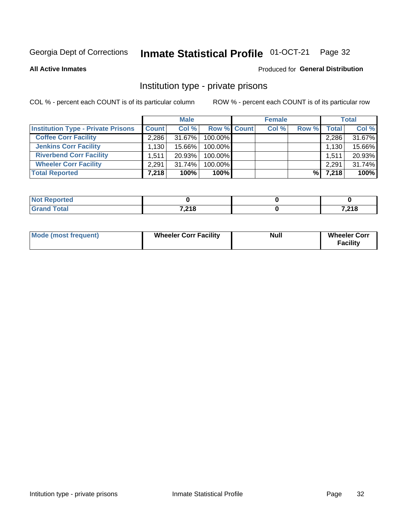## Inmate Statistical Profile 01-OCT-21 Page 32

**All Active Inmates** 

### Produced for General Distribution

### Institution type - private prisons

COL % - percent each COUNT is of its particular column

|                                           |              | <b>Male</b> |             | <b>Female</b> |       |              | <b>Total</b> |
|-------------------------------------------|--------------|-------------|-------------|---------------|-------|--------------|--------------|
| <b>Institution Type - Private Prisons</b> | <b>Count</b> | Col %       | Row % Count | Col %         | Row % | <b>Total</b> | Col %        |
| <b>Coffee Corr Facility</b>               | 2.286        | $31.67\%$   | 100.00%     |               |       | 2,286        | 31.67%       |
| <b>Jenkins Corr Facility</b>              | 1.130        | 15.66%      | 100.00%     |               |       | 1,130        | 15.66%       |
| <b>Riverbend Corr Facility</b>            | 1.511        | 20.93%      | 100.00%     |               |       | 1,511        | 20.93%       |
| <b>Wheeler Corr Facility</b>              | 2.291        | $31.74\%$   | 100.00%     |               |       | 2,291        | 31.74%       |
| <b>Total Reported</b>                     | 7,218        | 100%        | $100\%$     |               | %     | 7,218        | 100%         |

| <b>borted</b><br><b>NOT</b> |       |       |
|-----------------------------|-------|-------|
| int                         | 7,218 | 7,218 |

| <b>Mode (most frequent)</b> | <b>Wheeler Corr Facility</b> | <b>Null</b> | <b>Wheeler Corr</b><br><b>Facility</b> |
|-----------------------------|------------------------------|-------------|----------------------------------------|
|-----------------------------|------------------------------|-------------|----------------------------------------|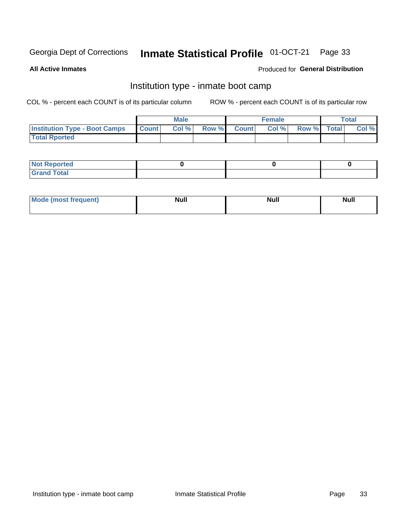#### Inmate Statistical Profile 01-OCT-21 Page 33

**All Active Inmates** 

### Produced for General Distribution

## Institution type - inmate boot camp

COL % - percent each COUNT is of its particular column

|                                      | <b>Male</b>      |       |              | <b>Female</b> |       |             | <b>Total</b> |       |
|--------------------------------------|------------------|-------|--------------|---------------|-------|-------------|--------------|-------|
| <b>Institution Type - Boot Camps</b> | <b>I</b> Count I | Col % | <b>Row %</b> | <b>Count</b>  | Col % | Row % Total |              | Col % |
| <b>Total Rported</b>                 |                  |       |              |               |       |             |              |       |

| <b>Not Reported</b>            |  |  |
|--------------------------------|--|--|
| <b>Total</b><br>C <sub>r</sub> |  |  |

| Mod<br>uamo | Nul.<br>$- - - - - -$ | <b>Null</b> | <br>uu.<br>------ |
|-------------|-----------------------|-------------|-------------------|
|             |                       |             |                   |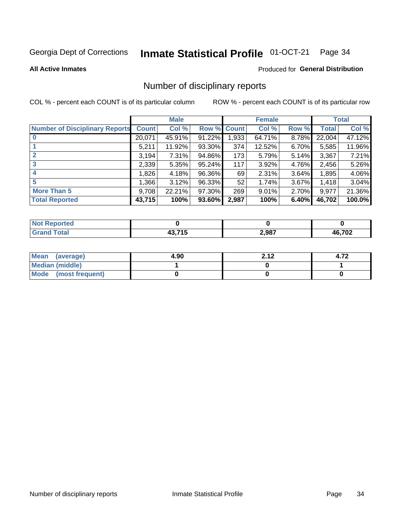### Inmate Statistical Profile 01-OCT-21 Page 34

### **All Active Inmates**

### Produced for General Distribution

## Number of disciplinary reports

COL % - percent each COUNT is of its particular column

|                                       |              | <b>Male</b> |        |             | <b>Female</b> |       |        | <b>Total</b> |
|---------------------------------------|--------------|-------------|--------|-------------|---------------|-------|--------|--------------|
| <b>Number of Disciplinary Reports</b> | <b>Count</b> | Col %       |        | Row % Count | Col %         | Row % | Total  | Col %        |
| $\bf{0}$                              | 20,071       | 45.91%      | 91.22% | 1,933       | 64.71%        | 8.78% | 22,004 | 47.12%       |
|                                       | 5,211        | 11.92%      | 93.30% | 374         | 12.52%        | 6.70% | 5,585  | 11.96%       |
| $\mathbf{2}$                          | 3,194        | 7.31%       | 94.86% | 173         | 5.79%         | 5.14% | 3,367  | 7.21%        |
| 3                                     | 2,339        | 5.35%       | 95.24% | 117         | 3.92%         | 4.76% | 2,456  | 5.26%        |
|                                       | ,826         | 4.18%       | 96.36% | 69          | 2.31%         | 3.64% | 1,895  | 4.06%        |
| 5                                     | 1,366        | 3.12%       | 96.33% | 52          | 1.74%         | 3.67% | 1,418  | 3.04%        |
| <b>More Than 5</b>                    | 9,708        | 22.21%      | 97.30% | 269         | 9.01%         | 2.70% | 9,977  | 21.36%       |
| <b>Total Reported</b>                 | 43,715       | 100%        | 93.60% | 2,987       | 100%          | 6.40% | 46,702 | 100.0%       |

| prted<br>NOT      |     |       |        |
|-------------------|-----|-------|--------|
| <sup>-</sup> otar | --- | 2,987 | 46,702 |

| Mean (average)       | 4.90 | 2.12 | 4.72 |
|----------------------|------|------|------|
| Median (middle)      |      |      |      |
| Mode (most frequent) |      |      |      |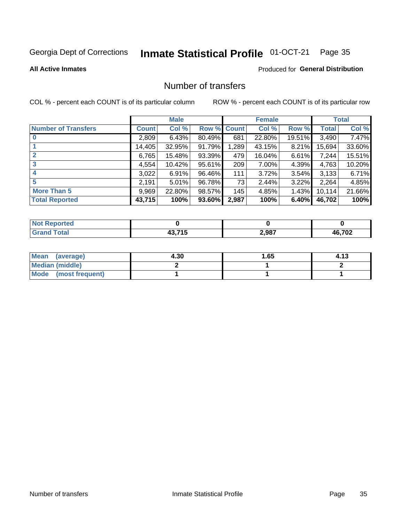## Inmate Statistical Profile 01-OCT-21 Page 35

### **All Active Inmates**

### Produced for General Distribution

## Number of transfers

COL % - percent each COUNT is of its particular column

|                            |         | <b>Male</b> |             |       | <b>Female</b> |          |              | <b>Total</b> |
|----------------------------|---------|-------------|-------------|-------|---------------|----------|--------------|--------------|
| <b>Number of Transfers</b> | Count l | Col %       | Row % Count |       | Col %         | Row %    | <b>Total</b> | Col %        |
|                            | 2,809   | 6.43%       | 80.49%      | 681   | 22.80%        | 19.51%   | 3,490        | 7.47%        |
|                            | 14,405  | 32.95%      | 91.79%      | 1,289 | 43.15%        | $8.21\%$ | 15,694       | 33.60%       |
| $\mathbf{2}$               | 6,765   | 15.48%      | 93.39%      | 479   | 16.04%        | 6.61%    | 7,244        | 15.51%       |
| 3                          | 4,554   | 10.42%      | 95.61%      | 209   | $7.00\%$      | 4.39%    | 4,763        | 10.20%       |
| 4                          | 3,022   | 6.91%       | 96.46%      | 111   | 3.72%         | $3.54\%$ | 3,133        | 6.71%        |
| 5                          | 2,191   | $5.01\%$    | 96.78%      | 73    | 2.44%         | $3.22\%$ | 2,264        | 4.85%        |
| <b>More Than 5</b>         | 9,969   | 22.80%      | 98.57%      | 145   | 4.85%         | $1.43\%$ | 10,114       | 21.66%       |
| <b>Total Reported</b>      | 43,715  | 100%        | 93.60%      | 2,987 | 100%          | 6.40%    | 46,702       | 100%         |

| วrted<br>NO. |             |       |        |
|--------------|-------------|-------|--------|
| Total        | 74 F<br>. . | 2,987 | 46,702 |

| Mean (average)         | 4.30 | 1.65 | 4.13 |
|------------------------|------|------|------|
| <b>Median (middle)</b> |      |      |      |
| Mode (most frequent)   |      |      |      |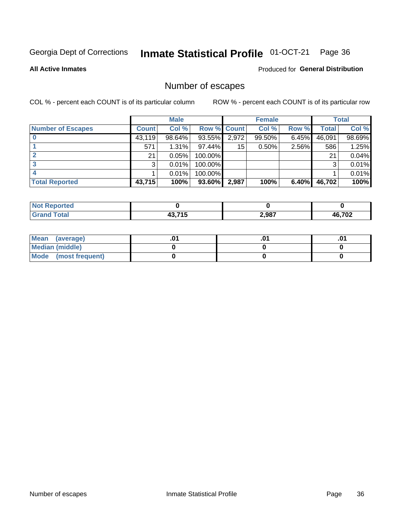## Inmate Statistical Profile 01-OCT-21 Page 36

**All Active Inmates** 

### **Produced for General Distribution**

## Number of escapes

COL % - percent each COUNT is of its particular column

|                          |              | <b>Male</b> |             |       | <b>Female</b> |          |        | <b>Total</b> |
|--------------------------|--------------|-------------|-------------|-------|---------------|----------|--------|--------------|
| <b>Number of Escapes</b> | <b>Count</b> | Col %       | Row % Count |       | Col %         | Row %    | Total  | Col %        |
|                          | 43,119       | 98.64%      | 93.55%      | 2,972 | 99.50%        | 6.45%    | 46,091 | 98.69%       |
|                          | 571          | 1.31%       | 97.44%      | 15    | 0.50%         | 2.56%    | 586    | 1.25%        |
|                          | 21           | 0.05%       | 100.00%     |       |               |          | 21     | 0.04%        |
|                          | 3            | 0.01%       | 100.00%     |       |               |          | 3      | 0.01%        |
|                          |              | 0.01%       | 100.00%     |       |               |          |        | 0.01%        |
| <b>Total Reported</b>    | 43,715       | 100%        | $93.60\%$   | 2,987 | 100%          | $6.40\%$ | 46,702 | 100%         |

| тео |              |       |        |
|-----|--------------|-------|--------|
|     | 12715<br>. . | 2,987 | 46,702 |

| Mean (average)       |  | ו ש. |
|----------------------|--|------|
| Median (middle)      |  |      |
| Mode (most frequent) |  |      |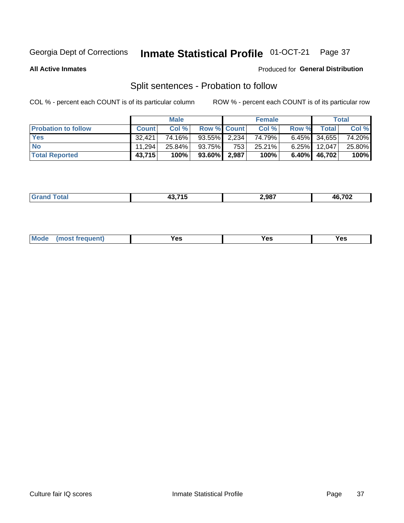### Inmate Statistical Profile 01-OCT-21 Page 37

**All Active Inmates** 

### Produced for General Distribution

## Split sentences - Probation to follow

COL % - percent each COUNT is of its particular column

|                            |              | <b>Male</b> |                    |     | <b>Female</b> |          |                 | <b>Total</b> |
|----------------------------|--------------|-------------|--------------------|-----|---------------|----------|-----------------|--------------|
| <b>Probation to follow</b> | <b>Count</b> | Col%        | <b>Row % Count</b> |     | Col %         | Row %    | <b>Total</b>    | Col %        |
| <b>Yes</b>                 | 32.421       | 74.16%      | $93.55\%$ 2.234    |     | 74.79%।       |          | $6.45\%$ 34,655 | 74.20%       |
| <b>No</b>                  | 11.294       | 25.84%      | 93.75%             | 753 | 25.21%        | $6.25\%$ | 12,047          | 25.80%       |
| <b>Total Reported</b>      | 43,715       | 100%        | 93.60% 2,987       |     | 100%          | $6.40\%$ | 46.702          | 100%         |

| ______ | . | 2.987 | $\sim$ 700<br>$\mathbf{v}$ |
|--------|---|-------|----------------------------|
|        |   |       |                            |

| $Moo$<br>requent<br>′es<br>Yes<br><b>YAC</b><br>. |
|---------------------------------------------------|
|---------------------------------------------------|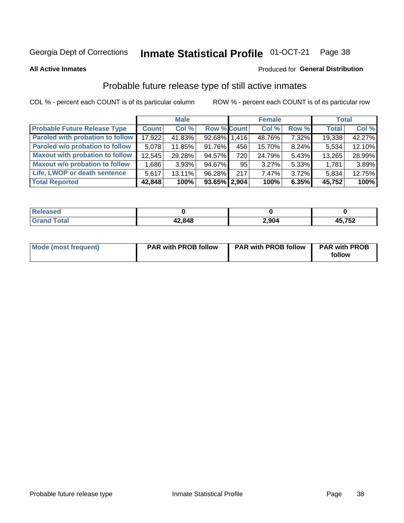#### Inmate Statistical Profile 01-OCT-21 Page 38

**All Active Inmates** 

#### Produced for General Distribution

## Probable future release type of still active inmates

COL % - percent each COUNT is of its particular column

|                                         |              | <b>Male</b> |                    |     | <b>Female</b> |          | <b>Total</b> |        |
|-----------------------------------------|--------------|-------------|--------------------|-----|---------------|----------|--------------|--------|
| <b>Probable Future Release Type</b>     | <b>Count</b> | Col %       | <b>Row % Count</b> |     | Col %         | Row %    | <b>Total</b> | Col %  |
| <b>Paroled with probation to follow</b> | 17,922       | 41.83%      | 92.68% 1,416       |     | 48.76%        | 7.32%    | 19,338       | 42.27% |
| Paroled w/o probation to follow         | 5,078        | 11.85%      | 91.76%             | 456 | 15.70%        | 8.24%    | 5,534        | 12.10% |
| <b>Maxout with probation to follow</b>  | 12,545       | 29.28%      | 94.57%             | 720 | 24.79%        | 5.43%    | 13,265       | 28.99% |
| <b>Maxout w/o probation to follow</b>   | 1,686        | 3.93%       | 94.67%             | 95  | 3.27%         | 5.33%    | 1,781        | 3.89%  |
| Life, LWOP or death sentence            | 5,617        | $13.11\%$   | 96.28%             | 217 | 7.47%         | $3.72\%$ | 5,834        | 12.75% |
| <b>Total Reported</b>                   | 42,848       | 100%        | $93.65\%$ 2,904    |     | 100%          | 6.35%    | 45,752       | 100%   |

| eleased     |        |       |             |
|-------------|--------|-------|-------------|
| <b>otal</b> | 42,848 | 2,904 | 5,752<br>45 |

| <b>Mode (most frequent)</b> | <b>PAR with PROB follow</b> | <b>PAR with PROB follow</b> | <b>PAR with PROB</b> |
|-----------------------------|-----------------------------|-----------------------------|----------------------|
|                             |                             |                             | follow               |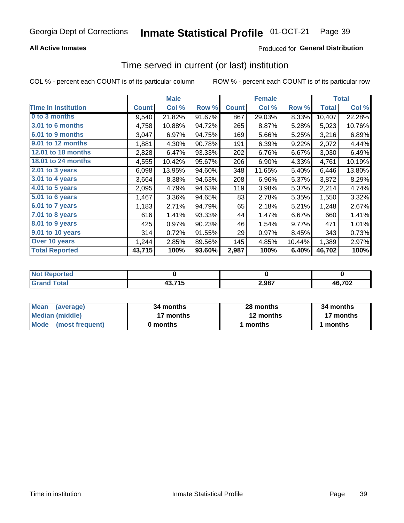### **All Active Inmates**

### Produced for General Distribution

# Time served in current (or last) institution

COL % - percent each COUNT is of its particular column

|                            |              | <b>Male</b> |        |              | <b>Female</b> |        |              | <b>Total</b> |
|----------------------------|--------------|-------------|--------|--------------|---------------|--------|--------------|--------------|
| <b>Time In Institution</b> | <b>Count</b> | Col %       | Row %  | <b>Count</b> | Col %         | Row %  | <b>Total</b> | Col $%$      |
| 0 to 3 months              | 9,540        | 21.82%      | 91.67% | 867          | 29.03%        | 8.33%  | 10,407       | 22.28%       |
| 3.01 to 6 months           | 4,758        | 10.88%      | 94.72% | 265          | 8.87%         | 5.28%  | 5,023        | 10.76%       |
| 6.01 to 9 months           | 3,047        | 6.97%       | 94.75% | 169          | 5.66%         | 5.25%  | 3,216        | 6.89%        |
| 9.01 to 12 months          | 1,881        | 4.30%       | 90.78% | 191          | 6.39%         | 9.22%  | 2,072        | 4.44%        |
| <b>12.01 to 18 months</b>  | 2,828        | 6.47%       | 93.33% | 202          | 6.76%         | 6.67%  | 3,030        | 6.49%        |
| 18.01 to 24 months         | 4,555        | 10.42%      | 95.67% | 206          | 6.90%         | 4.33%  | 4,761        | 10.19%       |
| $2.01$ to 3 years          | 6,098        | 13.95%      | 94.60% | 348          | 11.65%        | 5.40%  | 6,446        | 13.80%       |
| $3.01$ to 4 years          | 3,664        | 8.38%       | 94.63% | 208          | 6.96%         | 5.37%  | 3,872        | 8.29%        |
| 4.01 to 5 years            | 2,095        | 4.79%       | 94.63% | 119          | 3.98%         | 5.37%  | 2,214        | 4.74%        |
| 5.01 to 6 years            | 1,467        | 3.36%       | 94.65% | 83           | 2.78%         | 5.35%  | 1,550        | 3.32%        |
| 6.01 to 7 years            | 1,183        | 2.71%       | 94.79% | 65           | 2.18%         | 5.21%  | 1,248        | 2.67%        |
| 7.01 to 8 years            | 616          | 1.41%       | 93.33% | 44           | 1.47%         | 6.67%  | 660          | 1.41%        |
| 8.01 to 9 years            | 425          | 0.97%       | 90.23% | 46           | 1.54%         | 9.77%  | 471          | 1.01%        |
| 9.01 to 10 years           | 314          | 0.72%       | 91.55% | 29           | 0.97%         | 8.45%  | 343          | 0.73%        |
| Over 10 years              | 1,244        | 2.85%       | 89.56% | 145          | 4.85%         | 10.44% | 1,389        | 2.97%        |
| <b>Total Reported</b>      | 43,715       | 100%        | 93.60% | 2,987        | 100%          | 6.40%  | 46,702       | 100%         |

| onred |                        |       |              |
|-------|------------------------|-------|--------------|
| nta.  | 10 74 E<br>IJ<br>7J, 1 | 2,987 | 10.700<br>VŁ |

| <b>Mean</b><br>(average) | 34 months | 28 months | 34 months |
|--------------------------|-----------|-----------|-----------|
| Median (middle)          | 17 months | 12 months | 17 months |
| Mode (most frequent)     | 0 months  | months    | l months  |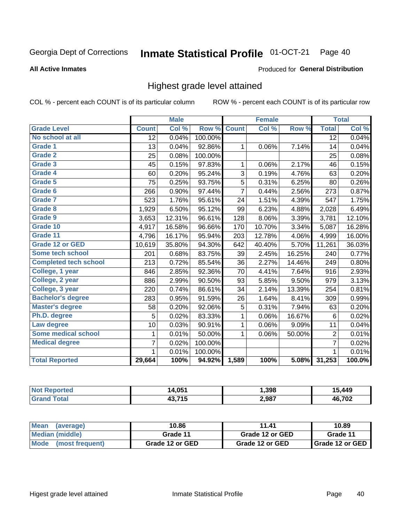#### Inmate Statistical Profile 01-OCT-21 Page 40

#### **All Active Inmates**

#### Produced for General Distribution

## Highest grade level attained

COL % - percent each COUNT is of its particular column

|                              |                 | <b>Male</b> |         |                | <b>Female</b> |        |                 | <b>Total</b> |
|------------------------------|-----------------|-------------|---------|----------------|---------------|--------|-----------------|--------------|
| <b>Grade Level</b>           | <b>Count</b>    | Col %       | Row %   | <b>Count</b>   | Col %         | Row %  | <b>Total</b>    | Col %        |
| No school at all             | $\overline{12}$ | 0.04%       | 100.00% |                |               |        | $\overline{12}$ | 0.04%        |
| <b>Grade 1</b>               | 13              | 0.04%       | 92.86%  | 1              | 0.06%         | 7.14%  | 14              | 0.04%        |
| <b>Grade 2</b>               | 25              | 0.08%       | 100.00% |                |               |        | 25              | 0.08%        |
| Grade 3                      | 45              | 0.15%       | 97.83%  | 1              | 0.06%         | 2.17%  | 46              | 0.15%        |
| <b>Grade 4</b>               | 60              | 0.20%       | 95.24%  | 3              | 0.19%         | 4.76%  | 63              | 0.20%        |
| Grade 5                      | 75              | 0.25%       | 93.75%  | 5              | 0.31%         | 6.25%  | 80              | 0.26%        |
| Grade 6                      | 266             | 0.90%       | 97.44%  | $\overline{7}$ | 0.44%         | 2.56%  | 273             | 0.87%        |
| <b>Grade 7</b>               | 523             | 1.76%       | 95.61%  | 24             | 1.51%         | 4.39%  | 547             | 1.75%        |
| Grade 8                      | 1,929           | 6.50%       | 95.12%  | 99             | 6.23%         | 4.88%  | 2,028           | 6.49%        |
| Grade 9                      | 3,653           | 12.31%      | 96.61%  | 128            | 8.06%         | 3.39%  | 3,781           | 12.10%       |
| Grade 10                     | 4,917           | 16.58%      | 96.66%  | 170            | 10.70%        | 3.34%  | 5,087           | 16.28%       |
| Grade 11                     | 4,796           | 16.17%      | 95.94%  | 203            | 12.78%        | 4.06%  | 4,999           | 16.00%       |
| <b>Grade 12 or GED</b>       | 10,619          | 35.80%      | 94.30%  | 642            | 40.40%        | 5.70%  | 11,261          | 36.03%       |
| <b>Some tech school</b>      | 201             | 0.68%       | 83.75%  | 39             | 2.45%         | 16.25% | 240             | 0.77%        |
| <b>Completed tech school</b> | 213             | 0.72%       | 85.54%  | 36             | 2.27%         | 14.46% | 249             | 0.80%        |
| College, 1 year              | 846             | 2.85%       | 92.36%  | 70             | 4.41%         | 7.64%  | 916             | 2.93%        |
| College, 2 year              | 886             | 2.99%       | 90.50%  | 93             | 5.85%         | 9.50%  | 979             | 3.13%        |
| College, 3 year              | 220             | 0.74%       | 86.61%  | 34             | 2.14%         | 13.39% | 254             | 0.81%        |
| <b>Bachelor's degree</b>     | 283             | 0.95%       | 91.59%  | 26             | 1.64%         | 8.41%  | 309             | 0.99%        |
| <b>Master's degree</b>       | 58              | 0.20%       | 92.06%  | 5              | 0.31%         | 7.94%  | 63              | 0.20%        |
| Ph.D. degree                 | 5               | 0.02%       | 83.33%  | 1              | 0.06%         | 16.67% | 6               | 0.02%        |
| Law degree                   | 10              | 0.03%       | 90.91%  | 1              | 0.06%         | 9.09%  | 11              | 0.04%        |
| <b>Some medical school</b>   | 1               | 0.01%       | 50.00%  | 1              | 0.06%         | 50.00% | 2               | 0.01%        |
| <b>Medical degree</b>        | 7               | 0.02%       | 100.00% |                |               |        | $\overline{7}$  | 0.02%        |
|                              | 1.              | 0.01%       | 100.00% |                |               |        | 1               | 0.01%        |
| <b>Total Reported</b>        | 29,664          | 100%        | 94.92%  | 1,589          | 100%          | 5.08%  | 31,253          | 100.0%       |

| 4,051<br>ıл | 1.398 | .449   |
|-------------|-------|--------|
| 43.715      | 2,987 | 46.702 |

| <b>Mean</b><br>(average) | 10.86           | 11.41           | 10.89           |
|--------------------------|-----------------|-----------------|-----------------|
| Median (middle)          | Grade 11        | Grade 12 or GED | Grade 11        |
| Mode (most frequent)     | Grade 12 or GED | Grade 12 or GED | Grade 12 or GED |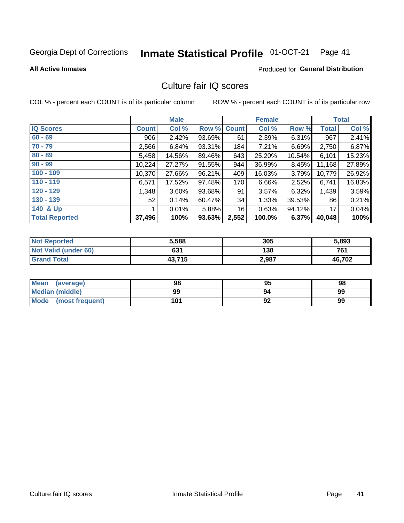#### Inmate Statistical Profile 01-OCT-21 Page 41

#### **All Active Inmates**

### **Produced for General Distribution**

## Culture fair IQ scores

COL % - percent each COUNT is of its particular column

|                       |              | <b>Male</b> |             |       | <b>Female</b> |          |              | <b>Total</b> |
|-----------------------|--------------|-------------|-------------|-------|---------------|----------|--------------|--------------|
| <b>IQ Scores</b>      | <b>Count</b> | Col %       | Row % Count |       | Col %         | Row %    | <b>Total</b> | Col %        |
| $60 - 69$             | 906          | 2.42%       | 93.69%      | 61    | 2.39%         | $6.31\%$ | 967          | 2.41%        |
| $70 - 79$             | 2,566        | 6.84%       | 93.31%      | 184   | 7.21%         | 6.69%    | 2,750        | 6.87%        |
| $80 - 89$             | 5,458        | 14.56%      | 89.46%      | 643   | 25.20%        | 10.54%   | 6,101        | 15.23%       |
| $90 - 99$             | 10,224       | 27.27%      | 91.55%      | 944   | 36.99%        | 8.45%    | 11,168       | 27.89%       |
| $100 - 109$           | 10,370       | 27.66%      | 96.21%      | 409   | 16.03%        | 3.79%    | 10,779       | 26.92%       |
| $110 - 119$           | 6,571        | 17.52%      | 97.48%      | 170   | 6.66%         | 2.52%    | 6,741        | 16.83%       |
| $120 - 129$           | 1,348        | 3.60%       | 93.68%      | 91    | 3.57%         | 6.32%    | 1,439        | 3.59%        |
| $130 - 139$           | 52           | 0.14%       | 60.47%      | 34    | 1.33%         | 39.53%   | 86           | 0.21%        |
| 140 & Up              |              | 0.01%       | 5.88%       | 16    | 0.63%         | 94.12%   | 17           | 0.04%        |
| <b>Total Reported</b> | 37,496       | 100%        | 93.63%      | 2,552 | 100.0%        | 6.37%    | 40,048       | 100%         |

| <b>Not Reported</b>         | 5,588  | 305   | 5,893  |
|-----------------------------|--------|-------|--------|
| <b>Not Valid (under 60)</b> | 631    | 130   | 761    |
| <b>Grand Total</b>          | 43,715 | 2,987 | 46,702 |

| <b>Mean</b><br>(average) | 98  | 95 | 98 |
|--------------------------|-----|----|----|
| Median (middle)          | 99  | 94 | 99 |
| Mode<br>(most frequent)  | 101 | 92 | 99 |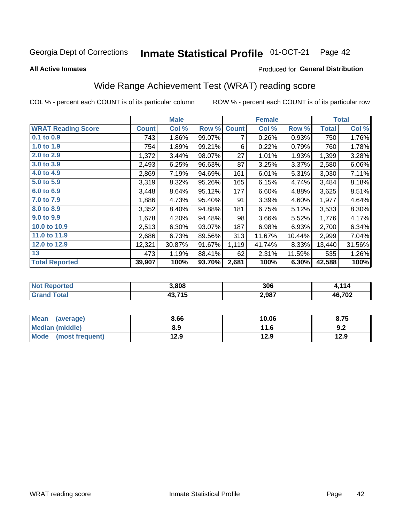#### Inmate Statistical Profile 01-OCT-21 Page 42

**All Active Inmates** 

#### Produced for General Distribution

## Wide Range Achievement Test (WRAT) reading score

COL % - percent each COUNT is of its particular column

|                           |              | <b>Male</b> |        |              | <b>Female</b> |        |              | <b>Total</b> |
|---------------------------|--------------|-------------|--------|--------------|---------------|--------|--------------|--------------|
| <b>WRAT Reading Score</b> | <b>Count</b> | Col %       | Row %  | <b>Count</b> | Col %         | Row %  | <b>Total</b> | Col %        |
| $0.1$ to $0.9$            | 743          | 1.86%       | 99.07% | 7            | 0.26%         | 0.93%  | 750          | 1.76%        |
| 1.0 to 1.9                | 754          | 1.89%       | 99.21% | 6            | 0.22%         | 0.79%  | 760          | 1.78%        |
| 2.0 to 2.9                | 1,372        | 3.44%       | 98.07% | 27           | 1.01%         | 1.93%  | 1,399        | 3.28%        |
| 3.0 to 3.9                | 2,493        | 6.25%       | 96.63% | 87           | 3.25%         | 3.37%  | 2,580        | 6.06%        |
| 4.0 to 4.9                | 2,869        | 7.19%       | 94.69% | 161          | 6.01%         | 5.31%  | 3,030        | 7.11%        |
| 5.0 to 5.9                | 3,319        | 8.32%       | 95.26% | 165          | 6.15%         | 4.74%  | 3,484        | 8.18%        |
| 6.0 to 6.9                | 3,448        | 8.64%       | 95.12% | 177          | 6.60%         | 4.88%  | 3,625        | 8.51%        |
| 7.0 to 7.9                | 1,886        | 4.73%       | 95.40% | 91           | 3.39%         | 4.60%  | 1,977        | 4.64%        |
| 8.0 to 8.9                | 3,352        | 8.40%       | 94.88% | 181          | 6.75%         | 5.12%  | 3,533        | 8.30%        |
| 9.0 to 9.9                | 1,678        | 4.20%       | 94.48% | 98           | 3.66%         | 5.52%  | 1,776        | 4.17%        |
| 10.0 to 10.9              | 2,513        | 6.30%       | 93.07% | 187          | 6.98%         | 6.93%  | 2,700        | 6.34%        |
| 11.0 to 11.9              | 2,686        | 6.73%       | 89.56% | 313          | 11.67%        | 10.44% | 2,999        | 7.04%        |
| 12.0 to 12.9              | 12,321       | 30.87%      | 91.67% | 1,119        | 41.74%        | 8.33%  | 13,440       | 31.56%       |
| 13                        | 473          | 1.19%       | 88.41% | 62           | 2.31%         | 11.59% | 535          | 1.26%        |
| <b>Total Reported</b>     | 39,907       | 100%        | 93.70% | 2,681        | 100%          | 6.30%  | 42,588       | 100%         |

| rted<br>NO | 3,808  | 306   | $\overline{A}$        |
|------------|--------|-------|-----------------------|
| $f$ otol   | 43,715 | 2,987 | E 702<br>л і<br>7 U Z |

| <b>Mean</b><br>(average) | 8.66 | 10.06 | 8.75 |
|--------------------------|------|-------|------|
| Median (middle)          | 8.9  | 11.6  | 9.2  |
| Mode<br>(most frequent)  | 12.9 | 12.9  | 12.9 |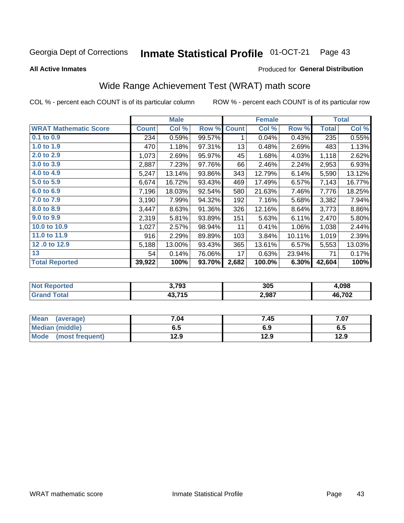#### Inmate Statistical Profile 01-OCT-21 Page 43

**All Active Inmates** 

#### Produced for General Distribution

## Wide Range Achievement Test (WRAT) math score

COL % - percent each COUNT is of its particular column

|                              |              | <b>Male</b> |        |              | <b>Female</b> |        |              | <b>Total</b> |
|------------------------------|--------------|-------------|--------|--------------|---------------|--------|--------------|--------------|
| <b>WRAT Mathematic Score</b> | <b>Count</b> | Col %       | Row %  | <b>Count</b> | Col %         | Row %  | <b>Total</b> | Col %        |
| $0.1$ to $0.9$               | 234          | 0.59%       | 99.57% | 1            | 0.04%         | 0.43%  | 235          | 0.55%        |
| 1.0 to 1.9                   | 470          | 1.18%       | 97.31% | 13           | 0.48%         | 2.69%  | 483          | 1.13%        |
| 2.0 to 2.9                   | 1,073        | 2.69%       | 95.97% | 45           | 1.68%         | 4.03%  | 1,118        | 2.62%        |
| 3.0 to 3.9                   | 2,887        | 7.23%       | 97.76% | 66           | 2.46%         | 2.24%  | 2,953        | 6.93%        |
| 4.0 to 4.9                   | 5,247        | 13.14%      | 93.86% | 343          | 12.79%        | 6.14%  | 5,590        | 13.12%       |
| 5.0 to 5.9                   | 6,674        | 16.72%      | 93.43% | 469          | 17.49%        | 6.57%  | 7,143        | 16.77%       |
| 6.0 to 6.9                   | 7,196        | 18.03%      | 92.54% | 580          | 21.63%        | 7.46%  | 7,776        | 18.25%       |
| 7.0 to 7.9                   | 3,190        | 7.99%       | 94.32% | 192          | 7.16%         | 5.68%  | 3,382        | 7.94%        |
| 8.0 to 8.9                   | 3,447        | 8.63%       | 91.36% | 326          | 12.16%        | 8.64%  | 3,773        | 8.86%        |
| 9.0 to 9.9                   | 2,319        | 5.81%       | 93.89% | 151          | 5.63%         | 6.11%  | 2,470        | 5.80%        |
| 10.0 to 10.9                 | 1,027        | 2.57%       | 98.94% | 11           | 0.41%         | 1.06%  | 1,038        | 2.44%        |
| 11.0 to 11.9                 | 916          | 2.29%       | 89.89% | 103          | 3.84%         | 10.11% | 1,019        | 2.39%        |
| 12.0 to 12.9                 | 5,188        | 13.00%      | 93.43% | 365          | 13.61%        | 6.57%  | 5,553        | 13.03%       |
| 13                           | 54           | 0.14%       | 76.06% | 17           | 0.63%         | 23.94% | 71           | 0.17%        |
| <b>Total Reported</b>        | 39,922       | 100%        | 93.70% | 2,682        | 100.0%        | 6.30%  | 42,604       | 100%         |

| Teu.<br>NO | 3,793  | 305   | .098                |
|------------|--------|-------|---------------------|
| int        | 43,715 | 2,987 | פחד:<br>л і<br>I VZ |

| <b>Mean</b><br>(average) | 7.04 | 7.45 | 7.07 |
|--------------------------|------|------|------|
| <b>Median (middle)</b>   | 6.5  | 6.9  | c.o  |
| Mode (most frequent)     | 12.9 | 12.9 | 12.9 |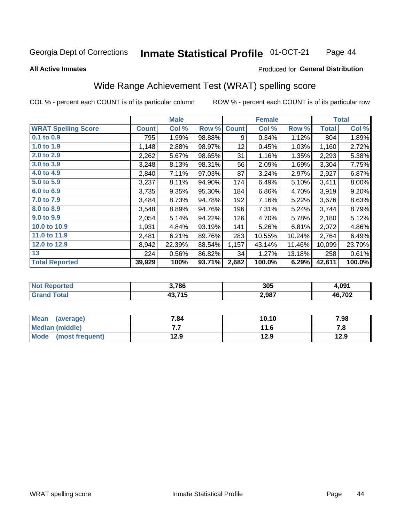#### Inmate Statistical Profile 01-OCT-21 Page 44

#### **All Active Inmates**

### Produced for General Distribution

## Wide Range Achievement Test (WRAT) spelling score

COL % - percent each COUNT is of its particular column

|                            |              | <b>Male</b> |        |              | <b>Female</b> |        |              | <b>Total</b> |
|----------------------------|--------------|-------------|--------|--------------|---------------|--------|--------------|--------------|
| <b>WRAT Spelling Score</b> | <b>Count</b> | Col %       | Row %  | <b>Count</b> | Col %         | Row %  | <b>Total</b> | Col %        |
| $0.1$ to $0.9$             | 795          | 1.99%       | 98.88% | 9            | 0.34%         | 1.12%  | 804          | 1.89%        |
| 1.0 to 1.9                 | 1,148        | 2.88%       | 98.97% | 12           | 0.45%         | 1.03%  | 1,160        | 2.72%        |
| 2.0 to 2.9                 | 2,262        | 5.67%       | 98.65% | 31           | 1.16%         | 1.35%  | 2,293        | 5.38%        |
| 3.0 to 3.9                 | 3,248        | 8.13%       | 98.31% | 56           | 2.09%         | 1.69%  | 3,304        | 7.75%        |
| 4.0 to 4.9                 | 2,840        | 7.11%       | 97.03% | 87           | 3.24%         | 2.97%  | 2,927        | 6.87%        |
| 5.0 to 5.9                 | 3,237        | 8.11%       | 94.90% | 174          | 6.49%         | 5.10%  | 3,411        | 8.00%        |
| 6.0 to 6.9                 | 3,735        | 9.35%       | 95.30% | 184          | 6.86%         | 4.70%  | 3,919        | 9.20%        |
| 7.0 to 7.9                 | 3,484        | 8.73%       | 94.78% | 192          | 7.16%         | 5.22%  | 3,676        | 8.63%        |
| 8.0 to 8.9                 | 3,548        | 8.89%       | 94.76% | 196          | 7.31%         | 5.24%  | 3,744        | 8.79%        |
| 9.0 to 9.9                 | 2,054        | 5.14%       | 94.22% | 126          | 4.70%         | 5.78%  | 2,180        | 5.12%        |
| 10.0 to 10.9               | 1,931        | 4.84%       | 93.19% | 141          | 5.26%         | 6.81%  | 2,072        | 4.86%        |
| 11.0 to 11.9               | 2,481        | 6.21%       | 89.76% | 283          | 10.55%        | 10.24% | 2,764        | 6.49%        |
| 12.0 to 12.9               | 8,942        | 22.39%      | 88.54% | 1,157        | 43.14%        | 11.46% | 10,099       | 23.70%       |
| 13                         | 224          | 0.56%       | 86.82% | 34           | 1.27%         | 13.18% | 258          | 0.61%        |
| <b>Total Reported</b>      | 39,929       | 100%        | 93.71% | 2,682        | 100.0%        | 6.29%  | 42,611       | 100.0%       |

| NO)<br>keported | 3,786  | 305   | 1.091                      |
|-----------------|--------|-------|----------------------------|
| <b>otal</b>     | 43.715 | 2,987 | <b>702</b><br>л і<br>7 U L |

| <b>Mean</b><br>(average) | 7.84 | 10.10 | 7.98 |
|--------------------------|------|-------|------|
| Median (middle)          | .    | 11.6  | 7. L |
| Mode<br>(most frequent)  | 12.9 | 12.9  | 12.9 |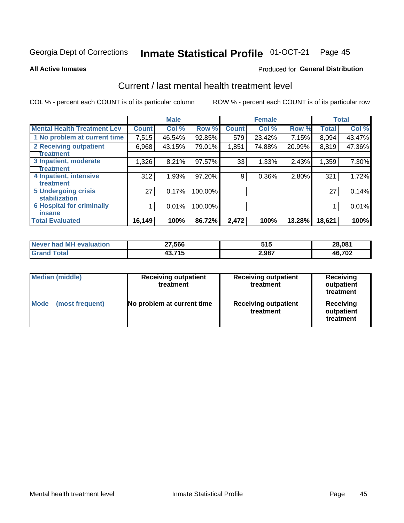#### Inmate Statistical Profile 01-OCT-21 Page 45

#### **All Active Inmates**

### **Produced for General Distribution**

## Current / last mental health treatment level

COL % - percent each COUNT is of its particular column

|                                    |              | <b>Male</b> |         |              | <b>Female</b> |        |              | <b>Total</b> |
|------------------------------------|--------------|-------------|---------|--------------|---------------|--------|--------------|--------------|
| <b>Mental Health Treatment Lev</b> | <b>Count</b> | Col %       | Row %   | <b>Count</b> | Col %         | Row %  | <b>Total</b> | Col %        |
| 1 No problem at current time       | 7,515        | 46.54%      | 92.85%  | 579          | 23.42%        | 7.15%  | 8,094        | 43.47%       |
| 2 Receiving outpatient             | 6,968        | 43.15%      | 79.01%  | 1,851        | 74.88%        | 20.99% | 8,819        | 47.36%       |
| <b>Treatment</b>                   |              |             |         |              |               |        |              |              |
| 3 Inpatient, moderate              | 1,326        | 8.21%       | 97.57%  | 33           | 1.33%         | 2.43%  | 1,359        | 7.30%        |
| Treatment                          |              |             |         |              |               |        |              |              |
| 4 Inpatient, intensive             | 312          | 1.93%       | 97.20%  | 9            | 0.36%         | 2.80%  | 321          | 1.72%        |
| <b>Treatment</b>                   |              |             |         |              |               |        |              |              |
| <b>5 Undergoing crisis</b>         | 27           | 0.17%       | 100.00% |              |               |        | 27           | 0.14%        |
| <b>Stabilization</b>               |              |             |         |              |               |        |              |              |
| <b>6 Hospital for criminally</b>   |              | 0.01%       | 100.00% |              |               |        |              | 0.01%        |
| <b>Tinsane</b>                     |              |             |         |              |               |        |              |              |
| <b>Total Evaluated</b>             | 16, 149      | 100%        | 86.72%  | 2,472        | 100%          | 13.28% | 18,621       | 100%         |

| Never had MH evaluation | 27,566 | 515   | 28,081 |
|-------------------------|--------|-------|--------|
| <b>Grand Total</b>      | 43,715 | 2,987 | 46,702 |

| <b>Median (middle)</b>         | <b>Receiving outpatient</b><br>treatment | <b>Receiving outpatient</b><br>treatment | <b>Receiving</b><br>outpatient<br>treatment |  |
|--------------------------------|------------------------------------------|------------------------------------------|---------------------------------------------|--|
| <b>Mode</b><br>(most frequent) | No problem at current time               | <b>Receiving outpatient</b><br>treatment | Receiving<br>outpatient<br>treatment        |  |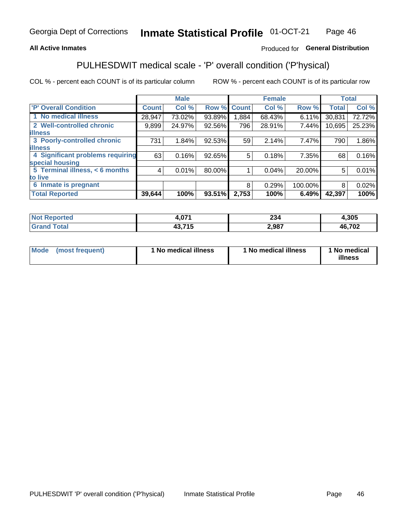### **All Active Inmates**

### Produced for General Distribution

## PULHESDWIT medical scale - 'P' overall condition ('P'hysical)

COL % - percent each COUNT is of its particular column

|                                         |              | <b>Male</b> |        |              | <b>Female</b> |         |              | <b>Total</b> |
|-----------------------------------------|--------------|-------------|--------|--------------|---------------|---------|--------------|--------------|
| 'P' Overall Condition                   | <b>Count</b> | Col %       | Row %  | <b>Count</b> | Col %         | Row %   | <b>Total</b> | Col %        |
| 1 No medical illness                    | 28,947       | 73.02%      | 93.89% | 1,884        | 68.43%        | 6.11%   | 30,831       | 72.72%       |
| 2 Well-controlled chronic               | 9,899        | 24.97%      | 92.56% | 796          | 28.91%        | 7.44%   | 10,695       | 25.23%       |
| <b>illness</b>                          |              |             |        |              |               |         |              |              |
| 3 Poorly-controlled chronic             | 731          | 1.84%       | 92.53% | 59           | 2.14%         | 7.47%   | 790          | 1.86%        |
| <b>illness</b>                          |              |             |        |              |               |         |              |              |
| <b>4 Significant problems requiring</b> | 63           | 0.16%       | 92.65% | 5            | 0.18%         | 7.35%   | 68           | 0.16%        |
| special housing                         |              |             |        |              |               |         |              |              |
| 5 Terminal illness, < 6 months          | 4            | 0.01%       | 80.00% |              | 0.04%         | 20.00%  | 5            | 0.01%        |
| to live                                 |              |             |        |              |               |         |              |              |
| 6 Inmate is pregnant                    |              |             |        | 8            | 0.29%         | 100.00% | 8            | 0.02%        |
| <b>Total Reported</b>                   | 39,644       | 100%        | 93.51% | 2,753        | 100%          | 6.49%   | 42,397       | 100%         |

| тео | .071  | oo.<br>294 | ,305   |
|-----|-------|------------|--------|
|     | - - - | 2,987      | 46,702 |

| Mode<br>(most frequent) |  | <sup>1</sup> No medical illness | 1 No medical illness | 1 No medical<br>illness |
|-------------------------|--|---------------------------------|----------------------|-------------------------|
|-------------------------|--|---------------------------------|----------------------|-------------------------|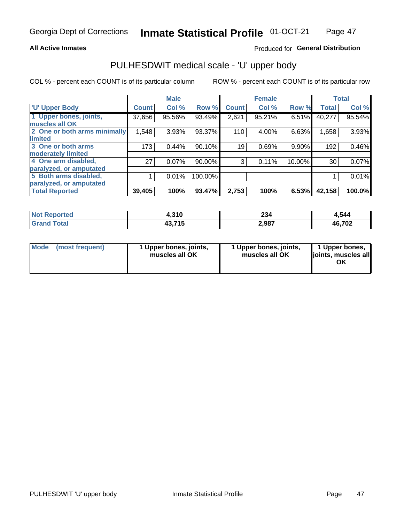### **All Active Inmates**

### Produced for General Distribution

# PULHESDWIT medical scale - 'U' upper body

COL % - percent each COUNT is of its particular column

|                              |              | <b>Male</b> |         |              | <b>Female</b> |        |              | <b>Total</b> |
|------------------------------|--------------|-------------|---------|--------------|---------------|--------|--------------|--------------|
| <b>U' Upper Body</b>         | <b>Count</b> | Col %       | Row %   | <b>Count</b> | Col %         | Row %  | <b>Total</b> | Col %        |
| 1 Upper bones, joints,       | 37,656       | 95.56%      | 93.49%  | 2,621        | 95.21%        | 6.51%  | 40,277       | 95.54%       |
| muscles all OK               |              |             |         |              |               |        |              |              |
| 2 One or both arms minimally | 1,548        | 3.93%       | 93.37%  | 110          | 4.00%         | 6.63%  | 1,658        | 3.93%        |
| limited                      |              |             |         |              |               |        |              |              |
| 3 One or both arms           | 173          | 0.44%       | 90.10%  | 19           | 0.69%         | 9.90%  | 192          | 0.46%        |
| <b>moderately limited</b>    |              |             |         |              |               |        |              |              |
| 4 One arm disabled,          | 27           | 0.07%       | 90.00%  | 3            | 0.11%         | 10.00% | 30           | 0.07%        |
| paralyzed, or amputated      |              |             |         |              |               |        |              |              |
| 5 Both arms disabled,        |              | 0.01%       | 100.00% |              |               |        |              | 0.01%        |
| paralyzed, or amputated      |              |             |         |              |               |        |              |              |
| <b>Total Reported</b>        | 39,405       | 100%        | 93.47%  | 2,753        | 100%          | 6.53%  | 42,158       | 100.0%       |

| <b>Not Reported</b>          | 4,310  | 234   | 1,544  |
|------------------------------|--------|-------|--------|
| <b>Total</b><br><b>Grand</b> | 43,715 | 2,987 | 46,702 |

| Mode<br>(most frequent) | 1 Upper bones, joints,<br>muscles all OK | 1 Upper bones, joints,<br>muscles all OK | 1 Upper bones,<br>joints, muscles all<br>ΟK |
|-------------------------|------------------------------------------|------------------------------------------|---------------------------------------------|
|-------------------------|------------------------------------------|------------------------------------------|---------------------------------------------|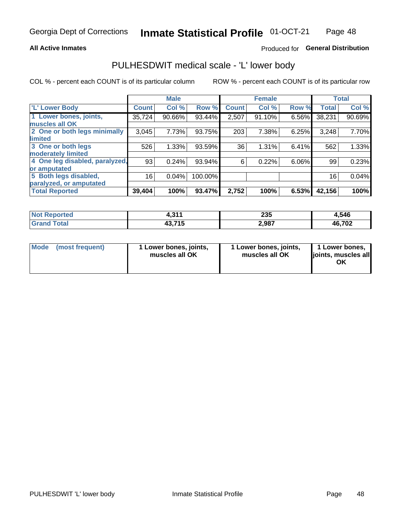### **All Active Inmates**

### Produced for General Distribution

## PULHESDWIT medical scale - 'L' lower body

COL % - percent each COUNT is of its particular column

|                                |              | <b>Male</b> |         |              | <b>Female</b> |       |              | <b>Total</b> |
|--------------------------------|--------------|-------------|---------|--------------|---------------|-------|--------------|--------------|
| 'L' Lower Body                 | <b>Count</b> | Col %       | Row %   | <b>Count</b> | Col %         | Row % | <b>Total</b> | Col %        |
| 1 Lower bones, joints,         | 35,724       | 90.66%      | 93.44%  | 2,507        | 91.10%        | 6.56% | 38,231       | 90.69%       |
| muscles all OK                 |              |             |         |              |               |       |              |              |
| 2 One or both legs minimally   | 3,045        | 7.73%       | 93.75%  | 203          | 7.38%         | 6.25% | 3,248        | 7.70%        |
| limited                        |              |             |         |              |               |       |              |              |
| 3 One or both legs             | 526          | 1.33%       | 93.59%  | 36           | 1.31%         | 6.41% | 562          | 1.33%        |
| moderately limited             |              |             |         |              |               |       |              |              |
| 4 One leg disabled, paralyzed, | 93           | 0.24%       | 93.94%  | 6            | 0.22%         | 6.06% | 99           | 0.23%        |
| or amputated                   |              |             |         |              |               |       |              |              |
| 5 Both legs disabled,          | 16           | 0.04%       | 100.00% |              |               |       | 16           | 0.04%        |
| paralyzed, or amputated        |              |             |         |              |               |       |              |              |
| <b>Total Reported</b>          | 39,404       | 100%        | 93.47%  | 2,752        | 100%          | 6.53% | 42,156       | 100%         |

| <b>Not Reported</b>   | 244<br>ו ו טוד | 235   | 1,546  |
|-----------------------|----------------|-------|--------|
| <b>Total</b><br>Granc | 43,715         | 2,987 | 46,702 |

|  | Mode (most frequent) | 1 Lower bones, joints,<br>muscles all OK | 1 Lower bones, joints,<br>muscles all OK | 1 Lower bones,<br>joints, muscles all<br>ΟK |
|--|----------------------|------------------------------------------|------------------------------------------|---------------------------------------------|
|--|----------------------|------------------------------------------|------------------------------------------|---------------------------------------------|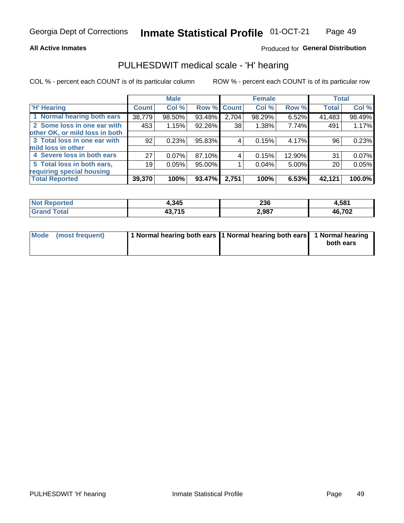### **All Active Inmates**

### Produced for General Distribution

## PULHESDWIT medical scale - 'H' hearing

COL % - percent each COUNT is of its particular column

|                                |              | <b>Male</b> |             |       | <b>Female</b> |        | <b>Total</b> |        |
|--------------------------------|--------------|-------------|-------------|-------|---------------|--------|--------------|--------|
| <b>'H' Hearing</b>             | <b>Count</b> | Col %       | Row % Count |       | Col %         | Row %  | <b>Total</b> | Col %  |
| 1 Normal hearing both ears     | 38,779       | 98.50%      | 93.48%      | 2,704 | 98.29%        | 6.52%  | 41,483       | 98.49% |
| 2 Some loss in one ear with    | 453          | 1.15%       | 92.26%      | 38    | 1.38%         | 7.74%  | 491          | 1.17%  |
| other OK, or mild loss in both |              |             |             |       |               |        |              |        |
| 3 Total loss in one ear with   | 92           | 0.23%       | 95.83%      | 4     | 0.15%         | 4.17%  | 96           | 0.23%  |
| mild loss in other             |              |             |             |       |               |        |              |        |
| 4 Severe loss in both ears     | 27           | 0.07%       | 87.10%      | 4     | 0.15%         | 12.90% | 31           | 0.07%  |
| 5 Total loss in both ears,     | 19           | 0.05%       | 95.00%      |       | 0.04%         | 5.00%  | 20           | 0.05%  |
| requiring special housing      |              |             |             |       |               |        |              |        |
| <b>Total Reported</b>          | 39,370       | 100%        | 93.47%      | 2,751 | 100%          | 6.53%  | 42,121       | 100.0% |

| <b>Not Reno</b><br>ాorted | 1,345           | ንጋ ድ<br>∠ວບ | 1,581  |
|---------------------------|-----------------|-------------|--------|
| Total                     | 19 74 E<br>TV.I | 2,987       | 46,702 |

| Mode (most frequent) | 1 Normal hearing both ears 1 Normal hearing both ears 1 Normal hearing | both ears |
|----------------------|------------------------------------------------------------------------|-----------|
|                      |                                                                        |           |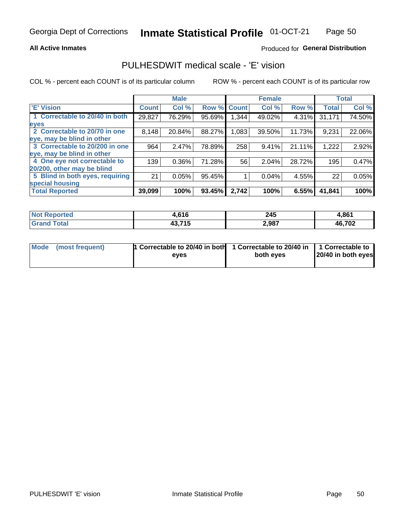### **All Active Inmates**

### Produced for General Distribution

## PULHESDWIT medical scale - 'E' vision

COL % - percent each COUNT is of its particular column

|                                 |              | <b>Male</b> |        |              | <b>Female</b> |        |              | <b>Total</b> |
|---------------------------------|--------------|-------------|--------|--------------|---------------|--------|--------------|--------------|
| 'E' Vision                      | <b>Count</b> | Col %       | Row %  | <b>Count</b> | Col %         | Row %  | <b>Total</b> | Col %        |
| 1 Correctable to 20/40 in both  | 29,827       | 76.29%      | 95.69% | .344         | 49.02%        | 4.31%  | 31,171       | 74.50%       |
| eyes                            |              |             |        |              |               |        |              |              |
| 2 Correctable to 20/70 in one   | 8,148        | 20.84%      | 88.27% | 1,083        | 39.50%        | 11.73% | 9,231        | 22.06%       |
| eye, may be blind in other      |              |             |        |              |               |        |              |              |
| 3 Correctable to 20/200 in one  | 964          | 2.47%       | 78.89% | 258          | 9.41%         | 21.11% | 1,222        | 2.92%        |
| eye, may be blind in other      |              |             |        |              |               |        |              |              |
| 4 One eye not correctable to    | 139          | 0.36%       | 71.28% | 56           | 2.04%         | 28.72% | 195          | 0.47%        |
| 20/200, other may be blind      |              |             |        |              |               |        |              |              |
| 5 Blind in both eyes, requiring | 21           | 0.05%       | 95.45% |              | 0.04%         | 4.55%  | 22           | 0.05%        |
| special housing                 |              |             |        |              |               |        |              |              |
| <b>Total Reported</b>           | 39,099       | 100%        | 93.45% | 2,742        | 100%          | 6.55%  | 41,841       | 100%         |

| <b>Not Reported</b> | .616،  | 245   | 4,861  |
|---------------------|--------|-------|--------|
| <b>Total</b>        | 43,715 | 2,987 | 46,702 |

| Mode (most frequent) | 1 Correctable to 20/40 in both<br>eves | 1 Correctable to 20/40 in   1 Correctable to  <br>both eves | 20/40 in both eyes |
|----------------------|----------------------------------------|-------------------------------------------------------------|--------------------|
|                      |                                        |                                                             |                    |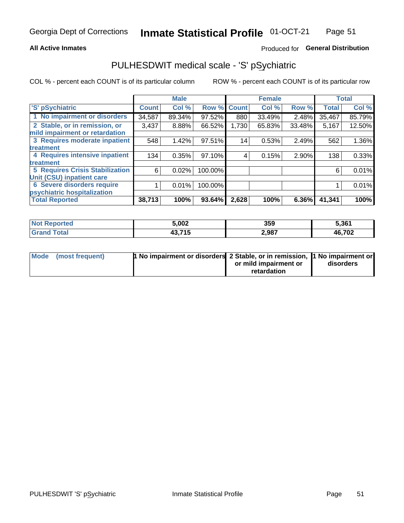### **All Active Inmates**

### Produced for General Distribution

## PULHESDWIT medical scale - 'S' pSychiatric

COL % - percent each COUNT is of its particular column

|                                        |              | <b>Male</b> |         |              | <b>Female</b> |          |              | <b>Total</b> |
|----------------------------------------|--------------|-------------|---------|--------------|---------------|----------|--------------|--------------|
| 'S' pSychiatric                        | <b>Count</b> | Col %       | Row %   | <b>Count</b> | Col %         | Row %    | <b>Total</b> | Col %        |
| 1 No impairment or disorders           | 34,587       | 89.34%      | 97.52%  | 880          | 33.49%        | 2.48%    | 35,467       | 85.79%       |
| 2 Stable, or in remission, or          | 3,437        | 8.88%       | 66.52%  | 1,730        | 65.83%        | 33.48%   | 5,167        | 12.50%       |
| mild impairment or retardation         |              |             |         |              |               |          |              |              |
| 3 Requires moderate inpatient          | 548          | 1.42%       | 97.51%  | 14           | 0.53%         | 2.49%    | 562          | 1.36%        |
| treatment                              |              |             |         |              |               |          |              |              |
| 4 Requires intensive inpatient         | 134          | 0.35%       | 97.10%  | 4            | 0.15%         | 2.90%    | 138          | 0.33%        |
| treatment                              |              |             |         |              |               |          |              |              |
| <b>5 Requires Crisis Stabilization</b> | 6            | 0.02%       | 100.00% |              |               |          | 6            | 0.01%        |
| Unit (CSU) inpatient care              |              |             |         |              |               |          |              |              |
| <b>6 Severe disorders require</b>      |              | 0.01%       | 100.00% |              |               |          |              | 0.01%        |
| psychiatric hospitalization            |              |             |         |              |               |          |              |              |
| <b>Total Reported</b>                  | 38,713       | 100%        | 93.64%  | 2,628        | 100%          | $6.36\%$ | 41,341       | 100%         |

| <b>Not Reported</b>   | 5,002  | 359   | 5,361  |
|-----------------------|--------|-------|--------|
| Total<br><b>Grand</b> | 43,715 | 2,987 | 46,702 |

| Mode | (most frequent) | <b>1 No impairment or disorders</b> 2 Stable, or in remission, 1 No impairment or |                       |           |
|------|-----------------|-----------------------------------------------------------------------------------|-----------------------|-----------|
|      |                 |                                                                                   | or mild impairment or | disorders |
|      |                 |                                                                                   | retardation           |           |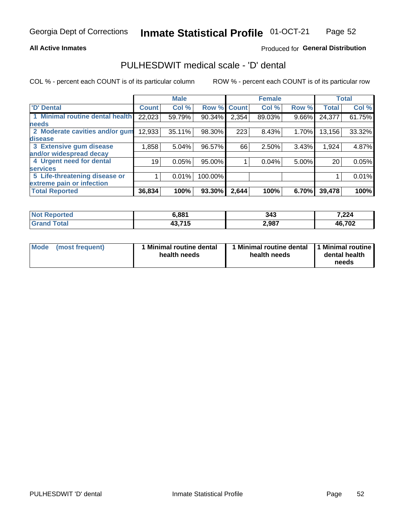### **All Active Inmates**

### Produced for General Distribution

## PULHESDWIT medical scale - 'D' dental

COL % - percent each COUNT is of its particular column

|                                 |              | <b>Male</b> |         |              | <b>Female</b> |       |              | <b>Total</b> |
|---------------------------------|--------------|-------------|---------|--------------|---------------|-------|--------------|--------------|
| <b>D'</b> Dental                | <b>Count</b> | Col %       | Row %   | <b>Count</b> | Col %         | Row % | <b>Total</b> | Col %        |
| 1 Minimal routine dental health | 22,023       | 59.79%      | 90.34%  | 2,354        | 89.03%        | 9.66% | 24,377       | 61.75%       |
| <b>needs</b>                    |              |             |         |              |               |       |              |              |
| 2 Moderate cavities and/or gum  | 12,933       | 35.11%      | 98.30%  | 223          | 8.43%         | 1.70% | 13,156       | 33.32%       |
| disease                         |              |             |         |              |               |       |              |              |
| 3 Extensive gum disease         | 1,858        | 5.04%       | 96.57%  | 66           | 2.50%         | 3.43% | 1,924        | 4.87%        |
| and/or widespread decay         |              |             |         |              |               |       |              |              |
| 4 Urgent need for dental        | 19           | 0.05%       | 95.00%  |              | 0.04%         | 5.00% | 20           | 0.05%        |
| <b>services</b>                 |              |             |         |              |               |       |              |              |
| 5 Life-threatening disease or   |              | 0.01%       | 100.00% |              |               |       |              | 0.01%        |
| extreme pain or infection       |              |             |         |              |               |       |              |              |
| <b>Total Reported</b>           | 36,834       | 100%        | 93.30%  | 2,644        | 100%          | 6.70% | 39,478       | 100%         |

| <b>Not Reported</b>          | 6,881  | 343   | 7,224  |
|------------------------------|--------|-------|--------|
| <b>Total</b><br><b>Grand</b> | 43,715 | 2,987 | 46,702 |

| Mode<br><b>Minimal routine dental</b><br>(most frequent)<br>health needs | 1 Minimal routine dental<br>health needs | 1 Minimal routine<br>dental health<br>needs |
|--------------------------------------------------------------------------|------------------------------------------|---------------------------------------------|
|--------------------------------------------------------------------------|------------------------------------------|---------------------------------------------|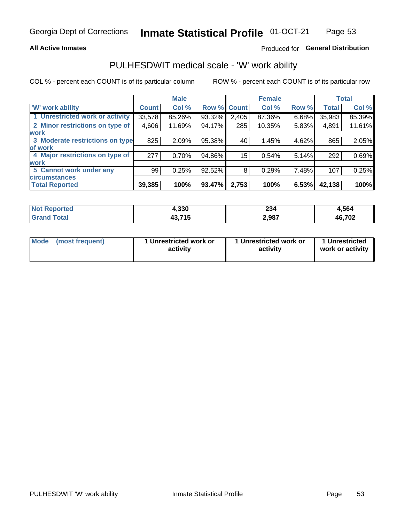### **All Active Inmates**

### Produced for General Distribution

## PULHESDWIT medical scale - 'W' work ability

COL % - percent each COUNT is of its particular column

|                                 |              | <b>Male</b> |        |             | <b>Female</b> |       |              | <b>Total</b> |
|---------------------------------|--------------|-------------|--------|-------------|---------------|-------|--------------|--------------|
| <b>W' work ability</b>          | <b>Count</b> | Col %       |        | Row % Count | Col %         | Row % | <b>Total</b> | Col %        |
| 1 Unrestricted work or activity | 33,578       | 85.26%      | 93.32% | 2,405       | 87.36%        | 6.68% | 35,983       | 85.39%       |
| 2 Minor restrictions on type of | 4,606        | 11.69%      | 94.17% | 285         | 10.35%        | 5.83% | 4,891        | 11.61%       |
| <b>work</b>                     |              |             |        |             |               |       |              |              |
| 3 Moderate restrictions on type | 825          | 2.09%       | 95.38% | 40          | 1.45%         | 4.62% | 865          | 2.05%        |
| lof work                        |              |             |        |             |               |       |              |              |
| 4 Major restrictions on type of | 277          | 0.70%       | 94.86% | 15          | 0.54%         | 5.14% | 292          | 0.69%        |
| <b>work</b>                     |              |             |        |             |               |       |              |              |
| 5 Cannot work under any         | 99           | 0.25%       | 92.52% | 8           | 0.29%         | 7.48% | 107          | 0.25%        |
| <b>circumstances</b>            |              |             |        |             |               |       |              |              |
| <b>Total Reported</b>           | 39,385       | 100%        | 93.47% | 2,753       | 100%          | 6.53% | 42,138       | 100%         |

| <b>Not Reported</b>          | 4,330  | 234   | 4,564  |
|------------------------------|--------|-------|--------|
| <b>Total</b><br><b>Grand</b> | 43,715 | 2,987 | 46,702 |

| Mode            | 1 Unrestricted work or | 1 Unrestricted work or | 1 Unrestricted   |
|-----------------|------------------------|------------------------|------------------|
| (most frequent) | activity               | activity               | work or activity |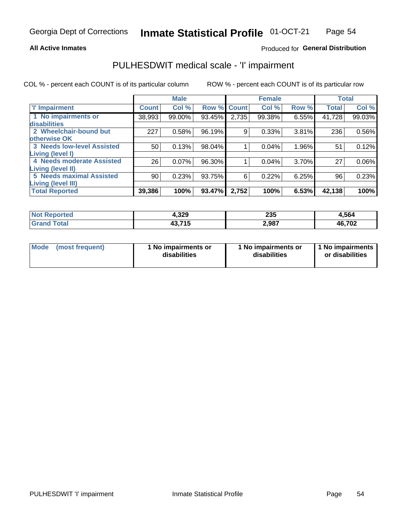### **All Active Inmates**

### Produced for General Distribution

## PULHESDWIT medical scale - 'I' impairment

COL % - percent each COUNT is of its particular column ROW % - percent each COUNT is of its particular row

|                                 |              | <b>Male</b> |        |              | <b>Female</b> |       |              | <b>Total</b> |
|---------------------------------|--------------|-------------|--------|--------------|---------------|-------|--------------|--------------|
| 'l' Impairment                  | <b>Count</b> | Col %       | Row %  | <b>Count</b> | Col %         | Row % | <b>Total</b> | Col %        |
| 1 No impairments or             | 38,993       | 99.00%      | 93.45% | 2,735        | 99.38%        | 6.55% | 41,728       | 99.03%       |
| disabilities                    |              |             |        |              |               |       |              |              |
| 2 Wheelchair-bound but          | 227          | 0.58%       | 96.19% | 9            | 0.33%         | 3.81% | 236          | 0.56%        |
| otherwise OK                    |              |             |        |              |               |       |              |              |
| 3 Needs low-level Assisted      | 50           | 0.13%       | 98.04% |              | 0.04%         | 1.96% | 51           | 0.12%        |
| Living (level I)                |              |             |        |              |               |       |              |              |
| 4 Needs moderate Assisted       | 26           | 0.07%       | 96.30% |              | 0.04%         | 3.70% | 27           | $0.06\%$     |
| <b>Living (level II)</b>        |              |             |        |              |               |       |              |              |
| <b>5 Needs maximal Assisted</b> | 90           | 0.23%       | 93.75% | 6            | 0.22%         | 6.25% | 96           | 0.23%        |
| <b>Living (level III)</b>       |              |             |        |              |               |       |              |              |
| <b>Total Reported</b>           | 39,386       | 100%        | 93.47% | 2,752        | 100%          | 6.53% | 42,138       | 100%         |

| ported<br><b>NOT</b>   | 4,329  | 235   | 4,564  |
|------------------------|--------|-------|--------|
| <b>c</b> otal<br>. Gr' | 43,715 | 2,987 | 46,702 |

| Mode | (most frequent) | 1 No impairments or<br>disabilities | 1 No impairments or<br>disabilities | 1 No impairments<br>or disabilities |
|------|-----------------|-------------------------------------|-------------------------------------|-------------------------------------|
|------|-----------------|-------------------------------------|-------------------------------------|-------------------------------------|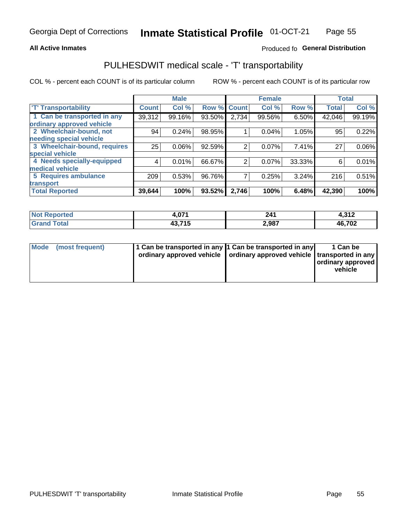### **All Active Inmates**

### Produced fo General Distribution

## PULHESDWIT medical scale - 'T' transportability

COL % - percent each COUNT is of its particular column

|                              |                 | <b>Male</b> |        |              | <b>Female</b> |        | <b>Total</b> |          |
|------------------------------|-----------------|-------------|--------|--------------|---------------|--------|--------------|----------|
| <b>T' Transportability</b>   | <b>Count</b>    | Col %       | Row %  | <b>Count</b> | Col %         | Row %  | <b>Total</b> | Col %    |
| 1 Can be transported in any  | 39,312          | 99.16%      | 93.50% | 2,734        | 99.56%        | 6.50%  | 42,046       | 99.19%   |
| ordinary approved vehicle    |                 |             |        |              |               |        |              |          |
| 2 Wheelchair-bound, not      | 94              | 0.24%       | 98.95% |              | 0.04%         | 1.05%  | 95           | 0.22%    |
| needing special vehicle      |                 |             |        |              |               |        |              |          |
| 3 Wheelchair-bound, requires | 25 <sub>1</sub> | 0.06%       | 92.59% | 2            | 0.07%         | 7.41%  | 27           | $0.06\%$ |
| special vehicle              |                 |             |        |              |               |        |              |          |
| 4 Needs specially-equipped   | 4               | 0.01%       | 66.67% | 2            | 0.07%         | 33.33% | 6            | 0.01%    |
| medical vehicle              |                 |             |        |              |               |        |              |          |
| <b>5 Requires ambulance</b>  | 209             | 0.53%       | 96.76% | 7            | 0.25%         | 3.24%  | 216          | 0.51%    |
| transport                    |                 |             |        |              |               |        |              |          |
| <b>Total Reported</b>        | 39,644          | 100%        | 93.52% | 2,746        | 100%          | 6.48%  | 42,390       | 100%     |

| eported    | .071   | 241   | 242<br>4.J I 4. |
|------------|--------|-------|-----------------|
| <b>ota</b> | 43.715 | 2,987 | 46,702          |

|  | Mode (most frequent) | 1 Can be transported in any 1 Can be transported in any<br>ordinary approved vehicle   ordinary approved vehicle   transported in any |  | 1 Can be<br>  ordinary approved  <br>vehicle |
|--|----------------------|---------------------------------------------------------------------------------------------------------------------------------------|--|----------------------------------------------|
|--|----------------------|---------------------------------------------------------------------------------------------------------------------------------------|--|----------------------------------------------|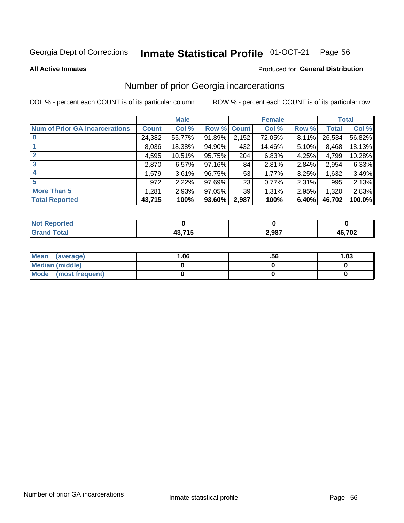#### Inmate Statistical Profile 01-OCT-21 Page 56

**All Active Inmates** 

### Produced for General Distribution

## Number of prior Georgia incarcerations

COL % - percent each COUNT is of its particular column

|                                       |              | <b>Male</b> |             |                 | <b>Female</b> |       |        | <b>Total</b> |
|---------------------------------------|--------------|-------------|-------------|-----------------|---------------|-------|--------|--------------|
| <b>Num of Prior GA Incarcerations</b> | <b>Count</b> | Col %       | Row % Count |                 | Col %         | Row % | Total  | Col %        |
|                                       | 24,382       | 55.77%      | 91.89%      | 2,152           | 72.05%        | 8.11% | 26,534 | 56.82%       |
|                                       | 8,036        | 18.38%      | 94.90%      | 432             | 14.46%        | 5.10% | 8,468  | 18.13%       |
| $\overline{2}$                        | 4,595        | 10.51%      | 95.75%      | 204             | 6.83%         | 4.25% | 4,799  | 10.28%       |
| 3                                     | 2,870        | 6.57%       | 97.16%      | 84              | 2.81%         | 2.84% | 2,954  | 6.33%        |
| $\boldsymbol{4}$                      | 1,579        | 3.61%       | 96.75%      | 53              | 1.77%         | 3.25% | 1,632  | 3.49%        |
| 5                                     | 972          | 2.22%       | 97.69%      | 23              | 0.77%         | 2.31% | 995    | 2.13%        |
| <b>More Than 5</b>                    | 1,281        | 2.93%       | 97.05%      | 39 <sub>1</sub> | 1.31%         | 2.95% | 1,320  | 2.83%        |
| <b>Total Reported</b>                 | 43,715       | 100%        | 93.60%      | 2,987           | 100%          | 6.40% | 46,702 | 100.0%       |

| orted<br>'N (     |        |       |        |
|-------------------|--------|-------|--------|
| <b>otal</b><br>Gr | 10.74E | 2,987 | 46,702 |

| Mean (average)       | .06 | .00 | 1.03 |
|----------------------|-----|-----|------|
| Median (middle)      |     |     |      |
| Mode (most frequent) |     |     |      |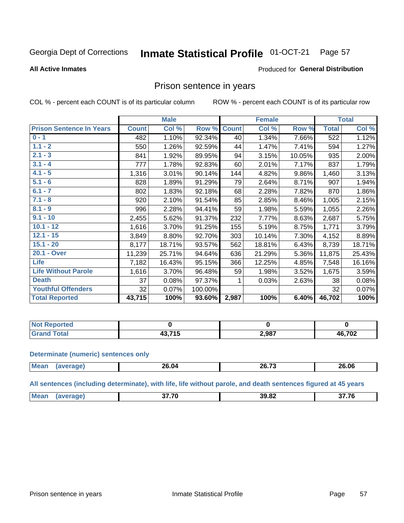#### Inmate Statistical Profile 01-OCT-21 Page 57

**All Active Inmates** 

### Produced for General Distribution

### Prison sentence in years

COL % - percent each COUNT is of its particular column

ROW % - percent each COUNT is of its particular row

|                                 |              | <b>Male</b> |         |              | <b>Female</b> |          |                  | <b>Total</b> |
|---------------------------------|--------------|-------------|---------|--------------|---------------|----------|------------------|--------------|
| <b>Prison Sentence In Years</b> | <b>Count</b> | Col %       | Row %   | <b>Count</b> | Col %         | Row %    | <b>Total</b>     | Col %        |
| $0 - 1$                         | 482          | 1.10%       | 92.34%  | 40           | 1.34%         | 7.66%    | $\overline{522}$ | 1.12%        |
| $1.1 - 2$                       | 550          | 1.26%       | 92.59%  | 44           | 1.47%         | 7.41%    | 594              | 1.27%        |
| $2.1 - 3$                       | 841          | 1.92%       | 89.95%  | 94           | 3.15%         | 10.05%   | 935              | 2.00%        |
| $3.1 - 4$                       | 777          | 1.78%       | 92.83%  | 60           | 2.01%         | 7.17%    | 837              | 1.79%        |
| $4.1 - 5$                       | 1,316        | 3.01%       | 90.14%  | 144          | 4.82%         | $9.86\%$ | 1,460            | 3.13%        |
| $5.1 - 6$                       | 828          | 1.89%       | 91.29%  | 79           | 2.64%         | 8.71%    | 907              | 1.94%        |
| $6.1 - 7$                       | 802          | 1.83%       | 92.18%  | 68           | 2.28%         | 7.82%    | 870              | 1.86%        |
| $7.1 - 8$                       | 920          | 2.10%       | 91.54%  | 85           | 2.85%         | 8.46%    | 1,005            | 2.15%        |
| $8.1 - 9$                       | 996          | 2.28%       | 94.41%  | 59           | 1.98%         | 5.59%    | 1,055            | 2.26%        |
| $9.1 - 10$                      | 2,455        | 5.62%       | 91.37%  | 232          | 7.77%         | 8.63%    | 2,687            | 5.75%        |
| $10.1 - 12$                     | 1,616        | 3.70%       | 91.25%  | 155          | 5.19%         | 8.75%    | 1,771            | 3.79%        |
| $12.1 - 15$                     | 3,849        | 8.80%       | 92.70%  | 303          | 10.14%        | 7.30%    | 4,152            | 8.89%        |
| $15.1 - 20$                     | 8,177        | 18.71%      | 93.57%  | 562          | 18.81%        | 6.43%    | 8,739            | 18.71%       |
| 20.1 - Over                     | 11,239       | 25.71%      | 94.64%  | 636          | 21.29%        | 5.36%    | 11,875           | 25.43%       |
| <b>Life</b>                     | 7,182        | 16.43%      | 95.15%  | 366          | 12.25%        | 4.85%    | 7,548            | 16.16%       |
| <b>Life Without Parole</b>      | 1,616        | 3.70%       | 96.48%  | 59           | 1.98%         | 3.52%    | 1,675            | 3.59%        |
| <b>Death</b>                    | 37           | 0.08%       | 97.37%  | 1            | 0.03%         | 2.63%    | 38               | 0.08%        |
| <b>Youthful Offenders</b>       | 32           | 0.07%       | 100.00% |              |               |          | 32               | 0.07%        |
| <b>Total Reported</b>           | 43,715       | 100%        | 93.60%  | 2,987        | 100%          | 6.40%    | 46,702           | 100%         |

| <b>NOT</b><br>portea |      |       |        |
|----------------------|------|-------|--------|
|                      | ---- | 2,987 | 46,702 |

#### **Determinate (numeric) sentences only**

| <b>Mean</b> | <br><b>26.04</b> | ss 70<br><b>20.73</b> | 26.06 |
|-------------|------------------|-----------------------|-------|
|             |                  |                       |       |

All sentences (including determinate), with life, life without parole, and death sentences figured at 45 years

| Mea<br>11100111 | 27.70 | 39.82 | $\sim$ $\sim$ $\sim$ |
|-----------------|-------|-------|----------------------|
|                 |       |       |                      |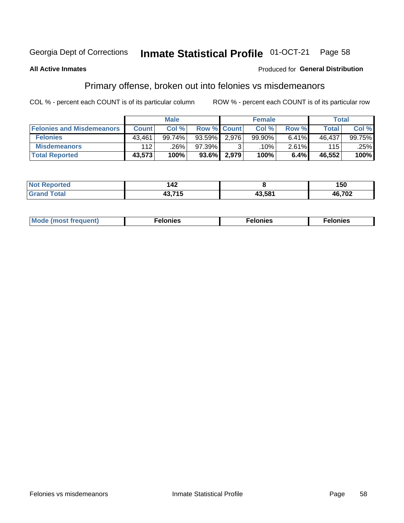#### Inmate Statistical Profile 01-OCT-21 Page 58

### **All Active Inmates**

### **Produced for General Distribution**

## Primary offense, broken out into felonies vs misdemeanors

COL % - percent each COUNT is of its particular column

|                                  |              | <b>Male</b> |           |                    | <b>Female</b> |       | Total  |        |
|----------------------------------|--------------|-------------|-----------|--------------------|---------------|-------|--------|--------|
| <b>Felonies and Misdemeanors</b> | <b>Count</b> | Col%        |           | <b>Row % Count</b> | Col%          | Row % | Total  | Col %  |
| <b>Felonies</b>                  | 43,461       | 99.74%      | $93.59\%$ | 2,976              | 99.90%        | 6.41% | 46,437 | 99.75% |
| <b>Misdemeanors</b>              | 112          | .26%        | 97.39%    |                    | .10% '        | 2.61% | 115    | .25%   |
| <b>Total Reported</b>            | 43,573       | 100%        | 93.6%     | 2,979              | 100%          | 6.4%  | 46,552 | 100%   |

| <b>Not</b><br>Reported | .<br>17L.                                                             |        | 150    |
|------------------------|-----------------------------------------------------------------------|--------|--------|
| Gran<br>™otal          | $\mathbf{A} \bullet \mathbf{B} \bullet \mathbf{A} \bullet \mathbf{B}$ | 13.581 | 46,702 |

| Mo | ____ | 11 C.S<br>. | onies<br>. |
|----|------|-------------|------------|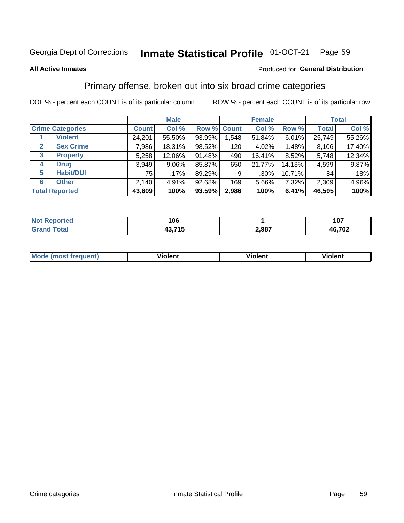#### Inmate Statistical Profile 01-OCT-21 Page 59

#### **All Active Inmates**

### Produced for General Distribution

## Primary offense, broken out into six broad crime categories

COL % - percent each COUNT is of its particular column

|                                 | <b>Male</b>  |          |        | <b>Female</b>      |         |        | <b>Total</b> |        |
|---------------------------------|--------------|----------|--------|--------------------|---------|--------|--------------|--------|
| <b>Crime Categories</b>         | <b>Count</b> | Col %    |        | <b>Row % Count</b> | Col %   | Row %  | <b>Total</b> | Col %  |
| <b>Violent</b>                  | 24,201       | 55.50%   | 93.99% | 1,548              | 51.84%  | 6.01%  | 25,749       | 55.26% |
| <b>Sex Crime</b><br>2           | 7,986        | 18.31%   | 98.52% | 120                | 4.02%   | 1.48%  | 8,106        | 17.40% |
| $\mathbf{3}$<br><b>Property</b> | 5,258        | 12.06%   | 91.48% | 490                | 16.41%  | 8.52%  | 5,748        | 12.34% |
| <b>Drug</b><br>4                | 3,949        | $9.06\%$ | 85.87% | 650                | 21.77%  | 14.13% | 4,599        | 9.87%  |
| <b>Habit/DUI</b><br>5           | 751          | $.17\%$  | 89.29% | 9                  | $.30\%$ | 10.71% | 84           | .18%   |
| <b>Other</b><br>6               | 2,140        | 4.91%    | 92.68% | 169                | 5.66%   | 7.32%  | 2,309        | 4.96%  |
| <b>Total Reported</b>           | 43,609       | 100%     | 93.59% | 2,986              | 100%    | 6.41%  | 46,595       | 100%   |

| τeα<br>NO | 106                     |       | 107    |
|-----------|-------------------------|-------|--------|
|           | -45<br>.<br>1J.I<br>. . | 2,987 | 46,702 |

| Mode<br>freauent)<br>anst tr | .<br>/iolent | <br>Violent | .<br><b>Tiolent</b> |
|------------------------------|--------------|-------------|---------------------|
|                              |              |             |                     |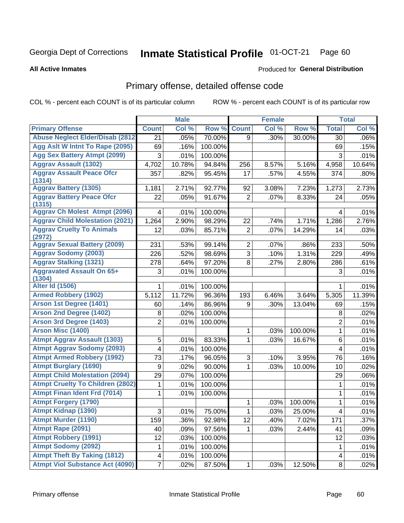#### Inmate Statistical Profile 01-OCT-21 Page 60

#### **All Active Inmates**

### **Produced for General Distribution**

## Primary offense, detailed offense code

COL % - percent each COUNT is of its particular column

|                                               |                         | <b>Male</b> |         |                | <b>Female</b> |         |                         | <b>Total</b> |
|-----------------------------------------------|-------------------------|-------------|---------|----------------|---------------|---------|-------------------------|--------------|
| <b>Primary Offense</b>                        | <b>Count</b>            | Col %       | Row %   | <b>Count</b>   | Col %         | Row %   | <b>Total</b>            | Col %        |
| <b>Abuse Neglect Elder/Disab (2812)</b>       | 21                      | .05%        | 70.00%  | 9              | .30%          | 30.00%  | 30                      | .06%         |
| Agg Aslt W Intnt To Rape (2095)               | 69                      | .16%        | 100.00% |                |               |         | 69                      | .15%         |
| <b>Agg Sex Battery Atmpt (2099)</b>           | 3                       | .01%        | 100.00% |                |               |         | 3                       | .01%         |
| <b>Aggrav Assault (1302)</b>                  | 4,702                   | 10.78%      | 94.84%  | 256            | 8.57%         | 5.16%   | 4,958                   | 10.64%       |
| <b>Aggrav Assault Peace Ofcr</b>              | 357                     | .82%        | 95.45%  | 17             | .57%          | 4.55%   | 374                     | .80%         |
| (1314)                                        |                         |             |         |                |               |         |                         |              |
| <b>Aggrav Battery (1305)</b>                  | 1,181                   | 2.71%       | 92.77%  | 92             | 3.08%         | 7.23%   | 1,273                   | 2.73%        |
| <b>Aggrav Battery Peace Ofcr</b><br>(1315)    | 22                      | .05%        | 91.67%  | $\overline{2}$ | .07%          | 8.33%   | 24                      | .05%         |
| <b>Aggrav Ch Molest Atmpt (2096)</b>          | 4                       | .01%        | 100.00% |                |               |         | 4                       | .01%         |
| <b>Aggrav Child Molestation (2021)</b>        | 1,264                   | 2.90%       | 98.29%  | 22             | .74%          | 1.71%   | 1,286                   | 2.76%        |
| <b>Aggrav Cruelty To Animals</b>              | 12                      | .03%        | 85.71%  | $\overline{2}$ | .07%          | 14.29%  | 14                      | .03%         |
| (2972)<br><b>Aggrav Sexual Battery (2009)</b> | 231                     | .53%        | 99.14%  | $\overline{2}$ | .07%          | .86%    | 233                     | .50%         |
| <b>Aggrav Sodomy (2003)</b>                   | 226                     | .52%        | 98.69%  | $\overline{3}$ | .10%          | 1.31%   | 229                     | .49%         |
| <b>Aggrav Stalking (1321)</b>                 | 278                     | .64%        | 97.20%  | 8              | .27%          | 2.80%   | 286                     | .61%         |
| <b>Aggravated Assault On 65+</b>              | 3                       | .01%        | 100.00% |                |               |         | 3                       | .01%         |
| (1304)                                        |                         |             |         |                |               |         |                         |              |
| <b>Alter Id (1506)</b>                        |                         | .01%        | 100.00% |                |               |         | 1                       | .01%         |
| <b>Armed Robbery (1902)</b>                   | 5,112                   | 11.72%      | 96.36%  | 193            | 6.46%         | 3.64%   | 5,305                   | 11.39%       |
| Arson 1st Degree (1401)                       | 60                      | .14%        | 86.96%  | 9              | .30%          | 13.04%  | 69                      | .15%         |
| <b>Arson 2nd Degree (1402)</b>                | 8                       | .02%        | 100.00% |                |               |         | 8                       | .02%         |
| <b>Arson 3rd Degree (1403)</b>                | $\overline{2}$          | .01%        | 100.00% |                |               |         | $\overline{2}$          | .01%         |
| <b>Arson Misc (1400)</b>                      |                         |             |         | 1              | .03%          | 100.00% | $\mathbf{1}$            | .01%         |
| <b>Atmpt Aggrav Assault (1303)</b>            | 5                       | .01%        | 83.33%  | 1              | .03%          | 16.67%  | 6                       | .01%         |
| <b>Atmpt Aggrav Sodomy (2093)</b>             | 4                       | .01%        | 100.00% |                |               |         | 4                       | .01%         |
| <b>Atmpt Armed Robbery (1992)</b>             | 73                      | .17%        | 96.05%  | 3              | .10%          | 3.95%   | 76                      | .16%         |
| <b>Atmpt Burglary (1690)</b>                  | $\boldsymbol{9}$        | .02%        | 90.00%  | $\mathbf{1}$   | .03%          | 10.00%  | 10                      | .02%         |
| <b>Atmpt Child Molestation (2094)</b>         | 29                      | .07%        | 100.00% |                |               |         | 29                      | .06%         |
| <b>Atmpt Cruelty To Children (2802)</b>       | 1                       | .01%        | 100.00% |                |               |         | 1                       | .01%         |
| <b>Atmpt Finan Ident Frd (7014)</b>           | 1                       | .01%        | 100.00% |                |               |         | 1                       | .01%         |
| <b>Atmpt Forgery (1790)</b>                   |                         |             |         | 1              | .03%          | 100.00% | 1                       | $.01\%$      |
| <b>Atmpt Kidnap (1390)</b>                    | $\overline{\mathbf{3}}$ | .01%        | 75.00%  | $\mathbf{1}$   | .03%          | 25.00%  | $\overline{\mathbf{4}}$ | .01%         |
| <b>Atmpt Murder (1190)</b>                    | 159                     | .36%        | 92.98%  | 12             | .40%          | 7.02%   | 171                     | .37%         |
| Atmpt Rape (2091)                             | 40                      | .09%        | 97.56%  | 1.             | .03%          | 2.44%   | 41                      | .09%         |
| <b>Atmpt Robbery (1991)</b>                   | 12                      | .03%        | 100.00% |                |               |         | 12                      | .03%         |
| <b>Atmpt Sodomy (2092)</b>                    | 1                       | .01%        | 100.00% |                |               |         | 1                       | .01%         |
| <b>Atmpt Theft By Taking (1812)</b>           | 4                       | .01%        | 100.00% |                |               |         | 4                       | .01%         |
| <b>Atmpt Viol Substance Act (4090)</b>        | $\overline{7}$          | .02%        | 87.50%  | $\mathbf{1}$   | .03%          | 12.50%  | $\bf 8$                 | .02%         |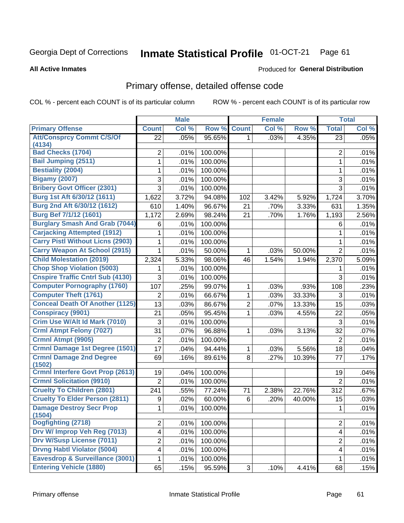#### Inmate Statistical Profile 01-OCT-21 Page 61

#### **All Active Inmates**

## **Produced for General Distribution**

## Primary offense, detailed offense code

COL % - percent each COUNT is of its particular column

|                                           |                         | <b>Male</b> |         |                | <b>Female</b> |        |                         | <b>Total</b> |
|-------------------------------------------|-------------------------|-------------|---------|----------------|---------------|--------|-------------------------|--------------|
| <b>Primary Offense</b>                    | <b>Count</b>            | Col %       | Row %   | <b>Count</b>   | Col %         | Row %  | <b>Total</b>            | Col %        |
| <b>Att/Consprcy Commt C/S/Of</b>          | 22                      | .05%        | 95.65%  | 1.             | .03%          | 4.35%  | 23                      | .05%         |
| (4134)<br><b>Bad Checks (1704)</b>        | 2                       | .01%        | 100.00% |                |               |        | $\overline{2}$          | .01%         |
| <b>Bail Jumping (2511)</b>                | 1                       | .01%        | 100.00% |                |               |        | 1                       | .01%         |
| <b>Bestiality (2004)</b>                  | 1                       | .01%        | 100.00% |                |               |        | 1                       | .01%         |
| <b>Bigamy (2007)</b>                      | 3                       | .01%        | 100.00% |                |               |        | 3                       | .01%         |
| <b>Bribery Govt Officer (2301)</b>        | 3                       | .01%        | 100.00% |                |               |        | $\overline{3}$          | .01%         |
| Burg 1st Aft 6/30/12 (1611)               | 1,622                   | 3.72%       | 94.08%  | 102            | 3.42%         | 5.92%  | 1,724                   | 3.70%        |
| Burg 2nd Aft 6/30/12 (1612)               | 610                     | 1.40%       | 96.67%  | 21             | .70%          | 3.33%  | 631                     | 1.35%        |
| <b>Burg Bef 7/1/12 (1601)</b>             | 1,172                   | 2.69%       | 98.24%  | 21             | .70%          | 1.76%  | 1,193                   | 2.56%        |
| <b>Burglary Smash And Grab (7044)</b>     | 6                       | .01%        | 100.00% |                |               |        | 6                       | .01%         |
| <b>Carjacking Attempted (1912)</b>        | 1                       | .01%        | 100.00% |                |               |        | 1                       | .01%         |
| <b>Carry Pistl Without Licns (2903)</b>   | 1                       | .01%        | 100.00% |                |               |        | 1                       | .01%         |
| <b>Carry Weapon At School (2915)</b>      | 1                       | .01%        | 50.00%  | 1              | .03%          | 50.00% | $\overline{2}$          | .01%         |
| <b>Child Molestation (2019)</b>           | 2,324                   | 5.33%       | 98.06%  | 46             | 1.54%         | 1.94%  | 2,370                   | 5.09%        |
| <b>Chop Shop Violation (5003)</b>         | 1                       | .01%        | 100.00% |                |               |        | 1                       | .01%         |
| <b>Cnspire Traffic Cntrl Sub (4130)</b>   | 3                       | .01%        | 100.00% |                |               |        | 3                       | .01%         |
| <b>Computer Pornography (1760)</b>        | 107                     | .25%        | 99.07%  | 1              | .03%          | .93%   | 108                     | .23%         |
| <b>Computer Theft (1761)</b>              | 2                       | .01%        | 66.67%  | 1              | .03%          | 33.33% | 3                       | .01%         |
| <b>Conceal Death Of Another (1125)</b>    | 13                      | .03%        | 86.67%  | $\overline{2}$ | .07%          | 13.33% | 15                      | .03%         |
| <b>Conspiracy (9901)</b>                  | 21                      | .05%        | 95.45%  | 1              | .03%          | 4.55%  | 22                      | .05%         |
| Crim Use W/Alt Id Mark (7010)             | 3                       | .01%        | 100.00% |                |               |        | 3                       | .01%         |
| <b>Crml Atmpt Felony (7027)</b>           | 31                      | .07%        | 96.88%  | 1              | .03%          | 3.13%  | 32                      | .07%         |
| Crmnl Atmpt (9905)                        | $\overline{2}$          | .01%        | 100.00% |                |               |        | $\overline{2}$          | .01%         |
| <b>Crmnl Damage 1st Degree (1501)</b>     | 17                      | .04%        | 94.44%  | 1              | .03%          | 5.56%  | 18                      | .04%         |
| <b>Crmnl Damage 2nd Degree</b><br>(1502)  | 69                      | .16%        | 89.61%  | 8              | .27%          | 10.39% | 77                      | .17%         |
| <b>Crmnl Interfere Govt Prop (2613)</b>   | 19                      | .04%        | 100.00% |                |               |        | 19                      | .04%         |
| <b>Crmnl Solicitation (9910)</b>          | $\overline{2}$          | .01%        | 100.00% |                |               |        | $\overline{2}$          | .01%         |
| <b>Cruelty To Children (2801)</b>         | 241                     | .55%        | 77.24%  | 71             | 2.38%         | 22.76% | 312                     | .67%         |
| <b>Cruelty To Elder Person (2811)</b>     | 9                       | .02%        | 60.00%  | 6              | .20%          | 40.00% | 15                      | .03%         |
| <b>Damage Destroy Secr Prop</b><br>(1504) | 1                       | .01%        | 100.00% |                |               |        | 1                       | .01%         |
| Dogfighting (2718)                        | $\overline{2}$          | .01%        | 100.00% |                |               |        | $\overline{2}$          | .01%         |
| Drv W/ Improp Veh Reg (7013)              | 4                       | .01%        | 100.00% |                |               |        | $\overline{4}$          | .01%         |
| <b>Drv W/Susp License (7011)</b>          | $\overline{\mathbf{c}}$ | .01%        | 100.00% |                |               |        | $\overline{2}$          | .01%         |
| <b>Drvng Habtl Violator (5004)</b>        | 4                       | .01%        | 100.00% |                |               |        | $\overline{\mathbf{4}}$ | .01%         |
| Eavesdrop & Surveillance (3001)           | 1                       | .01%        | 100.00% |                |               |        | 1                       | .01%         |
| <b>Entering Vehicle (1880)</b>            | 65                      | .15%        | 95.59%  | 3 <sup>1</sup> | .10%          | 4.41%  | 68                      | .15%         |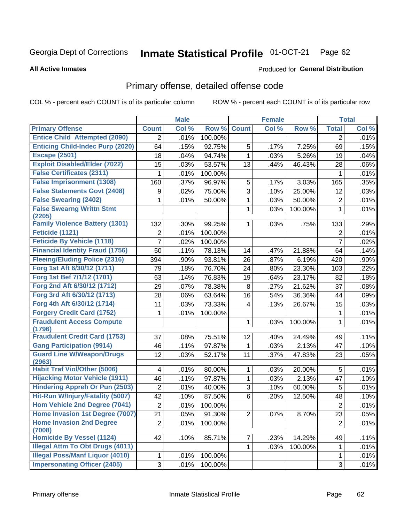#### Inmate Statistical Profile 01-OCT-21 Page 62

#### **All Active Inmates**

### **Produced for General Distribution**

## Primary offense, detailed offense code

COL % - percent each COUNT is of its particular column

|                                            |                     | <b>Male</b> |         |                | <b>Female</b> |         |                | <b>Total</b> |
|--------------------------------------------|---------------------|-------------|---------|----------------|---------------|---------|----------------|--------------|
| <b>Primary Offense</b>                     | <b>Count</b>        | Col %       | Row %   | <b>Count</b>   | Col%          | Row %   | <b>Total</b>   | Col %        |
| <b>Entice Child Attempted (2090)</b>       | $\overline{2}$      | .01%        | 100.00% |                |               |         | 2              | .01%         |
| <b>Enticing Child-Indec Purp (2020)</b>    | 64                  | .15%        | 92.75%  | 5              | .17%          | 7.25%   | 69             | .15%         |
| <b>Escape (2501)</b>                       | 18                  | .04%        | 94.74%  | 1              | .03%          | 5.26%   | 19             | .04%         |
| <b>Exploit Disabled/Elder (7022)</b>       | 15                  | .03%        | 53.57%  | 13             | .44%          | 46.43%  | 28             | .06%         |
| <b>False Certificates (2311)</b>           | 1                   | .01%        | 100.00% |                |               |         | 1              | .01%         |
| <b>False Imprisonment (1308)</b>           | 160                 | .37%        | 96.97%  | 5              | .17%          | 3.03%   | 165            | .35%         |
| <b>False Statements Govt (2408)</b>        | 9                   | .02%        | 75.00%  | $\overline{3}$ | .10%          | 25.00%  | 12             | .03%         |
| <b>False Swearing (2402)</b>               | 1                   | .01%        | 50.00%  | $\mathbf{1}$   | .03%          | 50.00%  | $\overline{2}$ | .01%         |
| <b>False Swearng Writtn Stmt</b><br>(2205) |                     |             |         | 1              | .03%          | 100.00% | $\mathbf{1}$   | .01%         |
| <b>Family Violence Battery (1301)</b>      | 132                 | .30%        | 99.25%  | 1              | .03%          | .75%    | 133            | .29%         |
| <b>Feticide (1121)</b>                     | 2                   | .01%        | 100.00% |                |               |         | $\overline{2}$ | .01%         |
| <b>Feticide By Vehicle (1118)</b>          | 7                   | .02%        | 100.00% |                |               |         | $\overline{7}$ | .02%         |
| <b>Financial Identity Fraud (1756)</b>     | 50                  | .11%        | 78.13%  | 14             | .47%          | 21.88%  | 64             | .14%         |
| <b>Fleeing/Eluding Police (2316)</b>       | 394                 | .90%        | 93.81%  | 26             | .87%          | 6.19%   | 420            | .90%         |
| Forg 1st Aft 6/30/12 (1711)                | 79                  | .18%        | 76.70%  | 24             | .80%          | 23.30%  | 103            | .22%         |
| Forg 1st Bef 7/1/12 (1701)                 | 63                  | .14%        | 76.83%  | 19             | .64%          | 23.17%  | 82             | .18%         |
| Forg 2nd Aft 6/30/12 (1712)                | 29                  | .07%        | 78.38%  | $\bf 8$        | .27%          | 21.62%  | 37             | .08%         |
| Forg 3rd Aft 6/30/12 (1713)                | 28                  | .06%        | 63.64%  | 16             | .54%          | 36.36%  | 44             | .09%         |
| Forg 4th Aft 6/30/12 (1714)                | 11                  | .03%        | 73.33%  | 4              | .13%          | 26.67%  | 15             | .03%         |
| <b>Forgery Credit Card (1752)</b>          | 1                   | .01%        | 100.00% |                |               |         | 1              | .01%         |
| <b>Fraudulent Access Compute</b><br>(1796) |                     |             |         | 1              | .03%          | 100.00% | 1              | .01%         |
| <b>Fraudulent Credit Card (1753)</b>       | 37                  | .08%        | 75.51%  | 12             | .40%          | 24.49%  | 49             | .11%         |
| <b>Gang Participation (9914)</b>           | 46                  | .11%        | 97.87%  | 1              | .03%          | 2.13%   | 47             | .10%         |
| <b>Guard Line W/Weapon/Drugs</b><br>(2963) | 12                  | .03%        | 52.17%  | 11             | .37%          | 47.83%  | 23             | .05%         |
| <b>Habit Traf Viol/Other (5006)</b>        | 4                   | .01%        | 80.00%  | 1              | .03%          | 20.00%  | 5              | .01%         |
| <b>Hijacking Motor Vehicle (1911)</b>      | 46                  | .11%        | 97.87%  | $\mathbf{1}$   | .03%          | 2.13%   | 47             | .10%         |
| <b>Hindering Appreh Or Pun (2503)</b>      | $\overline{2}$      | .01%        | 40.00%  | 3              | .10%          | 60.00%  | 5              | .01%         |
| Hit-Run W/Injury/Fatality (5007)           | 42                  | .10%        | 87.50%  | 6              | .20%          | 12.50%  | 48             | .10%         |
| Hom Vehicle 2nd Degree (7041)              | $\overline{2}$      | .01%        | 100.00% |                |               |         | $\overline{2}$ | .01%         |
| Home Invasion 1st Degree (7007)            | 21                  | .05%        | 91.30%  | $\overline{2}$ | .07%          | 8.70%   | 23             | .05%         |
| <b>Home Invasion 2nd Degree</b><br>(7008)  | $\overline{2}$      | .01%        | 100.00% |                |               |         | $\overline{2}$ | .01%         |
| <b>Homicide By Vessel (1124)</b>           | 42                  | .10%        | 85.71%  | $\overline{7}$ | .23%          | 14.29%  | 49             | .11%         |
| <b>Illegal Attm To Obt Drugs (4011)</b>    |                     |             |         | $\mathbf{1}$   | .03%          | 100.00% | $\mathbf{1}$   | .01%         |
| <b>Illegal Poss/Manf Liquor (4010)</b>     | 1                   | .01%        | 100.00% |                |               |         | $\mathbf{1}$   | .01%         |
| <b>Impersonating Officer (2405)</b>        | $\overline{\omega}$ | .01%        | 100.00% |                |               |         | 3 <sup>1</sup> | .01%         |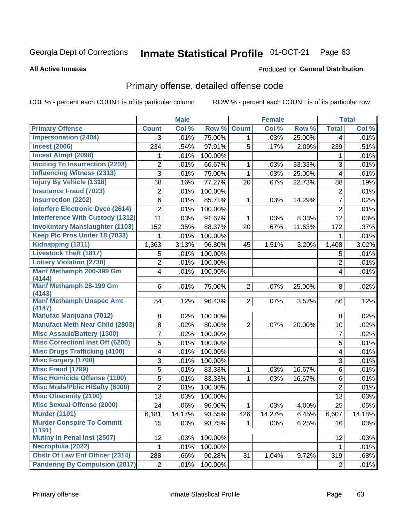#### Inmate Statistical Profile 01-OCT-21 Page 63

#### **All Active Inmates**

#### **Produced for General Distribution**

## Primary offense, detailed offense code

COL % - percent each COUNT is of its particular column

|                                            |                         | <b>Male</b> |         |                | <b>Female</b> |        |                         | <b>Total</b> |
|--------------------------------------------|-------------------------|-------------|---------|----------------|---------------|--------|-------------------------|--------------|
| <b>Primary Offense</b>                     | <b>Count</b>            | Col %       | Row %   | <b>Count</b>   | Col %         | Row %  | <b>Total</b>            | Col %        |
| <b>Impersonation (2404)</b>                | 3                       | .01%        | 75.00%  | 1              | .03%          | 25.00% | 4                       | .01%         |
| <b>Incest (2006)</b>                       | 234                     | .54%        | 97.91%  | 5              | .17%          | 2.09%  | 239                     | .51%         |
| <b>Incest Atmpt (2098)</b>                 | 1                       | .01%        | 100.00% |                |               |        | 1                       | .01%         |
| <b>Inciting To Insurrection (2203)</b>     | $\overline{2}$          | .01%        | 66.67%  | 1              | .03%          | 33.33% | 3                       | .01%         |
| <b>Influencing Witness (2313)</b>          | $\overline{3}$          | .01%        | 75.00%  | 1              | .03%          | 25.00% | $\overline{\mathbf{4}}$ | .01%         |
| <b>Injury By Vehicle (1318)</b>            | 68                      | .16%        | 77.27%  | 20             | .67%          | 22.73% | 88                      | .19%         |
| <b>Insurance Fraud (7023)</b>              | $\overline{2}$          | .01%        | 100.00% |                |               |        | $\mathbf 2$             | .01%         |
| <b>Insurrection (2202)</b>                 | 6                       | .01%        | 85.71%  | 1              | .03%          | 14.29% | $\overline{7}$          | .02%         |
| <b>Interfere Electronic Dvce (2614)</b>    | $\overline{c}$          | .01%        | 100.00% |                |               |        | $\overline{2}$          | .01%         |
| <b>Interference With Custody (1312)</b>    | 11                      | .03%        | 91.67%  | 1              | .03%          | 8.33%  | 12                      | .03%         |
| <b>Involuntary Manslaughter (1103)</b>     | 152                     | .35%        | 88.37%  | 20             | .67%          | 11.63% | 172                     | .37%         |
| Keep Plc Pros Under 18 (7033)              | 1                       | .01%        | 100.00% |                |               |        | 1                       | .01%         |
| Kidnapping (1311)                          | 1,363                   | 3.13%       | 96.80%  | 45             | 1.51%         | 3.20%  | 1,408                   | 3.02%        |
| <b>Livestock Theft (1817)</b>              | 5                       | .01%        | 100.00% |                |               |        | 5                       | .01%         |
| <b>Lottery Violation (2730)</b>            | 2                       | .01%        | 100.00% |                |               |        | $\overline{2}$          | .01%         |
| Manf Methamph 200-399 Gm<br>(4144)         | $\overline{\mathbf{4}}$ | .01%        | 100.00% |                |               |        | $\overline{4}$          | .01%         |
| Manf Methamph 28-199 Gm                    | 6                       | .01%        | 75.00%  | $\overline{2}$ | .07%          | 25.00% | 8                       | .02%         |
| (4143)                                     |                         |             |         |                |               |        |                         |              |
| <b>Manf Methamph Unspec Amt</b><br>(4147)  | 54                      | .12%        | 96.43%  | $\overline{2}$ | .07%          | 3.57%  | 56                      | .12%         |
| <b>Manufac Marijuana (7012)</b>            | 8                       | .02%        | 100.00% |                |               |        | 8                       | .02%         |
| <b>Manufact Meth Near Child (2803)</b>     | 8                       | .02%        | 80.00%  | $\overline{2}$ | .07%          | 20.00% | 10                      | .02%         |
| <b>Misc Assault/Battery (1300)</b>         | 7                       | .02%        | 100.00% |                |               |        | $\overline{7}$          | .02%         |
| <b>Misc Correctionl Inst Off (6200)</b>    | 5                       | .01%        | 100.00% |                |               |        | 5                       | .01%         |
| <b>Misc Drugs Trafficking (4100)</b>       | 4                       | .01%        | 100.00% |                |               |        | $\overline{\mathbf{4}}$ | .01%         |
| <b>Misc Forgery (1700)</b>                 | 3                       | .01%        | 100.00% |                |               |        | 3                       | .01%         |
| <b>Misc Fraud (1799)</b>                   | 5                       | .01%        | 83.33%  | 1              | .03%          | 16.67% | 6                       | .01%         |
| <b>Misc Homicide Offense (1100)</b>        | 5                       | .01%        | 83.33%  | 1              | .03%          | 16.67% | 6                       | .01%         |
| <b>Misc Mrals/Pblic H/Safty (6000)</b>     | $\overline{2}$          | .01%        | 100.00% |                |               |        | $\overline{2}$          | .01%         |
| <b>Misc Obscenity (2100)</b>               | 13                      | .03%        | 100.00% |                |               |        | 13                      | .03%         |
| <b>Misc Sexual Offense (2000)</b>          | 24                      | .06%        | 96.00%  | 1              | .03%          | 4.00%  | 25                      | .05%         |
| <b>Murder (1101)</b>                       | 6,181                   | 14.17%      | 93.55%  | 426            | 14.27%        | 6.45%  | 6,607                   | 14.18%       |
| <b>Murder Conspire To Commit</b><br>(1191) | 15                      | .03%        | 93.75%  |                | .03%          | 6.25%  | 16                      | .03%         |
| Mutiny In Penal Inst (2507)                | 12                      | .03%        | 100.00% |                |               |        | 12                      | .03%         |
| Necrophilia (2022)                         | 1                       | .01%        | 100.00% |                |               |        | 1                       | .01%         |
| <b>Obstr Of Law Enf Officer (2314)</b>     | 288                     | .66%        | 90.28%  | 31             | 1.04%         | 9.72%  | 319                     | .68%         |
| <b>Pandering By Compulsion (2017)</b>      | 2                       | .01%        | 100.00% |                |               |        | $\overline{2}$          | .01%         |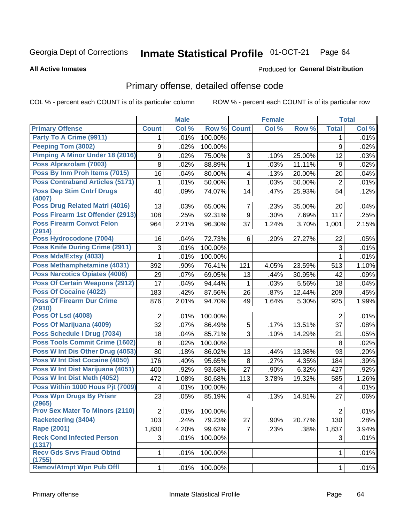#### Inmate Statistical Profile 01-OCT-21 Page 64

**All Active Inmates** 

#### **Produced for General Distribution**

## Primary offense, detailed offense code

COL % - percent each COUNT is of its particular column

|                                            |                | <b>Male</b> |                 |                         | <b>Female</b> |        |                | <b>Total</b> |
|--------------------------------------------|----------------|-------------|-----------------|-------------------------|---------------|--------|----------------|--------------|
| <b>Primary Offense</b>                     | <b>Count</b>   | Col %       | Row %           | <b>Count</b>            | Col %         | Row %  | <b>Total</b>   | Col %        |
| Party To A Crime (9911)                    | 1              | .01%        | 100.00%         |                         |               |        | 1              | .01%         |
| <b>Peeping Tom (3002)</b>                  | 9              | .02%        | 100.00%         |                         |               |        | 9              | .02%         |
| Pimping A Minor Under 18 (2016)            | 9              | .02%        | 75.00%          | 3                       | .10%          | 25.00% | 12             | .03%         |
| Poss Alprazolam (7003)                     | 8              | .02%        | 88.89%          | 1                       | .03%          | 11.11% | 9              | .02%         |
| Poss By Inm Proh Items (7015)              | 16             | .04%        | 80.00%          | $\overline{\mathbf{4}}$ | .13%          | 20.00% | 20             | .04%         |
| <b>Poss Contraband Articles (5171)</b>     | 1              | .01%        | 50.00%          | 1                       | .03%          | 50.00% | $\overline{2}$ | .01%         |
| <b>Poss Dep Stim Cntrf Drugs</b><br>(4007) | 40             | .09%        | 74.07%          | 14                      | .47%          | 25.93% | 54             | .12%         |
| <b>Poss Drug Related Matri (4016)</b>      | 13             | .03%        | 65.00%          | $\overline{7}$          | .23%          | 35.00% | 20             | .04%         |
| Poss Firearm 1st Offender (2913)           | 108            | .25%        | 92.31%          | 9                       | .30%          | 7.69%  | 117            | .25%         |
| <b>Poss Firearm Convct Felon</b><br>(2914) | 964            | 2.21%       | 96.30%          | 37                      | 1.24%         | 3.70%  | 1,001          | 2.15%        |
| Poss Hydrocodone (7004)                    | 16             | .04%        | 72.73%          | 6                       | .20%          | 27.27% | 22             | .05%         |
| Poss Knife During Crime (2911)             | 3              | .01%        | 100.00%         |                         |               |        | 3              | .01%         |
| Poss Mda/Extsy (4033)                      | 1              | .01%        | 100.00%         |                         |               |        | 1              | .01%         |
| Poss Methamphetamine (4031)                | 392            | .90%        | 76.41%          | 121                     | 4.05%         | 23.59% | 513            | 1.10%        |
| <b>Poss Narcotics Opiates (4006)</b>       | 29             | .07%        | 69.05%          | 13                      | .44%          | 30.95% | 42             | .09%         |
| <b>Poss Of Certain Weapons (2912)</b>      | 17             | .04%        | 94.44%          | $\mathbf{1}$            | .03%          | 5.56%  | 18             | .04%         |
| Poss Of Cocaine (4022)                     | 183            | .42%        | 87.56%          | 26                      | .87%          | 12.44% | 209            | .45%         |
| <b>Poss Of Firearm Dur Crime</b><br>(2910) | 876            | 2.01%       | 94.70%          | 49                      | 1.64%         | 5.30%  | 925            | 1.99%        |
| <b>Poss Of Lsd (4008)</b>                  | $\overline{2}$ | .01%        | 100.00%         |                         |               |        | $\overline{2}$ | .01%         |
| Poss Of Marijuana (4009)                   | 32             | .07%        | 86.49%          | 5                       | .17%          | 13.51% | 37             | .08%         |
| Poss Schedule I Drug (7034)                | 18             | .04%        | 85.71%          | 3                       | .10%          | 14.29% | 21             | .05%         |
| Poss Tools Commit Crime (1602)             | 8              | .02%        | 100.00%         |                         |               |        | 8              | .02%         |
| Poss W Int Dis Other Drug (4053)           | 80             | .18%        | 86.02%          | 13                      | .44%          | 13.98% | 93             | .20%         |
| <b>Poss W Int Dist Cocaine (4050)</b>      | 176            | .40%        | 95.65%          | 8                       | .27%          | 4.35%  | 184            | .39%         |
| Poss W Int Dist Marijuana (4051)           | 400            | .92%        | 93.68%          | 27                      | .90%          | 6.32%  | 427            | .92%         |
| Poss W Int Dist Meth (4052)                | 472            | 1.08%       | 80.68%          | 113                     | 3.78%         | 19.32% | 585            | 1.26%        |
| Poss Within 1000 Hous Pjt (7009)           | 4              | .01%        | 100.00%         |                         |               |        | 4              | .01%         |
| <b>Poss Wpn Drugs By Prisnr</b><br>(2965)  | 23             | .05%        | 85.19%          | 4                       | .13%          | 14.81% | 27             | .06%         |
| <b>Prov Sex Mater To Minors (2110)</b>     | $2\vert$       |             | $.01\%$ 100.00% |                         |               |        | $2\vert$       | .01%         |
| <b>Racketeering (3404)</b>                 | 103            | .24%        | 79.23%          | 27                      | .90%          | 20.77% | 130            | .28%         |
| <b>Rape (2001)</b>                         | 1,830          | 4.20%       | 99.62%          | $\overline{7}$          | .23%          | .38%   | 1,837          | 3.94%        |
| <b>Reck Cond Infected Person</b><br>(1317) | 3              | .01%        | 100.00%         |                         |               |        | 3              | .01%         |
| <b>Recv Gds Srvs Fraud Obtnd</b><br>(1755) | 1 <sup>1</sup> | .01%        | 100.00%         |                         |               |        | 1              | .01%         |
| <b>Remov/Atmpt Wpn Pub Offl</b>            | 1              | .01%        | 100.00%         |                         |               |        | 1              | .01%         |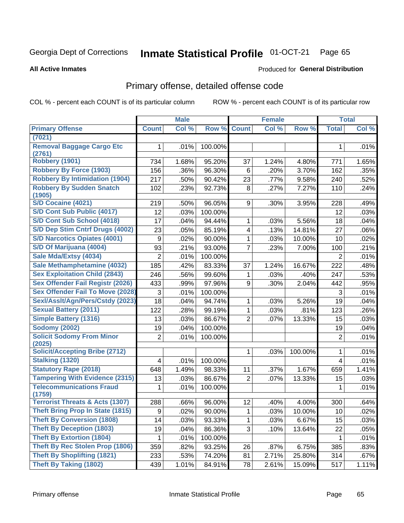#### Inmate Statistical Profile 01-OCT-21 Page 65

#### **All Active Inmates**

### **Produced for General Distribution**

## Primary offense, detailed offense code

COL % - percent each COUNT is of its particular column

|                                            |              | <b>Male</b> |         |                         | <b>Female</b> |         |                | <b>Total</b> |
|--------------------------------------------|--------------|-------------|---------|-------------------------|---------------|---------|----------------|--------------|
| <b>Primary Offense</b>                     | <b>Count</b> | Col %       | Row %   | <b>Count</b>            | Col %         | Row %   | <b>Total</b>   | Col%         |
| (7021)                                     |              |             |         |                         |               |         |                |              |
| <b>Removal Baggage Cargo Etc</b><br>(2761) | 1            | .01%        | 100.00% |                         |               |         | 1              | .01%         |
| Robbery (1901)                             | 734          | 1.68%       | 95.20%  | 37                      | 1.24%         | 4.80%   | 771            | 1.65%        |
| <b>Robbery By Force (1903)</b>             | 156          | .36%        | 96.30%  | 6                       | .20%          | 3.70%   | 162            | .35%         |
| <b>Robbery By Intimidation (1904)</b>      | 217          | .50%        | 90.42%  | 23                      | .77%          | 9.58%   | 240            | .52%         |
| <b>Robbery By Sudden Snatch</b>            | 102          | .23%        | 92.73%  | 8                       | .27%          | 7.27%   | 110            | .24%         |
| (1905)                                     |              |             |         |                         |               |         |                |              |
| S/D Cocaine (4021)                         | 219          | .50%        | 96.05%  | 9                       | .30%          | 3.95%   | 228            | .49%         |
| S/D Cont Sub Public (4017)                 | 12           | .03%        | 100.00% |                         |               |         | 12             | .03%         |
| S/D Cont Sub School (4018)                 | 17           | .04%        | 94.44%  | 1                       | .03%          | 5.56%   | 18             | .04%         |
| S/D Dep Stim Cntrf Drugs (4002)            | 23           | .05%        | 85.19%  | $\overline{\mathbf{4}}$ | .13%          | 14.81%  | 27             | .06%         |
| <b>S/D Narcotics Opiates (4001)</b>        | 9            | .02%        | 90.00%  | 1                       | .03%          | 10.00%  | 10             | .02%         |
| S/D Of Marijuana (4004)                    | 93           | .21%        | 93.00%  | $\overline{7}$          | .23%          | 7.00%   | 100            | .21%         |
| Sale Mda/Extsy (4034)                      | 2            | .01%        | 100.00% |                         |               |         | $\overline{2}$ | .01%         |
| Sale Methamphetamine (4032)                | 185          | .42%        | 83.33%  | 37                      | 1.24%         | 16.67%  | 222            | .48%         |
| <b>Sex Exploitation Child (2843)</b>       | 246          | .56%        | 99.60%  | 1                       | .03%          | .40%    | 247            | .53%         |
| Sex Offender Fail Registr (2026)           | 433          | .99%        | 97.96%  | 9                       | .30%          | 2.04%   | 442            | .95%         |
| <b>Sex Offender Fail To Move (2028)</b>    | 3            | .01%        | 100.00% |                         |               |         | 3              | .01%         |
| Sexl/Asslt/Agn/Pers/Cstdy (2023)           | 18           | .04%        | 94.74%  | 1                       | .03%          | 5.26%   | 19             | .04%         |
| <b>Sexual Battery (2011)</b>               | 122          | .28%        | 99.19%  | 1                       | .03%          | .81%    | 123            | .26%         |
| <b>Simple Battery (1316)</b>               | 13           | .03%        | 86.67%  | $\overline{2}$          | .07%          | 13.33%  | 15             | .03%         |
| <b>Sodomy (2002)</b>                       | 19           | .04%        | 100.00% |                         |               |         | 19             | .04%         |
| <b>Solicit Sodomy From Minor</b>           | 2            | .01%        | 100.00% |                         |               |         | $\overline{2}$ | .01%         |
| (2025)                                     |              |             |         |                         |               |         |                |              |
| <b>Solicit/Accepting Bribe (2712)</b>      |              |             |         | 1                       | .03%          | 100.00% | 1              | .01%         |
| <b>Stalking (1320)</b>                     | 4            | .01%        | 100.00% |                         |               |         | 4              | .01%         |
| <b>Statutory Rape (2018)</b>               | 648          | 1.49%       | 98.33%  | 11                      | .37%          | 1.67%   | 659            | 1.41%        |
| <b>Tampering With Evidence (2315)</b>      | 13           | .03%        | 86.67%  | $\overline{2}$          | .07%          | 13.33%  | 15             | .03%         |
| <b>Telecommunications Fraud</b>            | 1            | .01%        | 100.00% |                         |               |         | 1              | .01%         |
| (1759)                                     |              |             |         |                         |               |         |                |              |
| <b>Terrorist Threats &amp; Acts (1307)</b> | 288          | .66%        | 96.00%  | 12                      | .40%          | 4.00%   | 300            | .64%         |
| <b>Theft Bring Prop In State (1815)</b>    | 9            | .02%        | 90.00%  | $\mathbf 1$             | .03%          | 10.00%  | 10             | .02%         |
| <b>Theft By Conversion (1808)</b>          | 14           | .03%        | 93.33%  | 1                       | .03%          | 6.67%   | 15             | .03%         |
| <b>Theft By Deception (1803)</b>           | 19           | .04%        | 86.36%  | 3                       | .10%          | 13.64%  | 22             | .05%         |
| <b>Theft By Extortion (1804)</b>           | 1            | .01%        | 100.00% |                         |               |         | $\mathbf 1$    | .01%         |
| Theft By Rec Stolen Prop (1806)            | 359          | .82%        | 93.25%  | 26                      | .87%          | 6.75%   | 385            | .83%         |
| <b>Theft By Shoplifting (1821)</b>         | 233          | .53%        | 74.20%  | 81                      | 2.71%         | 25.80%  | 314            | .67%         |
| <b>Theft By Taking (1802)</b>              | 439          | 1.01%       | 84.91%  | 78                      | 2.61%         | 15.09%  | 517            | 1.11%        |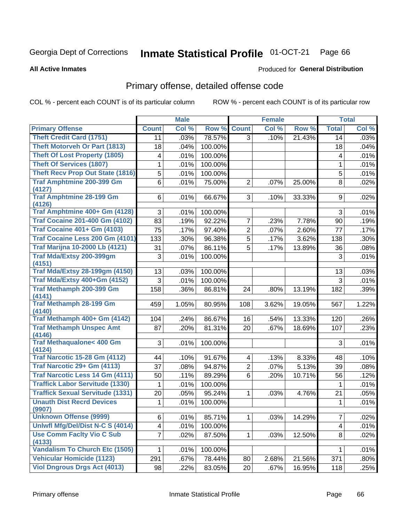#### Inmate Statistical Profile 01-OCT-21 Page 66

**All Active Inmates** 

### Produced for General Distribution

## Primary offense, detailed offense code

COL % - percent each COUNT is of its particular column

|                                            |                 | <b>Male</b> |         |                | <b>Female</b> |        |                | <b>Total</b> |
|--------------------------------------------|-----------------|-------------|---------|----------------|---------------|--------|----------------|--------------|
| <b>Primary Offense</b>                     | <b>Count</b>    | Col %       | Row %   | <b>Count</b>   | Col %         | Row %  | <b>Total</b>   | Col %        |
| <b>Theft Credit Card (1751)</b>            | 11              | .03%        | 78.57%  | $\overline{3}$ | .10%          | 21.43% | 14             | .03%         |
| <b>Theft Motorveh Or Part (1813)</b>       | 18              | .04%        | 100.00% |                |               |        | 18             | .04%         |
| <b>Theft Of Lost Property (1805)</b>       | 4               | .01%        | 100.00% |                |               |        | 4              | .01%         |
| <b>Theft Of Services (1807)</b>            | 1               | .01%        | 100.00% |                |               |        | 1              | .01%         |
| <b>Theft Recv Prop Out State (1816)</b>    | 5               | .01%        | 100.00% |                |               |        | 5              | .01%         |
| <b>Traf Amphtmine 200-399 Gm</b>           | 6               | .01%        | 75.00%  | $\overline{2}$ | .07%          | 25.00% | 8              | .02%         |
| (4127)                                     |                 |             |         |                |               |        |                |              |
| <b>Traf Amphtmine 28-199 Gm</b><br>(4126)  | 6               | .01%        | 66.67%  | 3              | .10%          | 33.33% | 9              | .02%         |
| Traf Amphtmine 400+ Gm (4128)              | 3               | .01%        | 100.00% |                |               |        | 3              | .01%         |
| <b>Traf Cocaine 201-400 Gm (4102)</b>      | 83              | .19%        | 92.22%  | $\overline{7}$ | .23%          | 7.78%  | 90             | .19%         |
| <b>Traf Cocaine 401+ Gm (4103)</b>         | $\overline{75}$ | .17%        | 97.40%  | $\overline{2}$ | .07%          | 2.60%  | 77             | .17%         |
| Traf Cocaine Less 200 Gm (4101)            | 133             | .30%        | 96.38%  | $\overline{5}$ | .17%          | 3.62%  | 138            | .30%         |
| <b>Traf Marijna 10-2000 Lb (4121)</b>      | 31              | .07%        | 86.11%  | $\overline{5}$ | .17%          | 13.89% | 36             | .08%         |
| <b>Traf Mda/Extsy 200-399gm</b>            | 3               | .01%        | 100.00% |                |               |        | 3              | .01%         |
| (4151)                                     |                 |             |         |                |               |        |                |              |
| <b>Traf Mda/Extsy 28-199gm (4150)</b>      | 13              | .03%        | 100.00% |                |               |        | 13             | .03%         |
| Traf Mda/Extsy 400+Gm (4152)               | 3               | .01%        | 100.00% |                |               |        | 3              | .01%         |
| Traf Methamph 200-399 Gm                   | 158             | .36%        | 86.81%  | 24             | .80%          | 13.19% | 182            | .39%         |
| (4141)                                     |                 |             |         |                |               |        |                |              |
| <b>Traf Methamph 28-199 Gm</b>             | 459             | 1.05%       | 80.95%  | 108            | 3.62%         | 19.05% | 567            | 1.22%        |
| (4140)<br>Traf Methamph 400+ Gm (4142)     | 104             | .24%        | 86.67%  | 16             | .54%          | 13.33% | 120            | .26%         |
| <b>Traf Methamph Unspec Amt</b>            | 87              | .20%        | 81.31%  | 20             | .67%          | 18.69% | 107            | .23%         |
| (4146)                                     |                 |             |         |                |               |        |                |              |
| <b>Traf Methaqualone&lt; 400 Gm</b>        | 3               | .01%        | 100.00% |                |               |        | 3              | .01%         |
| (4124)                                     |                 |             |         |                |               |        |                |              |
| <b>Traf Narcotic 15-28 Gm (4112)</b>       | 44              | .10%        | 91.67%  | 4              | .13%          | 8.33%  | 48             | .10%         |
| Traf Narcotic 29+ Gm (4113)                | 37              | .08%        | 94.87%  | $\overline{2}$ | .07%          | 5.13%  | 39             | .08%         |
| Traf Narcotic Less 14 Gm (4111)            | 50              | .11%        | 89.29%  | 6              | .20%          | 10.71% | 56             | .12%         |
| <b>Traffick Labor Servitude (1330)</b>     | 1               | .01%        | 100.00% |                |               |        | 1              | .01%         |
| <b>Traffick Sexual Servitude (1331)</b>    | 20              | .05%        | 95.24%  | 1              | .03%          | 4.76%  | 21             | .05%         |
| <b>Unauth Dist Recrd Devices</b>           | 1               | .01%        | 100.00% |                |               |        | 1              | .01%         |
| (9907)                                     |                 |             |         |                |               |        |                |              |
| <b>Unknown Offense (9999)</b>              | 6               | .01%        | 85.71%  | 1              | .03%          | 14.29% | $\overline{7}$ | .02%         |
| Uniwfl Mfg/Del/Dist N-C S (4014)           | 4               | .01%        | 100.00% |                |               |        | 4              | .01%         |
| <b>Use Comm Facity Vio C Sub</b><br>(4133) | $\overline{7}$  | .02%        | 87.50%  | $\mathbf{1}$   | .03%          | 12.50% | 8              | .02%         |
| <b>Vandalism To Church Etc (1505)</b>      | 1               | .01%        | 100.00% |                |               |        | 1              | .01%         |
| <b>Vehicular Homicide (1123)</b>           | 291             | .67%        | 78.44%  | 80             | 2.68%         | 21.56% | 371            | .80%         |
| <b>Viol Dngrous Drgs Act (4013)</b>        | 98              | .22%        | 83.05%  | 20             | .67%          | 16.95% | 118            | .25%         |
|                                            |                 |             |         |                |               |        |                |              |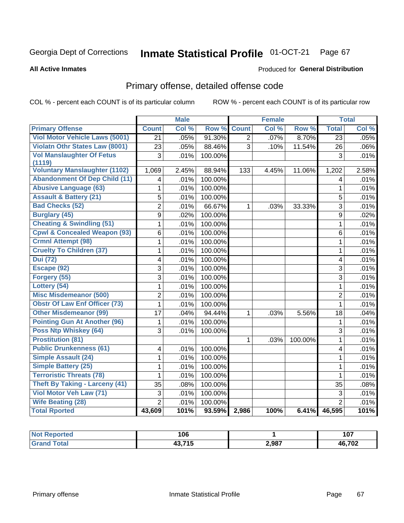#### Inmate Statistical Profile 01-OCT-21 Page 67

**All Active Inmates** 

#### Produced for General Distribution

## Primary offense, detailed offense code

COL % - percent each COUNT is of its particular column

|                                                |                         | <b>Male</b> |         |                | <b>Female</b> |         |                 | <b>Total</b> |
|------------------------------------------------|-------------------------|-------------|---------|----------------|---------------|---------|-----------------|--------------|
| <b>Primary Offense</b>                         | <b>Count</b>            | Col %       | Row %   | <b>Count</b>   | Col %         | Row %   | <b>Total</b>    | Col %        |
| <b>Viol Motor Vehicle Laws (5001)</b>          | $\overline{21}$         | .05%        | 91.30%  | $\overline{2}$ | .07%          | 8.70%   | $\overline{23}$ | .05%         |
| <b>Violatn Othr States Law (8001)</b>          | 23                      | .05%        | 88.46%  | $\overline{3}$ | .10%          | 11.54%  | 26              | .06%         |
| <b>Vol Manslaughter Of Fetus</b>               | 3                       | .01%        | 100.00% |                |               |         | 3               | .01%         |
| (1119)<br><b>Voluntary Manslaughter (1102)</b> | 1,069                   | 2.45%       | 88.94%  | 133            | 4.45%         | 11.06%  | 1,202           | 2.58%        |
| <b>Abandonment Of Dep Child (11)</b>           | 4                       | .01%        | 100.00% |                |               |         | 4               | .01%         |
| <b>Abusive Language (63)</b>                   | 1                       | .01%        | 100.00% |                |               |         | $\mathbf{1}$    | .01%         |
| <b>Assault &amp; Battery (21)</b>              | 5                       | .01%        | 100.00% |                |               |         | 5               | .01%         |
| <b>Bad Checks (52)</b>                         | $\overline{2}$          | .01%        | 66.67%  | $\mathbf{1}$   | .03%          | 33.33%  | $\overline{3}$  | .01%         |
| <b>Burglary (45)</b>                           | $\mathsf g$             | .02%        | 100.00% |                |               |         | 9               | .02%         |
| <b>Cheating &amp; Swindling (51)</b>           | 1                       | .01%        | 100.00% |                |               |         | $\mathbf{1}$    | .01%         |
| <b>Cpwl &amp; Concealed Weapon (93)</b>        | $6\phantom{1}$          | .01%        | 100.00% |                |               |         | 6               | .01%         |
| <b>Crmnl Attempt (98)</b>                      | $\mathbf{1}$            | .01%        | 100.00% |                |               |         | $\mathbf{1}$    | .01%         |
| <b>Cruelty To Children (37)</b>                | 1                       | .01%        | 100.00% |                |               |         | $\mathbf{1}$    | .01%         |
| <b>Dui</b> (72)                                | 4                       | .01%        | 100.00% |                |               |         | 4               | .01%         |
| Escape (92)                                    | 3                       | .01%        | 100.00% |                |               |         | $\overline{3}$  | .01%         |
| Forgery (55)                                   | 3                       | .01%        | 100.00% |                |               |         | 3               | .01%         |
| Lottery (54)                                   | $\mathbf{1}$            | .01%        | 100.00% |                |               |         | $\mathbf 1$     | .01%         |
| <b>Misc Misdemeanor (500)</b>                  | $\overline{2}$          | .01%        | 100.00% |                |               |         | $\overline{2}$  | .01%         |
| <b>Obstr Of Law Enf Officer (73)</b>           | 1                       | .01%        | 100.00% |                |               |         | $\mathbf{1}$    | .01%         |
| <b>Other Misdemeanor (99)</b>                  | 17                      | .04%        | 94.44%  | 1              | .03%          | 5.56%   | 18              | .04%         |
| <b>Pointing Gun At Another (96)</b>            | 1                       | .01%        | 100.00% |                |               |         | $\mathbf 1$     | .01%         |
| <b>Poss Ntp Whiskey (64)</b>                   | 3                       | .01%        | 100.00% |                |               |         | $\overline{3}$  | .01%         |
| <b>Prostitution (81)</b>                       |                         |             |         | 1              | .03%          | 100.00% | $\mathbf{1}$    | .01%         |
| <b>Public Drunkenness (61)</b>                 | $\overline{\mathbf{4}}$ | .01%        | 100.00% |                |               |         | 4               | .01%         |
| <b>Simple Assault (24)</b>                     | 1                       | .01%        | 100.00% |                |               |         | 1               | .01%         |
| <b>Simple Battery (25)</b>                     | 1                       | .01%        | 100.00% |                |               |         | $\mathbf{1}$    | .01%         |
| <b>Terroristic Threats (78)</b>                | 1                       | .01%        | 100.00% |                |               |         | $\mathbf{1}$    | .01%         |
| <b>Theft By Taking - Larceny (41)</b>          | 35                      | .08%        | 100.00% |                |               |         | 35              | .08%         |
| Viol Motor Veh Law (71)                        | 3                       | .01%        | 100.00% |                |               |         | 3               | .01%         |
| <b>Wife Beating (28)</b>                       | $\overline{2}$          | .01%        | 100.00% |                |               |         | $\overline{2}$  | .01%         |
| <b>Total Rported</b>                           | 43,609                  | 101%        | 93.59%  | 2,986          | 100%          | 6.41%   | 46,595          | 101%         |

| NO1<br><b>portegi</b><br>. | 106     |       | - - -<br>1 V I      |
|----------------------------|---------|-------|---------------------|
| $\sim$                     | 19 74 E | 2,987 | פחד ג<br>Дŀ<br>י ש⊾ |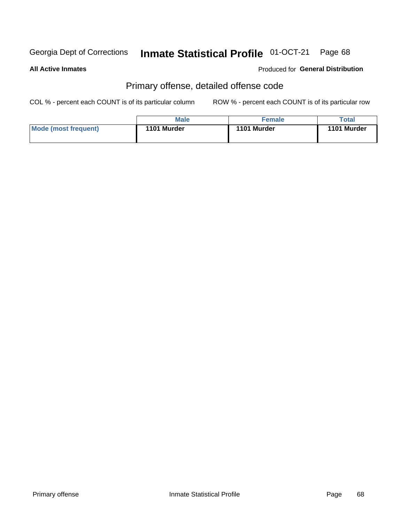#### Inmate Statistical Profile 01-OCT-21 Page 68

#### **All Active Inmates**

### **Produced for General Distribution**

## Primary offense, detailed offense code

COL % - percent each COUNT is of its particular column

|                      | <b>Male</b> | Female      | Total       |
|----------------------|-------------|-------------|-------------|
| Mode (most frequent) | 1101 Murder | 1101 Murder | 1101 Murder |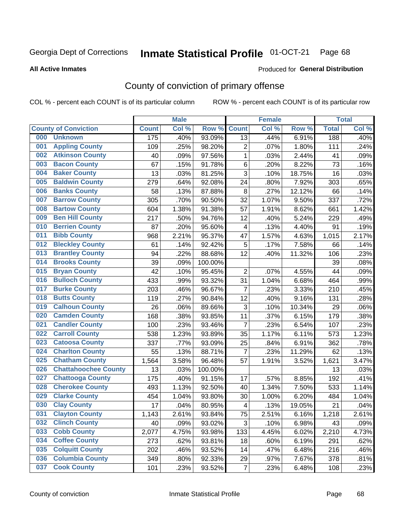#### Inmate Statistical Profile 01-OCT-21 Page 68

**All Active Inmates** 

#### Produced for General Distribution

## County of conviction of primary offense

COL % - percent each COUNT is of its particular column

|     |                             |              | <b>Male</b> |         |                           | <b>Female</b> |        |              | <b>Total</b> |
|-----|-----------------------------|--------------|-------------|---------|---------------------------|---------------|--------|--------------|--------------|
|     | <b>County of Conviction</b> | <b>Count</b> | Col %       | Row %   | <b>Count</b>              | Col %         | Row %  | <b>Total</b> | Col %        |
| 000 | <b>Unknown</b>              | 175          | .40%        | 93.09%  | 13                        | .44%          | 6.91%  | 188          | .40%         |
| 001 | <b>Appling County</b>       | 109          | .25%        | 98.20%  | 2                         | .07%          | 1.80%  | 111          | .24%         |
| 002 | <b>Atkinson County</b>      | 40           | .09%        | 97.56%  | $\mathbf{1}$              | .03%          | 2.44%  | 41           | .09%         |
| 003 | <b>Bacon County</b>         | 67           | .15%        | 91.78%  | 6                         | .20%          | 8.22%  | 73           | .16%         |
| 004 | <b>Baker County</b>         | 13           | .03%        | 81.25%  | $\overline{3}$            | .10%          | 18.75% | 16           | .03%         |
| 005 | <b>Baldwin County</b>       | 279          | .64%        | 92.08%  | 24                        | .80%          | 7.92%  | 303          | .65%         |
| 006 | <b>Banks County</b>         | 58           | .13%        | 87.88%  | 8                         | .27%          | 12.12% | 66           | .14%         |
| 007 | <b>Barrow County</b>        | 305          | .70%        | 90.50%  | 32                        | 1.07%         | 9.50%  | 337          | .72%         |
| 008 | <b>Bartow County</b>        | 604          | 1.38%       | 91.38%  | 57                        | 1.91%         | 8.62%  | 661          | 1.42%        |
| 009 | <b>Ben Hill County</b>      | 217          | .50%        | 94.76%  | 12                        | .40%          | 5.24%  | 229          | .49%         |
| 010 | <b>Berrien County</b>       | 87           | .20%        | 95.60%  | $\overline{\mathbf{4}}$   | .13%          | 4.40%  | 91           | .19%         |
| 011 | <b>Bibb County</b>          | 968          | 2.21%       | 95.37%  | 47                        | 1.57%         | 4.63%  | 1,015        | 2.17%        |
| 012 | <b>Bleckley County</b>      | 61           | .14%        | 92.42%  | 5                         | .17%          | 7.58%  | 66           | .14%         |
| 013 | <b>Brantley County</b>      | 94           | .22%        | 88.68%  | 12                        | .40%          | 11.32% | 106          | .23%         |
| 014 | <b>Brooks County</b>        | 39           | .09%        | 100.00% |                           |               |        | 39           | .08%         |
| 015 | <b>Bryan County</b>         | 42           | .10%        | 95.45%  | $\overline{2}$            | .07%          | 4.55%  | 44           | .09%         |
| 016 | <b>Bulloch County</b>       | 433          | .99%        | 93.32%  | 31                        | 1.04%         | 6.68%  | 464          | .99%         |
| 017 | <b>Burke County</b>         | 203          | .46%        | 96.67%  | $\overline{7}$            | .23%          | 3.33%  | 210          | .45%         |
| 018 | <b>Butts County</b>         | 119          | .27%        | 90.84%  | 12                        | .40%          | 9.16%  | 131          | .28%         |
| 019 | <b>Calhoun County</b>       | 26           | .06%        | 89.66%  | $\ensuremath{\mathsf{3}}$ | .10%          | 10.34% | 29           | .06%         |
| 020 | <b>Camden County</b>        | 168          | .38%        | 93.85%  | 11                        | .37%          | 6.15%  | 179          | .38%         |
| 021 | <b>Candler County</b>       | 100          | .23%        | 93.46%  | $\overline{7}$            | .23%          | 6.54%  | 107          | .23%         |
| 022 | <b>Carroll County</b>       | 538          | 1.23%       | 93.89%  | 35                        | 1.17%         | 6.11%  | 573          | 1.23%        |
| 023 | <b>Catoosa County</b>       | 337          | .77%        | 93.09%  | 25                        | .84%          | 6.91%  | 362          | .78%         |
| 024 | <b>Charlton County</b>      | 55           | .13%        | 88.71%  | $\overline{7}$            | .23%          | 11.29% | 62           | .13%         |
| 025 | <b>Chatham County</b>       | 1,564        | 3.58%       | 96.48%  | 57                        | 1.91%         | 3.52%  | 1,621        | 3.47%        |
| 026 | <b>Chattahoochee County</b> | 13           | .03%        | 100.00% |                           |               |        | 13           | .03%         |
| 027 | <b>Chattooga County</b>     | 175          | .40%        | 91.15%  | 17                        | .57%          | 8.85%  | 192          | .41%         |
| 028 | <b>Cherokee County</b>      | 493          | 1.13%       | 92.50%  | 40                        | 1.34%         | 7.50%  | 533          | 1.14%        |
| 029 | <b>Clarke County</b>        | 454          | 1.04%       | 93.80%  | 30                        | 1.00%         | 6.20%  | 484          | 1.04%        |
| 030 | <b>Clay County</b>          | 17           | .04%        | 80.95%  | $\overline{4}$            | .13%          | 19.05% | 21           | .04%         |
| 031 | <b>Clayton County</b>       | 1,143        | 2.61%       | 93.84%  | 75                        | 2.51%         | 6.16%  | 1,218        | 2.61%        |
| 032 | <b>Clinch County</b>        | 40           | .09%        | 93.02%  | 3                         | .10%          | 6.98%  | 43           | .09%         |
| 033 | <b>Cobb County</b>          | 2,077        | 4.75%       | 93.98%  | 133                       | 4.45%         | 6.02%  | 2,210        | 4.73%        |
| 034 | <b>Coffee County</b>        | 273          | .62%        | 93.81%  | 18                        | .60%          | 6.19%  | 291          | .62%         |
| 035 | <b>Colquitt County</b>      | 202          | .46%        | 93.52%  | 14                        | .47%          | 6.48%  | 216          | .46%         |
| 036 | <b>Columbia County</b>      | 349          | .80%        | 92.33%  | 29                        | .97%          | 7.67%  | 378          | .81%         |
| 037 | <b>Cook County</b>          | 101          | .23%        | 93.52%  | $\overline{7}$            | .23%          | 6.48%  | 108          | .23%         |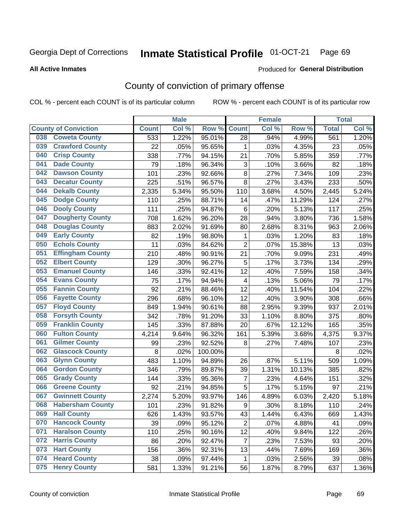#### Inmate Statistical Profile 01-OCT-21 Page 69

**All Active Inmates** 

#### Produced for General Distribution

## County of conviction of primary offense

COL % - percent each COUNT is of its particular column

|                                |              | <b>Male</b> |         |                           | <b>Female</b> |        |              | <b>Total</b> |
|--------------------------------|--------------|-------------|---------|---------------------------|---------------|--------|--------------|--------------|
| <b>County of Conviction</b>    | <b>Count</b> | Col %       | Row %   | <b>Count</b>              | Col %         | Row %  | <b>Total</b> | Col %        |
| <b>Coweta County</b><br>038    | 533          | 1.22%       | 95.01%  | 28                        | .94%          | 4.99%  | 561          | 1.20%        |
| <b>Crawford County</b><br>039  | 22           | .05%        | 95.65%  | 1                         | .03%          | 4.35%  | 23           | .05%         |
| <b>Crisp County</b><br>040     | 338          | .77%        | 94.15%  | 21                        | .70%          | 5.85%  | 359          | .77%         |
| <b>Dade County</b><br>041      | 79           | .18%        | 96.34%  | $\ensuremath{\mathsf{3}}$ | .10%          | 3.66%  | 82           | .18%         |
| <b>Dawson County</b><br>042    | 101          | .23%        | 92.66%  | 8                         | .27%          | 7.34%  | 109          | .23%         |
| 043<br><b>Decatur County</b>   | 225          | .51%        | 96.57%  | 8                         | .27%          | 3.43%  | 233          | .50%         |
| <b>Dekalb County</b><br>044    | 2,335        | 5.34%       | 95.50%  | 110                       | 3.68%         | 4.50%  | 2,445        | 5.24%        |
| <b>Dodge County</b><br>045     | 110          | .25%        | 88.71%  | 14                        | .47%          | 11.29% | 124          | .27%         |
| <b>Dooly County</b><br>046     | 111          | .25%        | 94.87%  | 6                         | .20%          | 5.13%  | 117          | .25%         |
| 047<br><b>Dougherty County</b> | 708          | 1.62%       | 96.20%  | 28                        | .94%          | 3.80%  | 736          | 1.58%        |
| <b>Douglas County</b><br>048   | 883          | 2.02%       | 91.69%  | 80                        | 2.68%         | 8.31%  | 963          | 2.06%        |
| <b>Early County</b><br>049     | 82           | .19%        | 98.80%  | 1                         | .03%          | 1.20%  | 83           | .18%         |
| <b>Echols County</b><br>050    | 11           | .03%        | 84.62%  | $\overline{2}$            | .07%          | 15.38% | 13           | .03%         |
| 051<br><b>Effingham County</b> | 210          | .48%        | 90.91%  | 21                        | .70%          | 9.09%  | 231          | .49%         |
| <b>Elbert County</b><br>052    | 129          | .30%        | 96.27%  | 5                         | .17%          | 3.73%  | 134          | .29%         |
| <b>Emanuel County</b><br>053   | 146          | .33%        | 92.41%  | 12                        | .40%          | 7.59%  | 158          | .34%         |
| <b>Evans County</b><br>054     | 75           | .17%        | 94.94%  | $\overline{4}$            | .13%          | 5.06%  | 79           | .17%         |
| <b>Fannin County</b><br>055    | 92           | .21%        | 88.46%  | 12                        | .40%          | 11.54% | 104          | .22%         |
| <b>Fayette County</b><br>056   | 296          | .68%        | 96.10%  | 12                        | .40%          | 3.90%  | 308          | .66%         |
| <b>Floyd County</b><br>057     | 849          | 1.94%       | 90.61%  | 88                        | 2.95%         | 9.39%  | 937          | 2.01%        |
| <b>Forsyth County</b><br>058   | 342          | .78%        | 91.20%  | 33                        | 1.10%         | 8.80%  | 375          | .80%         |
| <b>Franklin County</b><br>059  | 145          | .33%        | 87.88%  | 20                        | .67%          | 12.12% | 165          | .35%         |
| <b>Fulton County</b><br>060    | 4,214        | 9.64%       | 96.32%  | 161                       | 5.39%         | 3.68%  | 4,375        | 9.37%        |
| <b>Gilmer County</b><br>061    | 99           | .23%        | 92.52%  | 8                         | .27%          | 7.48%  | 107          | .23%         |
| <b>Glascock County</b><br>062  | 8            | .02%        | 100.00% |                           |               |        | 8            | .02%         |
| 063<br><b>Glynn County</b>     | 483          | 1.10%       | 94.89%  | 26                        | .87%          | 5.11%  | 509          | 1.09%        |
| <b>Gordon County</b><br>064    | 346          | .79%        | 89.87%  | 39                        | 1.31%         | 10.13% | 385          | .82%         |
| <b>Grady County</b><br>065     | 144          | .33%        | 95.36%  | $\overline{7}$            | .23%          | 4.64%  | 151          | .32%         |
| <b>Greene County</b><br>066    | 92           | .21%        | 94.85%  | 5                         | .17%          | 5.15%  | 97           | .21%         |
| <b>Gwinnett County</b><br>067  | 2,274        | 5.20%       | 93.97%  | 146                       | 4.89%         | 6.03%  | 2,420        | 5.18%        |
| <b>Habersham County</b><br>068 | 101          | .23%        | 91.82%  | 9                         | .30%          | 8.18%  | 110          | .24%         |
| 069<br><b>Hall County</b>      | 626          | 1.43%       | 93.57%  | 43                        | 1.44%         | 6.43%  | 669          | 1.43%        |
| <b>Hancock County</b><br>070   | 39           | .09%        | 95.12%  | $\overline{2}$            | .07%          | 4.88%  | 41           | .09%         |
| <b>Haralson County</b><br>071  | 110          | .25%        | 90.16%  | 12                        | .40%          | 9.84%  | 122          | .26%         |
| 072<br><b>Harris County</b>    | 86           | .20%        | 92.47%  | $\overline{7}$            | .23%          | 7.53%  | 93           | .20%         |
| <b>Hart County</b><br>073      | 156          | .36%        | 92.31%  | 13                        | .44%          | 7.69%  | 169          | .36%         |
| <b>Heard County</b><br>074     | 38           | .09%        | 97.44%  | $\mathbf 1$               | .03%          | 2.56%  | 39           | .08%         |
| <b>Henry County</b><br>075     | 581          | 1.33%       | 91.21%  | 56                        | 1.87%         | 8.79%  | 637          | 1.36%        |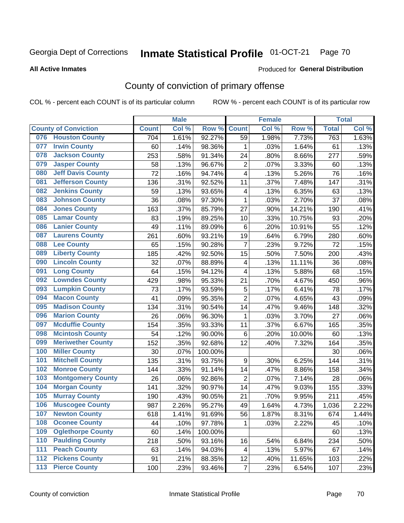#### Inmate Statistical Profile 01-OCT-21 Page 70

#### **All Active Inmates**

#### Produced for General Distribution

## County of conviction of primary offense

COL % - percent each COUNT is of its particular column

|       |                             |                 | <b>Male</b> |         |                         | <b>Female</b> |        |              | <b>Total</b> |
|-------|-----------------------------|-----------------|-------------|---------|-------------------------|---------------|--------|--------------|--------------|
|       | <b>County of Conviction</b> | <b>Count</b>    | Col %       | Row %   | <b>Count</b>            | Col %         | Row %  | <b>Total</b> | Col %        |
| 076   | <b>Houston County</b>       | 704             | 1.61%       | 92.27%  | 59                      | 1.98%         | 7.73%  | 763          | 1.63%        |
| 077   | <b>Irwin County</b>         | 60              | .14%        | 98.36%  | 1                       | .03%          | 1.64%  | 61           | .13%         |
| 078   | <b>Jackson County</b>       | 253             | .58%        | 91.34%  | 24                      | .80%          | 8.66%  | 277          | .59%         |
| 079   | <b>Jasper County</b>        | 58              | .13%        | 96.67%  | $\overline{2}$          | .07%          | 3.33%  | 60           | .13%         |
| 080   | <b>Jeff Davis County</b>    | $\overline{72}$ | .16%        | 94.74%  | 4                       | .13%          | 5.26%  | 76           | .16%         |
| 081   | <b>Jefferson County</b>     | 136             | .31%        | 92.52%  | 11                      | .37%          | 7.48%  | 147          | .31%         |
| 082   | <b>Jenkins County</b>       | 59              | .13%        | 93.65%  | $\overline{\mathbf{4}}$ | .13%          | 6.35%  | 63           | .13%         |
| 083   | <b>Johnson County</b>       | 36              | .08%        | 97.30%  | $\mathbf 1$             | .03%          | 2.70%  | 37           | .08%         |
| 084   | <b>Jones County</b>         | 163             | .37%        | 85.79%  | 27                      | .90%          | 14.21% | 190          | .41%         |
| 085   | <b>Lamar County</b>         | 83              | .19%        | 89.25%  | 10                      | .33%          | 10.75% | 93           | .20%         |
| 086   | <b>Lanier County</b>        | 49              | .11%        | 89.09%  | 6                       | .20%          | 10.91% | 55           | .12%         |
| 087   | <b>Laurens County</b>       | 261             | .60%        | 93.21%  | 19                      | .64%          | 6.79%  | 280          | .60%         |
| 088   | <b>Lee County</b>           | 65              | .15%        | 90.28%  | $\overline{7}$          | .23%          | 9.72%  | 72           | .15%         |
| 089   | <b>Liberty County</b>       | 185             | .42%        | 92.50%  | 15                      | .50%          | 7.50%  | 200          | .43%         |
| 090   | <b>Lincoln County</b>       | 32              | .07%        | 88.89%  | $\overline{\mathbf{4}}$ | .13%          | 11.11% | 36           | .08%         |
| 091   | <b>Long County</b>          | 64              | .15%        | 94.12%  | 4                       | .13%          | 5.88%  | 68           | .15%         |
| 092   | <b>Lowndes County</b>       | 429             | .98%        | 95.33%  | 21                      | .70%          | 4.67%  | 450          | .96%         |
| 093   | <b>Lumpkin County</b>       | 73              | .17%        | 93.59%  | $\mathbf 5$             | .17%          | 6.41%  | 78           | .17%         |
| 094   | <b>Macon County</b>         | 41              | .09%        | 95.35%  | $\overline{2}$          | .07%          | 4.65%  | 43           | .09%         |
| 095   | <b>Madison County</b>       | 134             | .31%        | 90.54%  | 14                      | .47%          | 9.46%  | 148          | .32%         |
| 096   | <b>Marion County</b>        | 26              | .06%        | 96.30%  | $\mathbf{1}$            | .03%          | 3.70%  | 27           | .06%         |
| 097   | <b>Mcduffie County</b>      | 154             | .35%        | 93.33%  | 11                      | .37%          | 6.67%  | 165          | .35%         |
| 098   | <b>Mcintosh County</b>      | 54              | .12%        | 90.00%  | 6                       | .20%          | 10.00% | 60           | .13%         |
| 099   | <b>Meriwether County</b>    | 152             | .35%        | 92.68%  | 12                      | .40%          | 7.32%  | 164          | .35%         |
| 100   | <b>Miller County</b>        | 30              | .07%        | 100.00% |                         |               |        | 30           | .06%         |
| 101   | <b>Mitchell County</b>      | 135             | .31%        | 93.75%  | 9                       | .30%          | 6.25%  | 144          | .31%         |
| 102   | <b>Monroe County</b>        | 144             | .33%        | 91.14%  | 14                      | .47%          | 8.86%  | 158          | .34%         |
| 103   | <b>Montgomery County</b>    | 26              | .06%        | 92.86%  | $\overline{2}$          | .07%          | 7.14%  | 28           | .06%         |
| 104   | <b>Morgan County</b>        | 141             | .32%        | 90.97%  | 14                      | .47%          | 9.03%  | 155          | .33%         |
| 105   | <b>Murray County</b>        | 190             | .43%        | 90.05%  | 21                      | .70%          | 9.95%  | 211          | .45%         |
| 106   | <b>Muscogee County</b>      | 987             | 2.26%       | 95.27%  | 49                      | 1.64%         | 4.73%  | 1,036        | 2.22%        |
| 107   | <b>Newton County</b>        | 618             | 1.41%       | 91.69%  | 56                      | 1.87%         | 8.31%  | 674          | 1.44%        |
| 108   | <b>Oconee County</b>        | 44              | .10%        | 97.78%  | 1                       | .03%          | 2.22%  | 45           | .10%         |
| 109   | <b>Oglethorpe County</b>    | 60              | .14%        | 100.00% |                         |               |        | 60           | .13%         |
| 110   | <b>Paulding County</b>      | 218             | .50%        | 93.16%  | 16                      | .54%          | 6.84%  | 234          | .50%         |
| 111   | <b>Peach County</b>         | 63              | .14%        | 94.03%  | 4                       | .13%          | 5.97%  | 67           | .14%         |
| 112   | <b>Pickens County</b>       | 91              | .21%        | 88.35%  | 12                      | .40%          | 11.65% | 103          | .22%         |
| $113$ | <b>Pierce County</b>        | 100             | .23%        | 93.46%  | $\overline{7}$          | .23%          | 6.54%  | 107          | .23%         |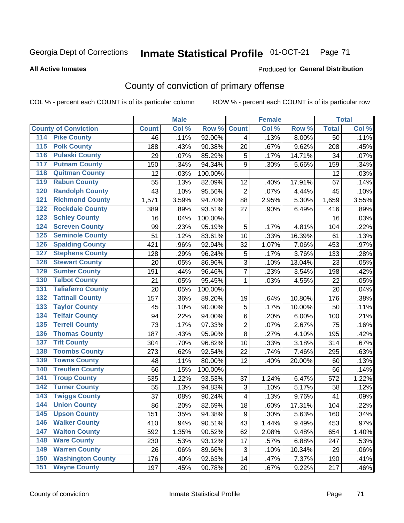#### Inmate Statistical Profile 01-OCT-21 Page 71

#### **All Active Inmates**

#### Produced for General Distribution

## County of conviction of primary offense

COL % - percent each COUNT is of its particular column

|                                          |              | <b>Male</b> |         |                | <b>Female</b> |        |                 | <b>Total</b> |
|------------------------------------------|--------------|-------------|---------|----------------|---------------|--------|-----------------|--------------|
| <b>County of Conviction</b>              | <b>Count</b> | Col %       | Row %   | <b>Count</b>   | Col %         | Row %  | <b>Total</b>    | Col %        |
| <b>Pike County</b><br>114                | 46           | .11%        | 92.00%  | $\overline{4}$ | .13%          | 8.00%  | $\overline{50}$ | .11%         |
| <b>Polk County</b><br>$\overline{115}$   | 188          | .43%        | 90.38%  | 20             | .67%          | 9.62%  | 208             | .45%         |
| <b>Pulaski County</b><br>116             | 29           | .07%        | 85.29%  | 5              | .17%          | 14.71% | 34              | .07%         |
| <b>Putnam County</b><br>117              | 150          | .34%        | 94.34%  | 9              | .30%          | 5.66%  | 159             | .34%         |
| <b>Quitman County</b><br>118             | 12           | .03%        | 100.00% |                |               |        | 12              | .03%         |
| <b>Rabun County</b><br>119               | 55           | .13%        | 82.09%  | 12             | .40%          | 17.91% | 67              | .14%         |
| <b>Randolph County</b><br>120            | 43           | .10%        | 95.56%  | $\overline{2}$ | .07%          | 4.44%  | 45              | .10%         |
| <b>Richmond County</b><br>121            | 1,571        | 3.59%       | 94.70%  | 88             | 2.95%         | 5.30%  | 1,659           | 3.55%        |
| <b>Rockdale County</b><br>122            | 389          | .89%        | 93.51%  | 27             | .90%          | 6.49%  | 416             | .89%         |
| <b>Schley County</b><br>123              | 16           | .04%        | 100.00% |                |               |        | 16              | .03%         |
| <b>Screven County</b><br>124             | 99           | .23%        | 95.19%  | 5              | .17%          | 4.81%  | 104             | .22%         |
| <b>Seminole County</b><br>125            | 51           | .12%        | 83.61%  | 10             | .33%          | 16.39% | 61              | .13%         |
| <b>Spalding County</b><br>126            | 421          | .96%        | 92.94%  | 32             | 1.07%         | 7.06%  | 453             | .97%         |
| <b>Stephens County</b><br>127            | 128          | .29%        | 96.24%  | 5              | .17%          | 3.76%  | 133             | .28%         |
| <b>Stewart County</b><br>128             | 20           | .05%        | 86.96%  | 3              | .10%          | 13.04% | 23              | .05%         |
| <b>Sumter County</b><br>129              | 191          | .44%        | 96.46%  | $\overline{7}$ | .23%          | 3.54%  | 198             | .42%         |
| <b>Talbot County</b><br>130              | 21           | .05%        | 95.45%  | 1              | .03%          | 4.55%  | 22              | .05%         |
| <b>Taliaferro County</b><br>131          | 20           | .05%        | 100.00% |                |               |        | 20              | .04%         |
| <b>Tattnall County</b><br>132            | 157          | .36%        | 89.20%  | 19             | .64%          | 10.80% | 176             | .38%         |
| <b>Taylor County</b><br>133              | 45           | .10%        | 90.00%  | 5              | .17%          | 10.00% | 50              | .11%         |
| <b>Telfair County</b><br>134             | 94           | .22%        | 94.00%  | 6              | .20%          | 6.00%  | 100             | .21%         |
| <b>Terrell County</b><br>135             | 73           | .17%        | 97.33%  | $\overline{c}$ | .07%          | 2.67%  | 75              | .16%         |
| <b>Thomas County</b><br>136              | 187          | .43%        | 95.90%  | 8              | .27%          | 4.10%  | 195             | .42%         |
| <b>Tift County</b><br>137                | 304          | .70%        | 96.82%  | 10             | .33%          | 3.18%  | 314             | .67%         |
| <b>Toombs County</b><br>138              | 273          | .62%        | 92.54%  | 22             | .74%          | 7.46%  | 295             | .63%         |
| <b>Towns County</b><br>139               | 48           | .11%        | 80.00%  | 12             | .40%          | 20.00% | 60              | .13%         |
| <b>Treutlen County</b><br>140            | 66           | .15%        | 100.00% |                |               |        | 66              | .14%         |
| <b>Troup County</b><br>141               | 535          | 1.22%       | 93.53%  | 37             | 1.24%         | 6.47%  | 572             | 1.22%        |
| <b>Turner County</b><br>142              | 55           | .13%        | 94.83%  | 3              | .10%          | 5.17%  | 58              | .12%         |
| <b>Twiggs County</b><br>$\overline{143}$ | 37           | .08%        | 90.24%  | 4              | .13%          | 9.76%  | 41              | .09%         |
| <b>Union County</b><br>144               | 86           | .20%        | 82.69%  | 18             | .60%          | 17.31% | 104             | .22%         |
| 145<br><b>Upson County</b>               | 151          | .35%        | 94.38%  | 9              | .30%          | 5.63%  | 160             | .34%         |
| <b>Walker County</b><br>146              | 410          | .94%        | 90.51%  | 43             | 1.44%         | 9.49%  | 453             | .97%         |
| <b>Walton County</b><br>147              | 592          | 1.35%       | 90.52%  | 62             | 2.08%         | 9.48%  | 654             | 1.40%        |
| <b>Ware County</b><br>148                | 230          | .53%        | 93.12%  | 17             | .57%          | 6.88%  | 247             | .53%         |
| <b>Warren County</b><br>149              | 26           | .06%        | 89.66%  | 3              | .10%          | 10.34% | 29              | .06%         |
| <b>Washington County</b><br>150          | 176          | .40%        | 92.63%  | 14             | .47%          | 7.37%  | 190             | .41%         |
| <b>Wayne County</b><br>151               | 197          | .45%        | 90.78%  | 20             | .67%          | 9.22%  | 217             | .46%         |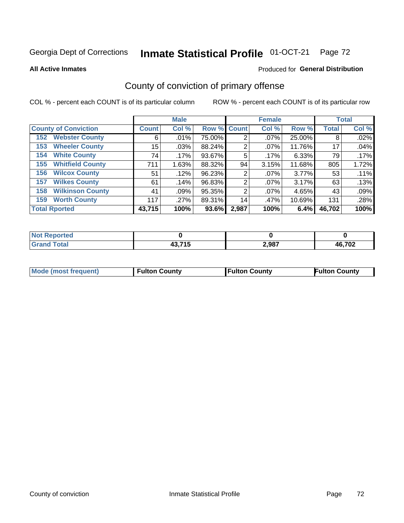# Inmate Statistical Profile 01-OCT-21 Page 72

**All Active Inmates** 

#### Produced for General Distribution

## County of conviction of primary offense

COL % - percent each COUNT is of its particular column

|                                |              | <b>Male</b> |             |       | <b>Female</b> |        |              | <b>Total</b> |
|--------------------------------|--------------|-------------|-------------|-------|---------------|--------|--------------|--------------|
| <b>County of Conviction</b>    | <b>Count</b> | Col %       | Row % Count |       | Col %         | Row %  | <b>Total</b> | Col %        |
| <b>Webster County</b><br>152   | 6            | .01%        | 75.00%      | 2     | $.07\%$       | 25.00% | 8            | .02%         |
| <b>Wheeler County</b><br>153   | 15           | .03%        | 88.24%      | 2     | $.07\%$       | 11.76% | 17           | .04%         |
| <b>White County</b><br>154     | 74           | $.17\%$     | 93.67%      | 5     | $.17\%$       | 6.33%  | 79           | $.17\%$      |
| <b>Whitfield County</b><br>155 | 711          | 1.63%       | 88.32%      | 94    | 3.15%         | 11.68% | 805          | 1.72%        |
| <b>Wilcox County</b><br>156    | 51           | .12%        | 96.23%      | 2     | $.07\%$       | 3.77%  | 53           | .11%         |
| <b>Wilkes County</b><br>157    | 61           | .14%        | 96.83%      | 2     | $.07\%$       | 3.17%  | 63           | .13%         |
| <b>Wilkinson County</b><br>158 | 41           | .09%        | 95.35%      | 2     | $.07\%$       | 4.65%  | 43           | .09%         |
| <b>Worth County</b><br>159     | 117          | .27%        | 89.31%      | 14    | .47%          | 10.69% | 131          | .28%         |
| <b>Total Rported</b>           | 43,715       | 100%        | 93.6%       | 2,987 | 100%          | 6.4%   | 46,702       | 100%         |

| <b>Not Reported</b> |        |       |        |
|---------------------|--------|-------|--------|
| <b>Grand Total</b>  | 43,715 | 2,987 | 46,702 |

| Mode (most frequent) | <b>Fulton County</b> | <b>Fulton County</b> | <b>Fulton County</b> |
|----------------------|----------------------|----------------------|----------------------|
|                      |                      |                      |                      |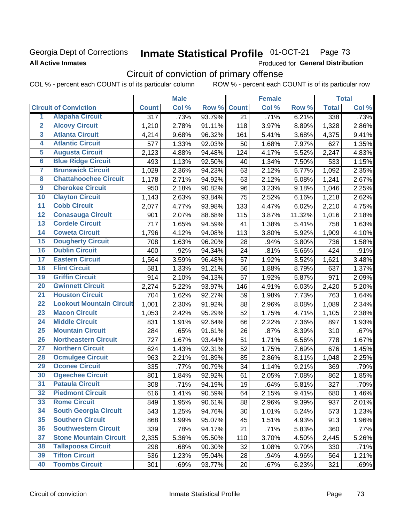### Georgia Dept of Corrections **All Active Inmates**

#### Inmate Statistical Profile 01-OCT-21 Page 73

Produced for General Distribution

# Circuit of conviction of primary offense

|                         |                                 |                  | <b>Male</b> |        |              | <b>Female</b> |        |              | <b>Total</b> |
|-------------------------|---------------------------------|------------------|-------------|--------|--------------|---------------|--------|--------------|--------------|
|                         | <b>Circuit of Conviction</b>    | <b>Count</b>     | Col %       | Row %  | <b>Count</b> | Col %         | Row %  | <b>Total</b> | Col %        |
| 1                       | <b>Alapaha Circuit</b>          | $\overline{317}$ | .73%        | 93.79% | 21           | .71%          | 6.21%  | 338          | .73%         |
| $\overline{2}$          | <b>Alcovy Circuit</b>           | 1,210            | 2.78%       | 91.11% | 118          | 3.97%         | 8.89%  | 1,328        | 2.86%        |
| $\overline{\mathbf{3}}$ | <b>Atlanta Circuit</b>          | 4,214            | 9.68%       | 96.32% | 161          | 5.41%         | 3.68%  | 4,375        | 9.41%        |
| 4                       | <b>Atlantic Circuit</b>         | 577              | 1.33%       | 92.03% | 50           | 1.68%         | 7.97%  | 627          | 1.35%        |
| 5                       | <b>Augusta Circuit</b>          | 2,123            | 4.88%       | 94.48% | 124          | 4.17%         | 5.52%  | 2,247        | 4.83%        |
| $\overline{\mathbf{6}}$ | <b>Blue Ridge Circuit</b>       | 493              | 1.13%       | 92.50% | 40           | 1.34%         | 7.50%  | 533          | 1.15%        |
| $\overline{7}$          | <b>Brunswick Circuit</b>        | 1,029            | 2.36%       | 94.23% | 63           | 2.12%         | 5.77%  | 1,092        | 2.35%        |
| 8                       | <b>Chattahoochee Circuit</b>    | 1,178            | 2.71%       | 94.92% | 63           | 2.12%         | 5.08%  | 1,241        | 2.67%        |
| $\overline{9}$          | <b>Cherokee Circuit</b>         | 950              | 2.18%       | 90.82% | 96           | 3.23%         | 9.18%  | 1,046        | 2.25%        |
| 10                      | <b>Clayton Circuit</b>          | 1,143            | 2.63%       | 93.84% | 75           | 2.52%         | 6.16%  | 1,218        | 2.62%        |
| $\overline{11}$         | <b>Cobb Circuit</b>             | 2,077            | 4.77%       | 93.98% | 133          | 4.47%         | 6.02%  | 2,210        | 4.75%        |
| 12                      | <b>Conasauga Circuit</b>        | 901              | 2.07%       | 88.68% | 115          | 3.87%         | 11.32% | 1,016        | 2.18%        |
| $\overline{13}$         | <b>Cordele Circuit</b>          | 717              | 1.65%       | 94.59% | 41           | 1.38%         | 5.41%  | 758          | 1.63%        |
| $\overline{14}$         | <b>Coweta Circuit</b>           | 1,796            | 4.12%       | 94.08% | 113          | 3.80%         | 5.92%  | 1,909        | 4.10%        |
| $\overline{15}$         | <b>Dougherty Circuit</b>        | 708              | 1.63%       | 96.20% | 28           | .94%          | 3.80%  | 736          | 1.58%        |
| 16                      | <b>Dublin Circuit</b>           | 400              | .92%        | 94.34% | 24           | .81%          | 5.66%  | 424          | .91%         |
| $\overline{17}$         | <b>Eastern Circuit</b>          | 1,564            | 3.59%       | 96.48% | 57           | 1.92%         | 3.52%  | 1,621        | 3.48%        |
| 18                      | <b>Flint Circuit</b>            | 581              | 1.33%       | 91.21% | 56           | 1.88%         | 8.79%  | 637          | 1.37%        |
| 19                      | <b>Griffin Circuit</b>          | 914              | 2.10%       | 94.13% | 57           | 1.92%         | 5.87%  | 971          | 2.09%        |
| 20                      | <b>Gwinnett Circuit</b>         | 2,274            | 5.22%       | 93.97% | 146          | 4.91%         | 6.03%  | 2,420        | 5.20%        |
| $\overline{21}$         | <b>Houston Circuit</b>          | 704              | 1.62%       | 92.27% | 59           | 1.98%         | 7.73%  | 763          | 1.64%        |
| $\overline{22}$         | <b>Lookout Mountain Circuit</b> | 1,001            | 2.30%       | 91.92% | 88           | 2.96%         | 8.08%  | 1,089        | 2.34%        |
| 23                      | <b>Macon Circuit</b>            | 1,053            | 2.42%       | 95.29% | 52           | 1.75%         | 4.71%  | 1,105        | 2.38%        |
| 24                      | <b>Middle Circuit</b>           | 831              | 1.91%       | 92.64% | 66           | 2.22%         | 7.36%  | 897          | 1.93%        |
| $\overline{25}$         | <b>Mountain Circuit</b>         | 284              | .65%        | 91.61% | 26           | .87%          | 8.39%  | 310          | .67%         |
| 26                      | <b>Northeastern Circuit</b>     | 727              | 1.67%       | 93.44% | 51           | 1.71%         | 6.56%  | 778          | 1.67%        |
| $\overline{27}$         | <b>Northern Circuit</b>         | 624              | 1.43%       | 92.31% | 52           | 1.75%         | 7.69%  | 676          | 1.45%        |
| 28                      | <b>Ocmulgee Circuit</b>         | 963              | 2.21%       | 91.89% | 85           | 2.86%         | 8.11%  | 1,048        | 2.25%        |
| 29                      | <b>Oconee Circuit</b>           | 335              | .77%        | 90.79% | 34           | 1.14%         | 9.21%  | 369          | .79%         |
| 30                      | <b>Ogeechee Circuit</b>         | 801              | 1.84%       | 92.92% | 61           | 2.05%         | 7.08%  | 862          | 1.85%        |
| $\overline{31}$         | <b>Pataula Circuit</b>          | 308              | .71%        | 94.19% | 19           | .64%          | 5.81%  | 327          | .70%         |
| 32                      | <b>Piedmont Circuit</b>         | 616              | 1.41%       | 90.59% | 64           | 2.15%         | 9.41%  | 680          | 1.46%        |
| 33                      | <b>Rome Circuit</b>             | 849              | 1.95%       | 90.61% | 88           | 2.96%         | 9.39%  | 937          | 2.01%        |
| 34                      | <b>South Georgia Circuit</b>    | 543              | 1.25%       | 94.76% | 30           | 1.01%         | 5.24%  | 573          | 1.23%        |
| 35                      | <b>Southern Circuit</b>         | 868              | 1.99%       | 95.07% | 45           | 1.51%         | 4.93%  | 913          | 1.96%        |
| 36                      | <b>Southwestern Circuit</b>     | 339              | .78%        | 94.17% | 21           | .71%          | 5.83%  | 360          | .77%         |
| 37                      | <b>Stone Mountain Circuit</b>   | 2,335            | 5.36%       | 95.50% | 110          | 3.70%         | 4.50%  | 2,445        | 5.26%        |
| 38                      | <b>Tallapoosa Circuit</b>       | 298              | .68%        | 90.30% | 32           | 1.08%         | 9.70%  | 330          | .71%         |
| 39                      | <b>Tifton Circuit</b>           | 536              | 1.23%       | 95.04% | 28           | .94%          | 4.96%  | 564          | 1.21%        |
| 40                      | <b>Toombs Circuit</b>           | 301              | .69%        | 93.77% | 20           | .67%          | 6.23%  | 321          | .69%         |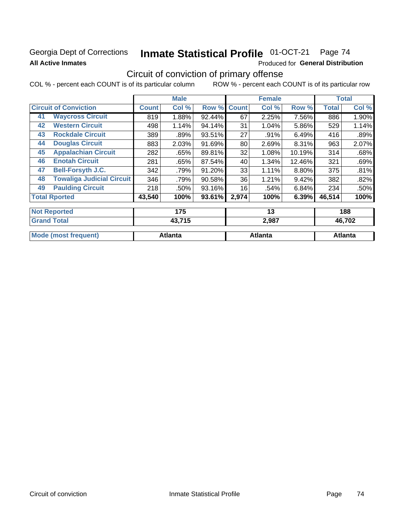### Georgia Dept of Corrections **All Active Inmates**

# Inmate Statistical Profile 01-OCT-21 Page 74

Produced for General Distribution

### Circuit of conviction of primary offense

|                                        |              | <b>Male</b> |        |              | <b>Female</b> |        |              | <b>Total</b> |
|----------------------------------------|--------------|-------------|--------|--------------|---------------|--------|--------------|--------------|
| <b>Circuit of Conviction</b>           | <b>Count</b> | Col %       | Row %  | <b>Count</b> | Col %         | Row %  | <b>Total</b> | Col %        |
| <b>Waycross Circuit</b><br>41          | 819          | 1.88%       | 92.44% | 67           | 2.25%         | 7.56%  | 886          | 1.90%        |
| <b>Western Circuit</b><br>42           | 498          | 1.14%       | 94.14% | 31           | 1.04%         | 5.86%  | 529          | 1.14%        |
| <b>Rockdale Circuit</b><br>43          | 389          | .89%        | 93.51% | 27           | .91%          | 6.49%  | 416          | .89%         |
| <b>Douglas Circuit</b><br>44           | 883          | 2.03%       | 91.69% | 80           | 2.69%         | 8.31%  | 963          | 2.07%        |
| <b>Appalachian Circuit</b><br>45       | 282          | .65%        | 89.81% | 32           | 1.08%         | 10.19% | 314          | .68%         |
| <b>Enotah Circuit</b><br>46            | 281          | .65%        | 87.54% | 40           | 1.34%         | 12.46% | 321          | .69%         |
| <b>Bell-Forsyth J.C.</b><br>47         | 342          | .79%        | 91.20% | 33           | 1.11%         | 8.80%  | 375          | .81%         |
| <b>Towaliga Judicial Circuit</b><br>48 | 346          | .79%        | 90.58% | 36           | 1.21%         | 9.42%  | 382          | .82%         |
| <b>Paulding Circuit</b><br>49          | 218          | .50%        | 93.16% | 16           | .54%          | 6.84%  | 234          | .50%         |
| <b>Total Rported</b>                   | 43,540       | 100%        | 93.61% | 2,974        | 100%          | 6.39%  | 46,514       | 100%         |
| <b>Not Reported</b>                    |              | 175         |        |              | 13            |        |              | 188          |
| <b>Grand Total</b>                     |              | 43,715      |        |              | 2,987         |        |              | 46,702       |

|                  | ____    | $\sim$ $-$ |         |  |
|------------------|---------|------------|---------|--|
|                  |         |            |         |  |
| Mode<br>requent) | Atlanta | Atlanta    | Atlanta |  |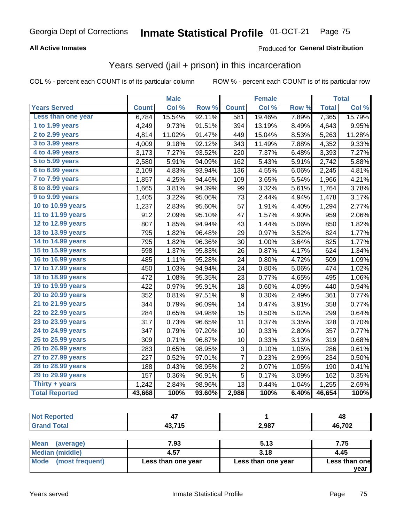#### **All Active Inmates**

#### Produced for **General Distribution**

### Years served (jail + prison) in this incarceration

|                       |              | <b>Male</b> |        |                  | <b>Female</b> |                  |              | <b>Total</b> |
|-----------------------|--------------|-------------|--------|------------------|---------------|------------------|--------------|--------------|
| <b>Years Served</b>   | <b>Count</b> | Col %       | Row %  | <b>Count</b>     | Col %         | Row <sub>%</sub> | <b>Total</b> | Col %        |
| Less than one year    | 6,784        | 15.54%      | 92.11% | 581              | 19.46%        | 7.89%            | 7,365        | 15.79%       |
| 1 to 1.99 years       | 4,249        | 9.73%       | 91.51% | 394              | 13.19%        | 8.49%            | 4,643        | 9.95%        |
| 2 to 2.99 years       | 4,814        | 11.02%      | 91.47% | 449              | 15.04%        | 8.53%            | 5,263        | 11.28%       |
| 3 to 3.99 years       | 4,009        | 9.18%       | 92.12% | 343              | 11.49%        | 7.88%            | 4,352        | 9.33%        |
| 4 to 4.99 years       | 3,173        | 7.27%       | 93.52% | 220              | 7.37%         | 6.48%            | 3,393        | 7.27%        |
| 5 to 5.99 years       | 2,580        | 5.91%       | 94.09% | 162              | 5.43%         | 5.91%            | 2,742        | 5.88%        |
| 6 to 6.99 years       | 2,109        | 4.83%       | 93.94% | 136              | 4.55%         | 6.06%            | 2,245        | 4.81%        |
| 7 to 7.99 years       | 1,857        | 4.25%       | 94.46% | 109              | 3.65%         | 5.54%            | 1,966        | 4.21%        |
| 8 to 8.99 years       | 1,665        | 3.81%       | 94.39% | 99               | 3.32%         | 5.61%            | 1,764        | 3.78%        |
| 9 to 9.99 years       | 1,405        | 3.22%       | 95.06% | 73               | 2.44%         | 4.94%            | 1,478        | 3.17%        |
| 10 to 10.99 years     | 1,237        | 2.83%       | 95.60% | 57               | 1.91%         | 4.40%            | 1,294        | 2.77%        |
| 11 to 11.99 years     | 912          | 2.09%       | 95.10% | 47               | 1.57%         | 4.90%            | 959          | 2.06%        |
| 12 to 12.99 years     | 807          | 1.85%       | 94.94% | 43               | 1.44%         | 5.06%            | 850          | 1.82%        |
| 13 to 13.99 years     | 795          | 1.82%       | 96.48% | 29               | 0.97%         | 3.52%            | 824          | 1.77%        |
| 14 to 14.99 years     | 795          | 1.82%       | 96.36% | 30               | 1.00%         | 3.64%            | 825          | 1.77%        |
| 15 to 15.99 years     | 598          | 1.37%       | 95.83% | 26               | 0.87%         | 4.17%            | 624          | 1.34%        |
| 16 to 16.99 years     | 485          | 1.11%       | 95.28% | 24               | 0.80%         | 4.72%            | 509          | 1.09%        |
| 17 to 17.99 years     | 450          | 1.03%       | 94.94% | 24               | 0.80%         | 5.06%            | 474          | 1.02%        |
| 18 to 18.99 years     | 472          | 1.08%       | 95.35% | 23               | 0.77%         | 4.65%            | 495          | 1.06%        |
| 19 to 19.99 years     | 422          | 0.97%       | 95.91% | 18               | 0.60%         | 4.09%            | 440          | 0.94%        |
| 20 to 20.99 years     | 352          | 0.81%       | 97.51% | $\boldsymbol{9}$ | 0.30%         | 2.49%            | 361          | 0.77%        |
| 21 to 21.99 years     | 344          | 0.79%       | 96.09% | 14               | 0.47%         | 3.91%            | 358          | 0.77%        |
| 22 to 22.99 years     | 284          | 0.65%       | 94.98% | 15               | 0.50%         | 5.02%            | 299          | 0.64%        |
| 23 to 23.99 years     | 317          | 0.73%       | 96.65% | 11               | 0.37%         | 3.35%            | 328          | 0.70%        |
| 24 to 24.99 years     | 347          | 0.79%       | 97.20% | 10               | 0.33%         | 2.80%            | 357          | 0.77%        |
| 25 to 25.99 years     | 309          | 0.71%       | 96.87% | 10               | 0.33%         | 3.13%            | 319          | 0.68%        |
| 26 to 26.99 years     | 283          | 0.65%       | 98.95% | 3                | 0.10%         | 1.05%            | 286          | 0.61%        |
| 27 to 27.99 years     | 227          | 0.52%       | 97.01% | $\overline{7}$   | 0.23%         | 2.99%            | 234          | 0.50%        |
| 28 to 28.99 years     | 188          | 0.43%       | 98.95% | $\overline{2}$   | 0.07%         | 1.05%            | 190          | 0.41%        |
| 29 to 29.99 years     | 157          | 0.36%       | 96.91% | 5                | 0.17%         | 3.09%            | 162          | 0.35%        |
| Thirty + years        | 1,242        | 2.84%       | 98.96% | 13               | 0.44%         | 1.04%            | 1,255        | 2.69%        |
| <b>Total Reported</b> | 43,668       | 100%        | 93.60% | 2,986            | 100%          | 6.40%            | 46,654       | 100%         |

| <b>Not</b><br><b>Reported</b> | T 8    |       | 48     |
|-------------------------------|--------|-------|--------|
| Total<br><b>Grand</b>         | 43,715 | 2,987 | 46,702 |
|                               |        |       |        |

| Mean (average)       | 7.93               | 5.13               | 7.75          |
|----------------------|--------------------|--------------------|---------------|
| Median (middle)      | 4.57               | 3.18               | 4.45          |
| Mode (most frequent) | Less than one year | Less than one year | Less than one |
|                      |                    |                    | vear          |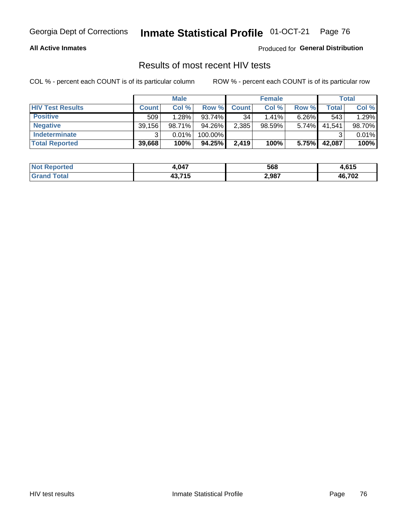#### **All Active Inmates**

Produced for **General Distribution**

### Results of most recent HIV tests

|                         |              | <b>Male</b> |         |              | <b>Female</b> |          |        | <b>Total</b> |
|-------------------------|--------------|-------------|---------|--------------|---------------|----------|--------|--------------|
| <b>HIV Test Results</b> | <b>Count</b> | Col %       | Row %I  | <b>Count</b> | Col %         | Row %    | Total  | Col %        |
| <b>Positive</b>         | 509          | 1.28%       | 93.74%  | 34           | 1.41%         | $6.26\%$ | 543    | 1.29%        |
| <b>Negative</b>         | 39,156       | 98.71%      | 94.26%  | 2,385        | 98.59%        | 5.74%    | 41,541 | 98.70%       |
| <b>Indeterminate</b>    | ີ            | 0.01%       | 100.00% |              |               |          |        | 0.01%        |
| <b>Total Reported</b>   | 39,668       | 100%        | 94.25%  | 2,419        | 100%          | 5.75%    | 42,087 | 100%         |

| <b>Not Reported</b> | 4,047          | 568   | 61F<br>F. O I J |
|---------------------|----------------|-------|-----------------|
| Total<br>Gran       | 43.715<br>. טר | 2,987 | 46,702          |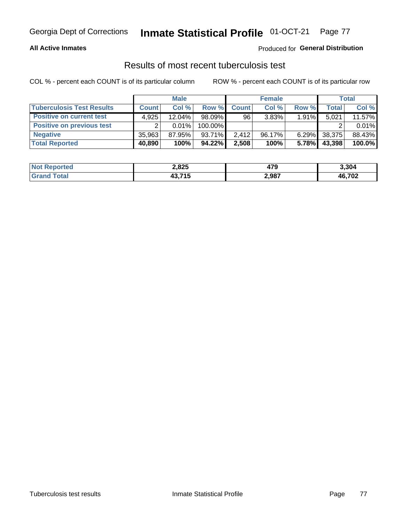#### **All Active Inmates**

#### Produced for **General Distribution**

### Results of most recent tuberculosis test

|                                  |              | <b>Male</b> |           |              | <b>Female</b> |          |              | Total  |
|----------------------------------|--------------|-------------|-----------|--------------|---------------|----------|--------------|--------|
| <b>Tuberculosis Test Results</b> | <b>Count</b> | Col%        | Row %     | <b>Count</b> | Col %         | Row %    | <b>Total</b> | Col %  |
| <b>Positive on current test</b>  | 4,925        | $12.04\%$   | $98.09\%$ | 96           | 3.83%         | $1.91\%$ | 5,021        | 11.57% |
| <b>Positive on previous test</b> | ົ            | $0.01\%$    | 100.00%   |              |               |          |              | 0.01%  |
| <b>Negative</b>                  | 35,963       | 87.95%      | 93.71%    | 2.412        | $96.17\%$     | $6.29\%$ | 38,375       | 88.43% |
| <b>Total Reported</b>            | 40,890       | 100%        | 94.22%    | 2,508        | 100%          | 5.78%    | 43,398       | 100.0% |

| <b>Not Reported</b> | 2,825          | 170<br>475 | 3,304  |
|---------------------|----------------|------------|--------|
| Total<br>Gran       | 43.715<br>. טר | 2,987      | 46,702 |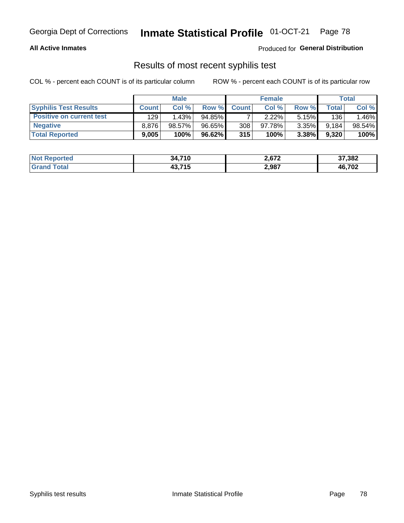#### **All Active Inmates**

Produced for **General Distribution**

### Results of most recent syphilis test

|                                 |              | <b>Male</b> |           |              | <b>Female</b> |          |       | Total  |
|---------------------------------|--------------|-------------|-----------|--------------|---------------|----------|-------|--------|
| <b>Syphilis Test Results</b>    | <b>Count</b> | Col%        | Row %     | <b>Count</b> | Col %         | Row %    | Total | Col %  |
| <b>Positive on current test</b> | 129          | 1.43%       | $94.85\%$ |              | 2.22%         | $5.15\%$ | 136   | .46%   |
| <b>Negative</b>                 | 8.876        | $98.57\%$   | 96.65%    | 308          | $97.78\%$     | $3.35\%$ | 9,184 | 98.54% |
| <b>Total Reported</b>           | 9,005        | 100%        | 96.62%    | 315          | 100%          | $3.38\%$ | 9,320 | 100%   |

| <b>Not Reported</b> | 34,710 | 2,672 | 37,382 |
|---------------------|--------|-------|--------|
| <b>Grand Total</b>  | 43,715 | 2,987 | 46,702 |